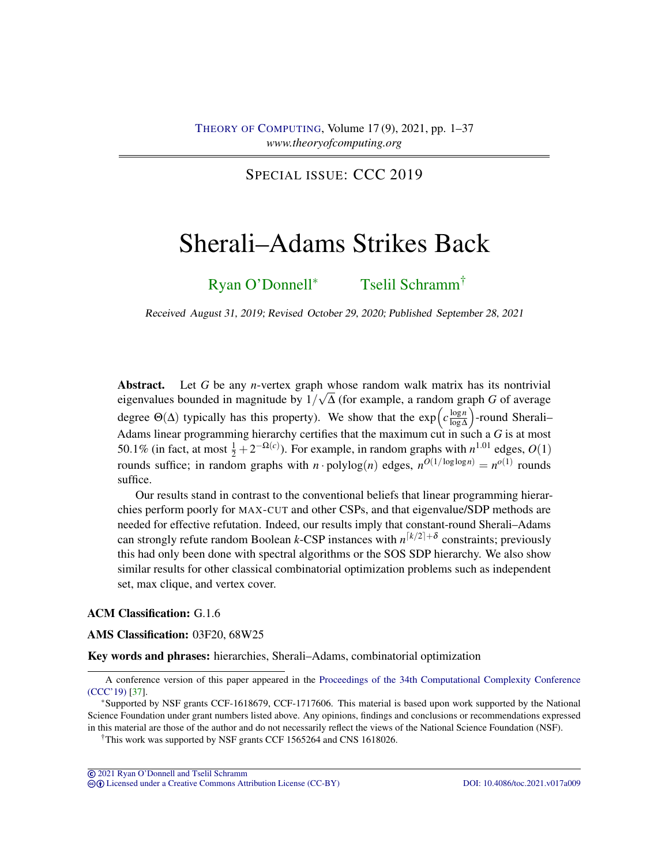SPECIAL ISSUE: CCC 2019

# <span id="page-0-0"></span>Sherali–Adams Strikes Back

[Ryan O'Donnell](#page-36-0)<sup>∗</sup> [Tselil Schramm](#page-36-1)†

Received August 31, 2019; Revised October 29, 2020; Published September 28, 2021

Abstract. Let *G* be any *n*-vertex graph whose random walk matrix has its nontrivial eigenvalues bounded in magnitude by 1/ ∆ (for example, a random graph *G* of average degree  $\Theta(\Delta)$  typically has this property). We show that the  $\exp\left(c\frac{\log n}{\log \Delta}\right)$ log∆ -round Sherali– Adams linear programming hierarchy certifies that the maximum cut in such a *G* is at most 50.1% (in fact, at most  $\frac{1}{2} + 2^{-\Omega(c)}$ ). For example, in random graphs with  $n^{1.01}$  edges,  $O(1)$ rounds suffice; in random graphs with *n* · polylog(*n*) edges,  $n^{O(1/\log \log n)} = n^{O(1)}$  rounds suffice.

Our results stand in contrast to the conventional beliefs that linear programming hierarchies perform poorly for MAX-CUT and other CSPs, and that eigenvalue/SDP methods are needed for effective refutation. Indeed, our results imply that constant-round Sherali–Adams can strongly refute random Boolean *k*-CSP instances with  $n^{[k/2]+ \delta}$  constraints; previously this had only been done with spectral algorithms or the SOS SDP hierarchy. We also show similar results for other classical combinatorial optimization problems such as independent set, max clique, and vertex cover.

## ACM Classification: G.1.6

#### AMS Classification: 03F20, 68W25

Key words and phrases: hierarchies, Sherali–Adams, combinatorial optimization

cb [Licensed under a Creative Commons Attribution License \(CC-BY\)](http://creativecommons.org/licenses/by/3.0/) [DOI: 10.4086/toc.2021.v017a009](http://dx.doi.org/10.4086/toc.2021.v017a009)

A conference version of this paper appeared in the [Proceedings of the 34th Computational Complexity Conference](https://drops.dagstuhl.de/opus/volltexte/2019/10830/) [\(CCC'19\)](https://drops.dagstuhl.de/opus/volltexte/2019/10830/) [\[37\]](#page-35-0).

<sup>∗</sup>Supported by NSF grants CCF-1618679, CCF-1717606. This material is based upon work supported by the National Science Foundation under grant numbers listed above. Any opinions, findings and conclusions or recommendations expressed in this material are those of the author and do not necessarily reflect the views of the National Science Foundation (NSF).

<sup>†</sup>This work was supported by NSF grants CCF 1565264 and CNS 1618026.

<sup>©</sup> [2021 Ryan O'Donnell and Tselil Schramm](http://theoryofcomputing.org/copyright2009.html)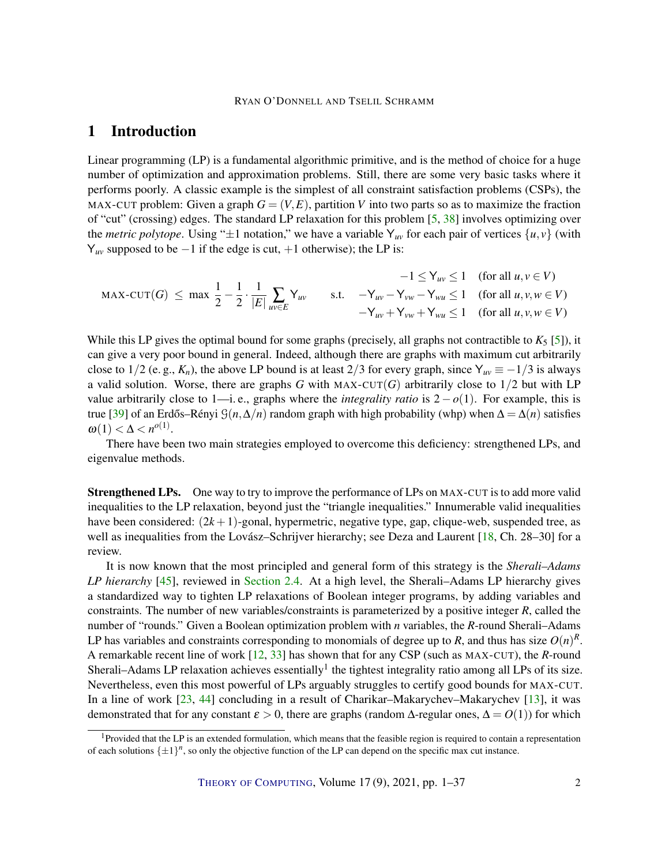# <span id="page-1-0"></span>1 Introduction

Linear programming (LP) is a fundamental algorithmic primitive, and is the method of choice for a huge number of optimization and approximation problems. Still, there are some very basic tasks where it performs poorly. A classic example is the simplest of all constraint satisfaction problems (CSPs), the MAX-CUT problem: Given a graph  $G = (V, E)$ , partition V into two parts so as to maximize the fraction of "cut" (crossing) edges. The standard LP relaxation for this problem [\[5,](#page-32-0) [38\]](#page-35-1) involves optimizing over the *metric polytope*. Using " $\pm 1$  notation," we have a variable Y<sub>uv</sub> for each pair of vertices  $\{u, v\}$  (with  $Y_{uv}$  supposed to be  $-1$  if the edge is cut,  $+1$  otherwise); the LP is:

$$
-1 \le Y_{uv} \le 1 \quad \text{(for all } u, v \in V)
$$
  
\n
$$
\text{MAX-CUT}(G) \le \max \frac{1}{2} - \frac{1}{2} \cdot \frac{1}{|E|} \sum_{uv \in E} Y_{uv} \qquad \text{s.t.} \quad -Y_{uv} - Y_{vw} - Y_{vw} \le 1 \quad \text{(for all } u, v, w \in V)
$$
  
\n
$$
-Y_{uv} + Y_{vw} + Y_{vw} \le 1 \quad \text{(for all } u, v, w \in V)
$$

While this LP gives the optimal bound for some graphs (precisely, all graphs not contractible to  $K_5$  [\[5\]](#page-32-0)), it can give a very poor bound in general. Indeed, although there are graphs with maximum cut arbitrarily close to 1/2 (e. g.,  $K_n$ ), the above LP bound is at least 2/3 for every graph, since  $Y_{uv} \equiv -1/3$  is always a valid solution. Worse, there are graphs *G* with MAX-CUT(*G*) arbitrarily close to  $1/2$  but with LP value arbitrarily close to 1—i. e., graphs where the *integrality ratio* is  $2 - o(1)$ . For example, this is true [\[39\]](#page-35-2) of an Erdős–Rényi  $\mathcal{G}(n,\Delta/n)$  random graph with high probability (whp) when  $\Delta = \Delta(n)$  satisfies  $\omega(1) < \Delta < n^{o(1)}$ .

There have been two main strategies employed to overcome this deficiency: strengthened LPs, and eigenvalue methods.

Strengthened LPs. One way to try to improve the performance of LPs on MAX-CUT is to add more valid inequalities to the LP relaxation, beyond just the "triangle inequalities." Innumerable valid inequalities have been considered: (2*k* +1)-gonal, hypermetric, negative type, gap, clique-web, suspended tree, as well as inequalities from the Lovász–Schrijver hierarchy; see Deza and Laurent [\[18,](#page-33-0) Ch. 28–30] for a review.

It is now known that the most principled and general form of this strategy is the *Sherali–Adams LP hierarchy* [\[45\]](#page-35-3), reviewed in [Section 2.4.](#page-10-0) At a high level, the Sherali–Adams LP hierarchy gives a standardized way to tighten LP relaxations of Boolean integer programs, by adding variables and constraints. The number of new variables/constraints is parameterized by a positive integer *R*, called the number of "rounds." Given a Boolean optimization problem with *n* variables, the *R*-round Sherali–Adams LP has variables and constraints corresponding to monomials of degree up to  $R$ , and thus has size  $O(n)^R$ . A remarkable recent line of work [\[12,](#page-33-1) [33\]](#page-34-0) has shown that for any CSP (such as MAX-CUT), the *R*-round Sherali–Adams LP relaxation achieves essentially<sup>1</sup> the tightest integrality ratio among all LPs of its size. Nevertheless, even this most powerful of LPs arguably struggles to certify good bounds for MAX-CUT. In a line of work [\[23,](#page-33-2) [44\]](#page-35-4) concluding in a result of Charikar–Makarychev–Makarychev [\[13\]](#page-33-3), it was demonstrated that for any constant  $\varepsilon > 0$ , there are graphs (random  $\Delta$ -regular ones,  $\Delta = O(1)$ ) for which

<sup>&</sup>lt;sup>1</sup>Provided that the LP is an extended formulation, which means that the feasible region is required to contain a representation of each solutions  $\{\pm 1\}^n$ , so only the objective function of the LP can depend on the specific max cut instance.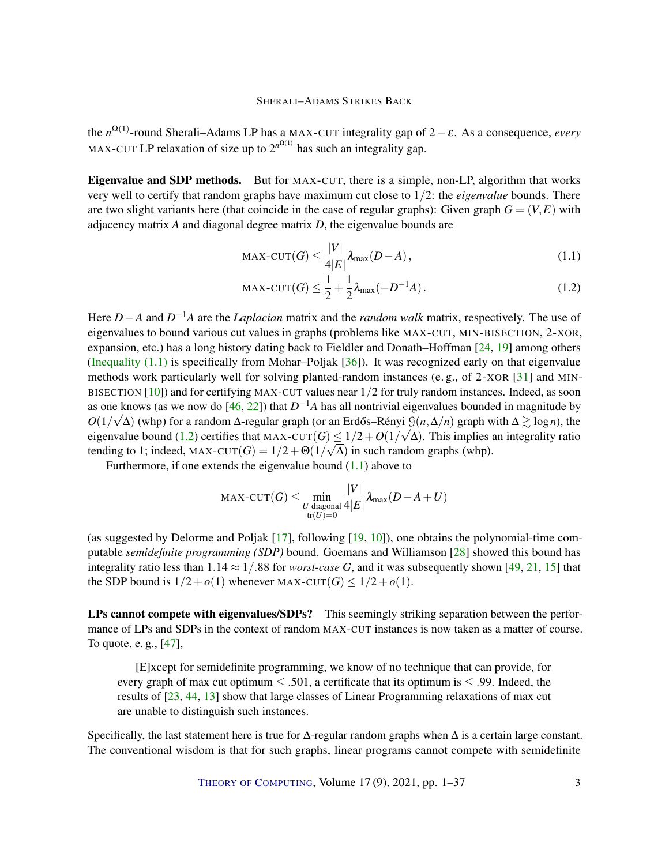<span id="page-2-2"></span>the *n* Ω(1) -round Sherali–Adams LP has a MAX-CUT integrality gap of 2−ε. As a consequence, *every* MAX-CUT LP relaxation of size up to  $2^{n^{\Omega(1)}}$  has such an integrality gap.

Eigenvalue and SDP methods. But for MAX-CUT, there is a simple, non-LP, algorithm that works very well to certify that random graphs have maximum cut close to 1/2: the *eigenvalue* bounds. There are two slight variants here (that coincide in the case of regular graphs): Given graph  $G = (V, E)$  with adjacency matrix *A* and diagonal degree matrix *D*, the eigenvalue bounds are

<span id="page-2-1"></span><span id="page-2-0"></span>
$$
\text{MAX-CUT}(G) \le \frac{|V|}{4|E|} \lambda_{\text{max}}(D - A),\tag{1.1}
$$

$$
\text{MAX-CUT}(G) \le \frac{1}{2} + \frac{1}{2}\lambda_{\text{max}}(-D^{-1}A). \tag{1.2}
$$

Here *D*−*A* and *D* <sup>−</sup>1*A* are the *Laplacian* matrix and the *random walk* matrix, respectively. The use of eigenvalues to bound various cut values in graphs (problems like MAX-CUT, MIN-BISECTION, 2-XOR, expansion, etc.) has a long history dating back to Fieldler and Donath–Hoffman [\[24,](#page-34-1) [19\]](#page-33-4) among others (Inequality  $(1.1)$  is specifically from Mohar–Poljak  $[36]$ ). It was recognized early on that eigenvalue methods work particularly well for solving planted-random instances (e. g., of 2-XOR [\[31\]](#page-34-3) and MIN-BISECTION  $[10]$  and for certifying MAX-CUT values near  $1/2$  for truly random instances. Indeed, as soon as one knows (as we now do [\[46,](#page-35-5) [22\]](#page-33-5)) that  $D^{-1}A$  has all nontrivial eigenvalues bounded in magnitude by *O*(1/ $\sqrt{\Delta}$ ) (whp) for a random  $\Delta$ -regular graph (or an Erdős–Rényi  $\mathcal{G}(n,\Delta/n)$  graph with  $\Delta \gtrsim \log n$ ), the eigenvalue bound [\(1.2\)](#page-2-1) certifies that MAX-CUT $(G) \leq 1/2 + O(1/\sqrt{\Delta})$ . This implies an integrality ratio tending to 1; indeed,  $MAX$ -CUT $(G) = 1/2 + \Theta(1/\sqrt{\Delta})$  in such random graphs (whp).

Furthermore, if one extends the eigenvalue bound [\(1.1\)](#page-2-0) above to

$$
\text{MAX-CUT}(G) \le \min_{\substack{U \text{ diagonal} \\ \text{tr}(U)=0}} \frac{|V|}{4|E|} \lambda_{\text{max}}(D - A + U)
$$

(as suggested by Delorme and Poljak [\[17\]](#page-33-6), following [\[19,](#page-33-4) [10\]](#page-32-1)), one obtains the polynomial-time computable *semidefinite programming (SDP)* bound. Goemans and Williamson [\[28\]](#page-34-4) showed this bound has integrality ratio less than  $1.14 \approx 1/0.88$  for *worst-case G*, and it was subsequently shown [\[49,](#page-35-6) [21,](#page-33-7) [15\]](#page-33-8) that the SDP bound is  $1/2 + o(1)$  whenever MAX-CUT(*G*)  $\leq 1/2 + o(1)$ .

LPs cannot compete with eigenvalues/SDPs? This seemingly striking separation between the performance of LPs and SDPs in the context of random MAX-CUT instances is now taken as a matter of course. To quote, e. g., [\[47\]](#page-35-7),

[E]xcept for semidefinite programming, we know of no technique that can provide, for every graph of max cut optimum  $\leq 0.501$ , a certificate that its optimum is  $\leq 0.99$ . Indeed, the results of [\[23,](#page-33-2) [44,](#page-35-4) [13\]](#page-33-3) show that large classes of Linear Programming relaxations of max cut are unable to distinguish such instances.

Specifically, the last statement here is true for  $\Delta$ -regular random graphs when  $\Delta$  is a certain large constant. The conventional wisdom is that for such graphs, linear programs cannot compete with semidefinite

THEORY OF C[OMPUTING](http://dx.doi.org/10.4086/toc), Volume 17(9), 2021, pp. 1–37 3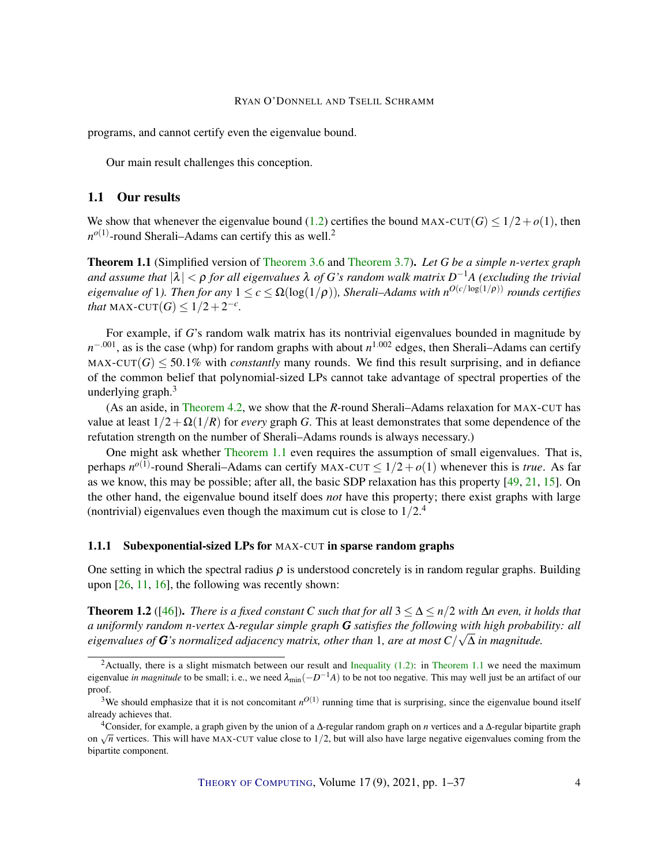<span id="page-3-1"></span>programs, and cannot certify even the eigenvalue bound.

Our main result challenges this conception.

# 1.1 Our results

We show that whenever the eigenvalue bound [\(1.2\)](#page-2-1) certifies the bound MAX-CUT(*G*)  $\leq 1/2+o(1)$ , then  $n^{o(1)}$ -round Sherali–Adams can certify this as well.<sup>2</sup>

<span id="page-3-0"></span>Theorem 1.1 (Simplified version of [Theorem 3.6](#page-14-0) and [Theorem 3.7\)](#page-14-1). *Let G be a simple n-vertex graph and assume that* |λ| < ρ *for all eigenvalues* λ *of G's random walk matrix D* <sup>−</sup>1*A (excluding the trivial*  $eigenvalue$  of 1). Then for any  $1 \leq c \leq \Omega(\log(1/\rho))$ , Sherali–Adams with  $n^{O(c/\log(1/\rho))}$  rounds certifies *that* MAX-CUT $(G) \leq 1/2 + 2^{-c}$ *.* 

For example, if *G*'s random walk matrix has its nontrivial eigenvalues bounded in magnitude by *n*<sup>-.001</sup>, as is the case (whp) for random graphs with about *n*<sup>1.002</sup> edges, then Sherali–Adams can certify MAX-CUT $(G)$  < 50.1% with *constantly* many rounds. We find this result surprising, and in defiance of the common belief that polynomial-sized LPs cannot take advantage of spectral properties of the underlying graph. $3$ 

(As an aside, in [Theorem 4.2,](#page-20-0) we show that the *R*-round Sherali–Adams relaxation for MAX-CUT has value at least  $1/2 + \Omega(1/R)$  for *every* graph *G*. This at least demonstrates that some dependence of the refutation strength on the number of Sherali–Adams rounds is always necessary.)

One might ask whether [Theorem 1.1](#page-3-0) even requires the assumption of small eigenvalues. That is, perhaps  $n^{o(1)}$ -round Sherali–Adams can certify MAX-CUT  $\leq 1/2 + o(1)$  whenever this is *true*. As far as we know, this may be possible; after all, the basic SDP relaxation has this property [\[49,](#page-35-6) [21,](#page-33-7) [15\]](#page-33-8). On the other hand, the eigenvalue bound itself does *not* have this property; there exist graphs with large (nontrivial) eigenvalues even though the maximum cut is close to  $1/2<sup>4</sup>$ 

# 1.1.1 Subexponential-sized LPs for MAX-CUT in sparse random graphs

One setting in which the spectral radius  $\rho$  is understood concretely is in random regular graphs. Building upon [\[26,](#page-34-5) [11,](#page-33-9) [16\]](#page-33-10), the following was recently shown:

**Theorem 1.2** ([\[46\]](#page-35-5)). *There is a fixed constant C such that for all*  $3 \leq \Delta \leq n/2$  *with*  $\Delta n$  *even, it holds that a uniformly random n-vertex* ∆*-regular simple graph G satisfies the following with high probability: all* √ *eigenvalues of G's normalized adjacency matrix, other than* 1*, are at most C*/ ∆ *in magnitude.*

<sup>&</sup>lt;sup>2</sup>Actually, there is a slight mismatch between our result and [Inequality \(1.2\):](#page-2-1) in [Theorem 1.1](#page-3-0) we need the maximum eigenvalue *in magnitude* to be small; i.e., we need  $\lambda_{min}(-D^{-1}A)$  to be not too negative. This may well just be an artifact of our proof.

<sup>&</sup>lt;sup>3</sup>We should emphasize that it is not concomitant  $n^{O(1)}$  running time that is surprising, since the eigenvalue bound itself already achieves that.

<sup>4</sup>Consider, for example, a graph given by the union of a ∆-regular random graph on *n* vertices and a ∆-regular bipartite graph Consider, for example, a graph given by the union of a  $\Delta$ -regular failuon graph on *n* vertices and a  $\Delta$ -regular original example. bipartite component.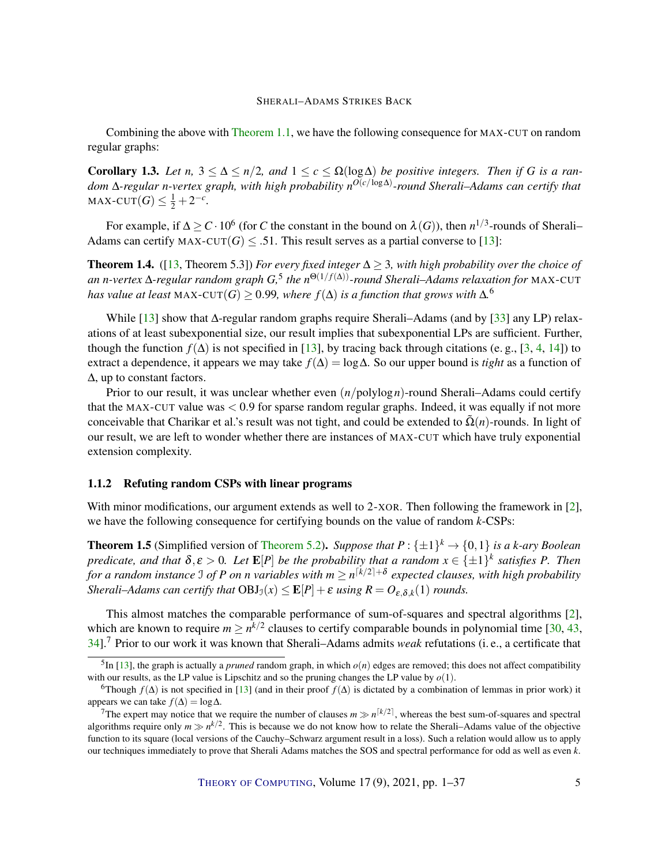<span id="page-4-0"></span>Combining the above with [Theorem 1.1,](#page-3-0) we have the following consequence for MAX-CUT on random regular graphs:

**Corollary 1.3.** *Let n*,  $3 \leq \Delta \leq n/2$ , and  $1 \leq c \leq \Omega(\log \Delta)$  *be positive integers. Then if G is a random* ∆*-regular n-vertex graph, with high probability n O*(*c*/log∆) *-round Sherali–Adams can certify that*  $\text{MAX-CUT}(G) \leq \frac{1}{2} + 2^{-c}$ .

For example, if  $\Delta \ge C \cdot 10^6$  (for *C* the constant in the bound on  $\lambda(G)$ ), then  $n^{1/3}$ -rounds of Sherali– Adams can certify MAX-CUT(*G*)  $\leq$  .51. This result serves as a partial converse to [\[13\]](#page-33-3):

**Theorem 1.4.** ([\[13,](#page-33-3) Theorem 5.3]) *For every fixed integer*  $\Delta \geq 3$ *, with high probability over the choice of an n-vertex* ∆*-regular random graph G,* 5 *the n* <sup>Θ</sup>(1/ *<sup>f</sup>*(∆))*-round Sherali–Adams relaxation for* MAX-CUT *has value at least MAX-CUT* $(G) \geq 0.99$ *, where*  $f(\Delta)$  *is a function that grows with*  $\Delta$ .<sup>6</sup>

While [\[13\]](#page-33-3) show that ∆-regular random graphs require Sherali–Adams (and by [\[33\]](#page-34-0) any LP) relaxations of at least subexponential size, our result implies that subexponential LPs are sufficient. Further, though the function  $f(\Delta)$  is not specified in [\[13\]](#page-33-3), by tracing back through citations (e.g., [\[3,](#page-32-2) [4,](#page-32-3) [14\]](#page-33-11)) to extract a dependence, it appears we may take *f*(∆) = log∆. So our upper bound is *tight* as a function of ∆, up to constant factors.

Prior to our result, it was unclear whether even (*n*/polylog*n*)-round Sherali–Adams could certify that the MAX-CUT value was < 0.9 for sparse random regular graphs. Indeed, it was equally if not more conceivable that Charikar et al.'s result was not tight, and could be extended to  $\Omega(n)$ -rounds. In light of our result, we are left to wonder whether there are instances of MAX-CUT which have truly exponential extension complexity.

#### 1.1.2 Refuting random CSPs with linear programs

With minor modifications, our argument extends as well to 2-XOR. Then following the framework in  $[2]$ , we have the following consequence for certifying bounds on the value of random *k*-CSPs:

**Theorem 1.5** (Simplified version of [Theorem 5.2\)](#page-22-0). Suppose that  $P: \{\pm 1\}^k \to \{0,1\}$  is a k-ary Boolean *predicate, and that*  $\delta, \varepsilon > 0$ *. Let*  $\mathbf{E}[P]$  *be the probability that a random*  $x \in \{\pm 1\}^k$  *satisfies* P. Then *for a random instance*  $\Im$  *of P on n variables with m*  $\geq n^{\lceil k/2 \rceil + \delta}$  expected clauses, with high probability *Sherali–Adams can certify that*  $OBJ_0(x) \leq E[P] + \varepsilon$  *using*  $R = O_{\varepsilon, \delta, k}(1)$  *rounds.* 

This almost matches the comparable performance of sum-of-squares and spectral algorithms [\[2\]](#page-32-4), which are known to require  $m \geq n^{k/2}$  clauses to certify comparable bounds in polynomial time [\[30,](#page-34-6) [43,](#page-35-8) [34\]](#page-34-7).<sup>7</sup> Prior to our work it was known that Sherali–Adams admits *weak* refutations (i. e., a certificate that

 ${}^5$ In [\[13\]](#page-33-3), the graph is actually a *pruned* random graph, in which  $o(n)$  edges are removed; this does not affect compatibility with our results, as the LP value is Lipschitz and so the pruning changes the LP value by  $o(1)$ .

<sup>&</sup>lt;sup>6</sup>Though  $f(\Delta)$  is not specified in [\[13\]](#page-33-3) (and in their proof  $f(\Delta)$  is dictated by a combination of lemmas in prior work) it appears we can take  $f(\Delta) = \log \Delta$ .

<sup>&</sup>lt;sup>7</sup>The expert may notice that we require the number of clauses  $m \gg n^{\lceil k/2 \rceil}$ , whereas the best sum-of-squares and spectral algorithms require only  $m \gg n^{k/2}$ . This is because we do not know how to relate the Sherali–Adams value of the objective function to its square (local versions of the Cauchy–Schwarz argument result in a loss). Such a relation would allow us to apply our techniques immediately to prove that Sherali Adams matches the SOS and spectral performance for odd as well as even *k*.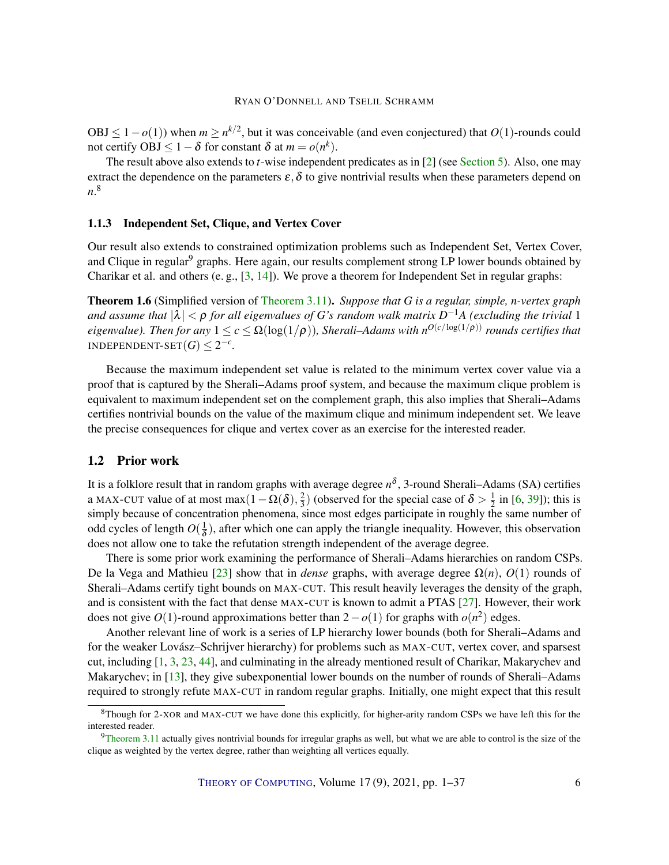<span id="page-5-0"></span>OBJ ≤ 1 − *o*(1)) when *m* ≥ *n*<sup>k/2</sup>, but it was conceivable (and even conjectured) that *O*(1)-rounds could not certify OBJ  $\leq 1 - \delta$  for constant  $\delta$  at  $m = o(n^k)$ .

The result above also extends to *t*-wise independent predicates as in [\[2\]](#page-32-4) (see [Section 5\)](#page-21-0). Also, one may extract the dependence on the parameters  $\varepsilon$ ,  $\delta$  to give nontrivial results when these parameters depend on *n*. 8

#### 1.1.3 Independent Set, Clique, and Vertex Cover

Our result also extends to constrained optimization problems such as Independent Set, Vertex Cover, and Clique in regular<sup>9</sup> graphs. Here again, our results complement strong LP lower bounds obtained by Charikar et al. and others (e. g., [\[3,](#page-32-2) [14\]](#page-33-11)). We prove a theorem for Independent Set in regular graphs:

Theorem 1.6 (Simplified version of [Theorem 3.11\)](#page-17-0). *Suppose that G is a regular, simple, n-vertex graph* and assume that  $|\lambda| < \rho$  for all eigenvalues of G's random walk matrix  $D^{-1}A$  (excluding the trivial  $1$  $eigenvalue$ ). Then for any  $1 \leq c \leq \Omega(\log(1/\rho))$ , Sherali–Adams with  $n^{O(c/\log(1/\rho))}$  rounds certifies that INDEPENDENT-SET $(G) \leq 2^{-c}$ .

Because the maximum independent set value is related to the minimum vertex cover value via a proof that is captured by the Sherali–Adams proof system, and because the maximum clique problem is equivalent to maximum independent set on the complement graph, this also implies that Sherali–Adams certifies nontrivial bounds on the value of the maximum clique and minimum independent set. We leave the precise consequences for clique and vertex cover as an exercise for the interested reader.

#### 1.2 Prior work

It is a folklore result that in random graphs with average degree *n* δ , 3-round Sherali–Adams (SA) certifies a MAX-CUT value of at most max $(1 - \Omega(\delta), \frac{2}{3})$  $\frac{2}{3}$ ) (observed for the special case of  $\delta > \frac{1}{2}$  $\frac{1}{2}$  in [\[6,](#page-32-5) [39\]](#page-35-2)); this is simply because of concentration phenomena, since most edges participate in roughly the same number of odd cycles of length  $O(\frac{1}{\delta})$  $\frac{1}{\delta}$ ), after which one can apply the triangle inequality. However, this observation does not allow one to take the refutation strength independent of the average degree.

There is some prior work examining the performance of Sherali–Adams hierarchies on random CSPs. De la Vega and Mathieu [\[23\]](#page-33-2) show that in *dense* graphs, with average degree Ω(*n*), *O*(1) rounds of Sherali–Adams certify tight bounds on MAX-CUT. This result heavily leverages the density of the graph, and is consistent with the fact that dense MAX-CUT is known to admit a PTAS [\[27\]](#page-34-8). However, their work does not give  $O(1)$ -round approximations better than  $2 - o(1)$  for graphs with  $o(n^2)$  edges.

Another relevant line of work is a series of LP hierarchy lower bounds (both for Sherali–Adams and for the weaker Lovász–Schrijver hierarchy) for problems such as MAX-CUT, vertex cover, and sparsest cut, including [\[1,](#page-32-6) [3,](#page-32-2) [23,](#page-33-2) [44\]](#page-35-4), and culminating in the already mentioned result of Charikar, Makarychev and Makarychev; in [\[13\]](#page-33-3), they give subexponential lower bounds on the number of rounds of Sherali–Adams required to strongly refute MAX-CUT in random regular graphs. Initially, one might expect that this result

 $8$ Though for 2-XOR and MAX-CUT we have done this explicitly, for higher-arity random CSPs we have left this for the interested reader.

 $9$ [Theorem 3.11](#page-17-0) actually gives nontrivial bounds for irregular graphs as well, but what we are able to control is the size of the clique as weighted by the vertex degree, rather than weighting all vertices equally.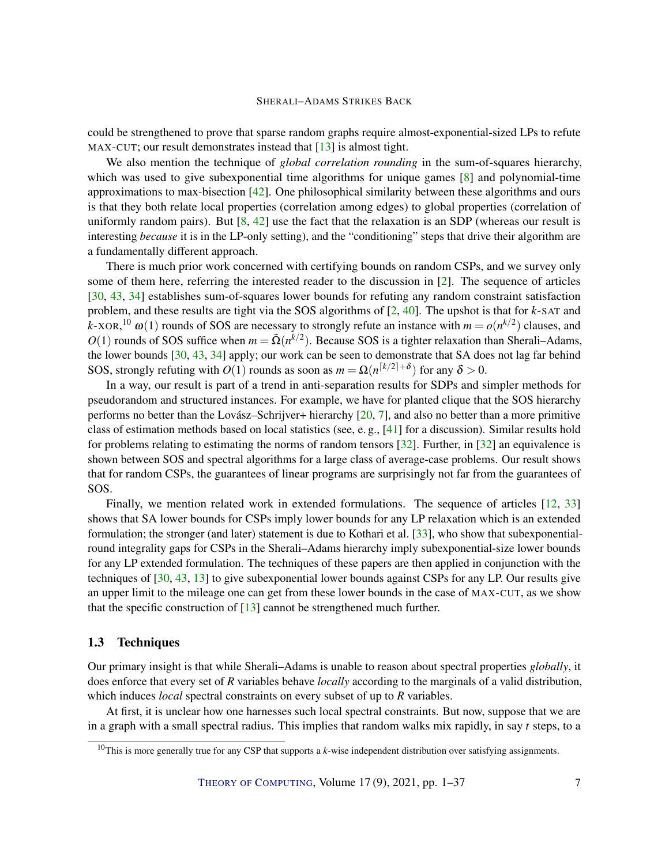<span id="page-6-0"></span>could be strengthened to prove that sparse random graphs require almost-exponential-sized LPs to refute MAX-CUT; our result demonstrates instead that [\[13\]](#page-33-3) is almost tight.

We also mention the technique of *global correlation rounding* in the sum-of-squares hierarchy, which was used to give subexponential time algorithms for unique games [\[8\]](#page-32-7) and polynomial-time approximations to max-bisection [\[42\]](#page-35-9). One philosophical similarity between these algorithms and ours is that they both relate local properties (correlation among edges) to global properties (correlation of uniformly random pairs). But  $[8, 42]$  $[8, 42]$  $[8, 42]$  use the fact that the relaxation is an SDP (whereas our result is interesting *because* it is in the LP-only setting), and the "conditioning" steps that drive their algorithm are a fundamentally different approach.

There is much prior work concerned with certifying bounds on random CSPs, and we survey only some of them here, referring the interested reader to the discussion in [\[2\]](#page-32-4). The sequence of articles [\[30,](#page-34-6) [43,](#page-35-8) [34\]](#page-34-7) establishes sum-of-squares lower bounds for refuting any random constraint satisfaction problem, and these results are tight via the SOS algorithms of [\[2,](#page-32-4) [40\]](#page-35-10). The upshot is that for *k*-SAT and *k*-XOR,<sup>10</sup>  $\omega(1)$  rounds of SOS are necessary to strongly refute an instance with  $m = o(n^{k/2})$  clauses, and  $O(1)$  rounds of SOS suffice when  $m = \tilde{\Omega}(n^{k/2})$ . Because SOS is a tighter relaxation than Sherali–Adams, the lower bounds [\[30,](#page-34-6) [43,](#page-35-8) [34\]](#page-34-7) apply; our work can be seen to demonstrate that SA does not lag far behind SOS, strongly refuting with  $O(1)$  rounds as soon as  $m = \Omega(n^{\lceil k/2 \rceil + \delta})$  for any  $\delta > 0$ .

In a way, our result is part of a trend in anti-separation results for SDPs and simpler methods for pseudorandom and structured instances. For example, we have for planted clique that the SOS hierarchy performs no better than the Lovász–Schrijver+ hierarchy [\[20,](#page-33-12) [7\]](#page-32-8), and also no better than a more primitive class of estimation methods based on local statistics (see, e. g., [\[41\]](#page-35-11) for a discussion). Similar results hold for problems relating to estimating the norms of random tensors  $[32]$ . Further, in  $[32]$  an equivalence is shown between SOS and spectral algorithms for a large class of average-case problems. Our result shows that for random CSPs, the guarantees of linear programs are surprisingly not far from the guarantees of SOS.

Finally, we mention related work in extended formulations. The sequence of articles [\[12,](#page-33-1) [33\]](#page-34-0) shows that SA lower bounds for CSPs imply lower bounds for any LP relaxation which is an extended formulation; the stronger (and later) statement is due to Kothari et al. [\[33\]](#page-34-0), who show that subexponentialround integrality gaps for CSPs in the Sherali–Adams hierarchy imply subexponential-size lower bounds for any LP extended formulation. The techniques of these papers are then applied in conjunction with the techniques of [\[30,](#page-34-6) [43,](#page-35-8) [13\]](#page-33-3) to give subexponential lower bounds against CSPs for any LP. Our results give an upper limit to the mileage one can get from these lower bounds in the case of MAX-CUT, as we show that the specific construction of  $[13]$  cannot be strengthened much further.

# 1.3 Techniques

Our primary insight is that while Sherali–Adams is unable to reason about spectral properties *globally*, it does enforce that every set of *R* variables behave *locally* according to the marginals of a valid distribution, which induces *local* spectral constraints on every subset of up to *R* variables.

At first, it is unclear how one harnesses such local spectral constraints. But now, suppose that we are in a graph with a small spectral radius. This implies that random walks mix rapidly, in say *t* steps, to a

<sup>10</sup>This is more generally true for any CSP that supports a *k*-wise independent distribution over satisfying assignments.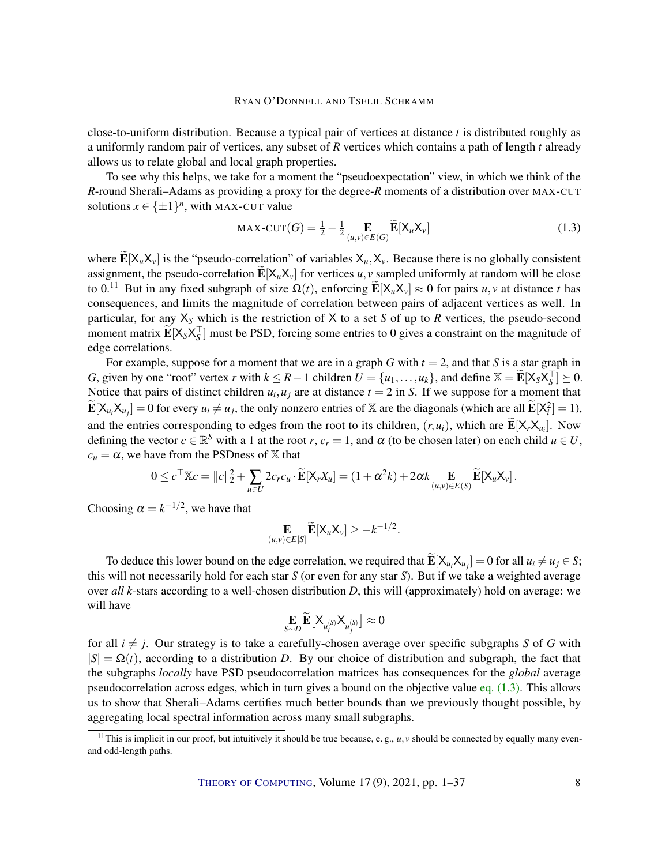close-to-uniform distribution. Because a typical pair of vertices at distance *t* is distributed roughly as a uniformly random pair of vertices, any subset of *R* vertices which contains a path of length *t* already allows us to relate global and local graph properties.

To see why this helps, we take for a moment the "pseudoexpectation" view, in which we think of the *R*-round Sherali–Adams as providing a proxy for the degree-*R* moments of a distribution over MAX-CUT solutions  $x \in {\pm 1}^n$ , with MAX-CUT value

<span id="page-7-0"></span>
$$
\text{MAX-CUT}(G) = \frac{1}{2} - \frac{1}{2} \mathop{\mathbb{E}}_{(u,v) \in E(G)} \widetilde{\mathop{\mathbb{E}}}[\mathsf{X}_u \mathsf{X}_v]
$$
(1.3)

where  $\widetilde{\mathbf{E}}[\mathsf{X}_u\mathsf{X}_v]$  is the "pseudo-correlation" of variables  $\mathsf{X}_u$ ,  $\mathsf{X}_v$ . Because there is no globally consistent assignment, the pseudo-correlation  $\widetilde{\mathbf{E}}[X_uX_v]$  for vertices *u*, *v* sampled uniformly at random will be close to 0.<sup>11</sup> But in any fixed subgraph of size  $\Omega(t)$ , enforcing  $\mathbf{E}[X_u X_v] \approx 0$  for pairs *u*, *v* at distance *t* has consequences, and limits the magnitude of correlation between pairs of adjacent vertices as well. In particular, for any X*<sup>S</sup>* which is the restriction of X to a set *S* of up to *R* vertices, the pseudo-second moment matrix  $\widetilde{\mathbf{E}}[X_S X_S^\top]$  must be PSD, forcing some entries to 0 gives a constraint on the magnitude of edge correlations.

For example, suppose for a moment that we are in a graph *G* with  $t = 2$ , and that *S* is a star graph in *G*, given by one "root" vertex *r* with  $k \le R - 1$  children  $U = \{u_1, \ldots, u_k\}$ , and define  $\mathbb{X} = \widetilde{\mathbf{E}}[X_S X_S^\top] \succeq 0$ . Notice that pairs of distinct children  $u_i, u_j$  are at distance  $t = 2$  in *S*. If we suppose for a moment that  $\widetilde{\mathbf{E}}[\mathsf{X}_{u_i}\mathsf{X}_{u_j}] = 0$  for every  $u_i \neq u_j$ , the only nonzero entries of X are the diagonals (which are all  $\widetilde{\mathbf{E}}[\mathsf{X}_i^2] = 1$ ), and the entries corresponding to edges from the root to its children,  $(r, u_i)$ , which are  $\mathbf{E}[X_r X_{u_i}]$ . Now defining the vector  $c \in \mathbb{R}^S$  with a 1 at the root *r*,  $c_r = 1$ , and  $\alpha$  (to be chosen later) on each child  $u \in U$ ,  $c<sub>u</sub> = \alpha$ , we have from the PSDness of X that

$$
0 \leq c^{\top} \mathbb{X} c = ||c||_2^2 + \sum_{u \in U} 2c_r c_u \cdot \widetilde{\mathbf{E}}[\mathsf{X}_r X_u] = (1 + \alpha^2 k) + 2\alpha k \mathbf{E}_{(u,v) \in E(S)} \widetilde{\mathbf{E}}[\mathsf{X}_u \mathsf{X}_v].
$$

Choosing  $\alpha = k^{-1/2}$ , we have that

$$
\mathop{\mathbf{E}}_{(u,v)\in E[S]} \widetilde{\mathop{\mathbf{E}}}[X_u X_v] \geq -k^{-1/2}.
$$

To deduce this lower bound on the edge correlation, we required that  $\mathbf{E}[X_{u_i}X_{u_j}] = 0$  for all  $u_i \neq u_j \in S$ ; this will not necessarily hold for each star *S* (or even for any star *S*). But if we take a weighted average over *all k*-stars according to a well-chosen distribution *D*, this will (approximately) hold on average: we will have

$$
\underset{S\sim D}{\mathbf{E}}\widetilde{\mathbf{E}}\left[\mathsf{X}_{u_{i}^{(S)}}\mathsf{X}_{u_{j}^{(S)}}\right]\approx0
$$

for all  $i \neq j$ . Our strategy is to take a carefully-chosen average over specific subgraphs *S* of *G* with  $|S| = \Omega(t)$ , according to a distribution *D*. By our choice of distribution and subgraph, the fact that the subgraphs *locally* have PSD pseudocorrelation matrices has consequences for the *global* average pseudocorrelation across edges, which in turn gives a bound on the objective value eq.  $(1.3)$ . This allows us to show that Sherali–Adams certifies much better bounds than we previously thought possible, by aggregating local spectral information across many small subgraphs.

<sup>&</sup>lt;sup>11</sup>This is implicit in our proof, but intuitively it should be true because, e.g.,  $u, v$  should be connected by equally many evenand odd-length paths.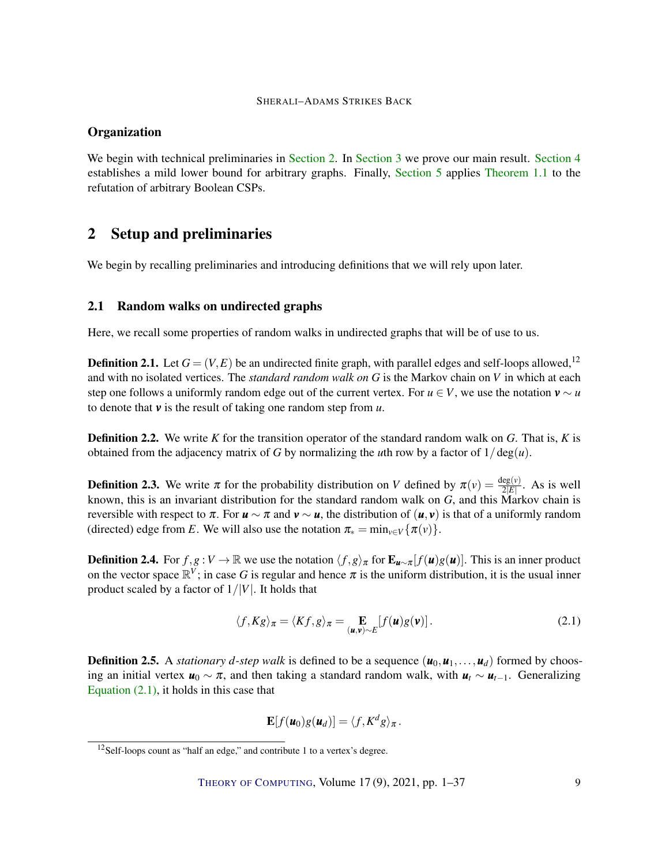# **Organization**

We begin with technical preliminaries in [Section 2.](#page-8-0) In [Section 3](#page-12-0) we prove our main result. [Section 4](#page-20-1) establishes a mild lower bound for arbitrary graphs. Finally, [Section 5](#page-21-0) applies [Theorem 1.1](#page-3-0) to the refutation of arbitrary Boolean CSPs.

# <span id="page-8-0"></span>2 Setup and preliminaries

We begin by recalling preliminaries and introducing definitions that we will rely upon later.

# 2.1 Random walks on undirected graphs

Here, we recall some properties of random walks in undirected graphs that will be of use to us.

**Definition 2.1.** Let  $G = (V, E)$  be an undirected finite graph, with parallel edges and self-loops allowed,<sup>12</sup> and with no isolated vertices. The *standard random walk on G* is the Markov chain on *V* in which at each step one follows a uniformly random edge out of the current vertex. For  $u \in V$ , we use the notation  $v \sim u$ to denote that *v* is the result of taking one random step from *u*.

Definition 2.2. We write *K* for the transition operator of the standard random walk on *G*. That is, *K* is obtained from the adjacency matrix of *G* by normalizing the *u*th row by a factor of  $1/\text{deg}(u)$ .

**Definition 2.3.** We write  $\pi$  for the probability distribution on *V* defined by  $\pi(v) = \frac{\deg(v)}{2|E|}$ . As is well known, this is an invariant distribution for the standard random walk on *G*, and this Markov chain is reversible with respect to  $\pi$ . For  $u \sim \pi$  and  $v \sim u$ , the distribution of  $(u, v)$  is that of a uniformly random (directed) edge from *E*. We will also use the notation  $\pi_* = \min_{v \in V} {\{\pi(v)\}}$ .

**Definition 2.4.** For  $f, g: V \to \mathbb{R}$  we use the notation  $\langle f, g \rangle_{\pi}$  for  $\mathbf{E}_{u \sim \pi}[f(u)g(u)]$ . This is an inner product on the vector space  $\mathbb{R}^V$ ; in case G is regular and hence  $\pi$  is the uniform distribution, it is the usual inner product scaled by a factor of 1/|*V*|. It holds that

<span id="page-8-1"></span>
$$
\langle f, Kg \rangle_{\pi} = \langle Kf, g \rangle_{\pi} = \mathop{\mathbf{E}}_{(\mathbf{u}, \mathbf{v}) \sim E} [f(\mathbf{u})g(\mathbf{v})]. \tag{2.1}
$$

**Definition 2.5.** A *stationary d-step walk* is defined to be a sequence  $(u_0, u_1, \ldots, u_d)$  formed by choosing an initial vertex  $u_0 \sim \pi$ , and then taking a standard random walk, with  $u_t \sim u_{t-1}$ . Generalizing Equation  $(2.1)$ , it holds in this case that

$$
\mathbf{E}[f(\mathbf{u}_0)g(\mathbf{u}_d)] = \langle f, K^d g \rangle_{\pi}.
$$

<sup>&</sup>lt;sup>12</sup>Self-loops count as "half an edge," and contribute 1 to a vertex's degree.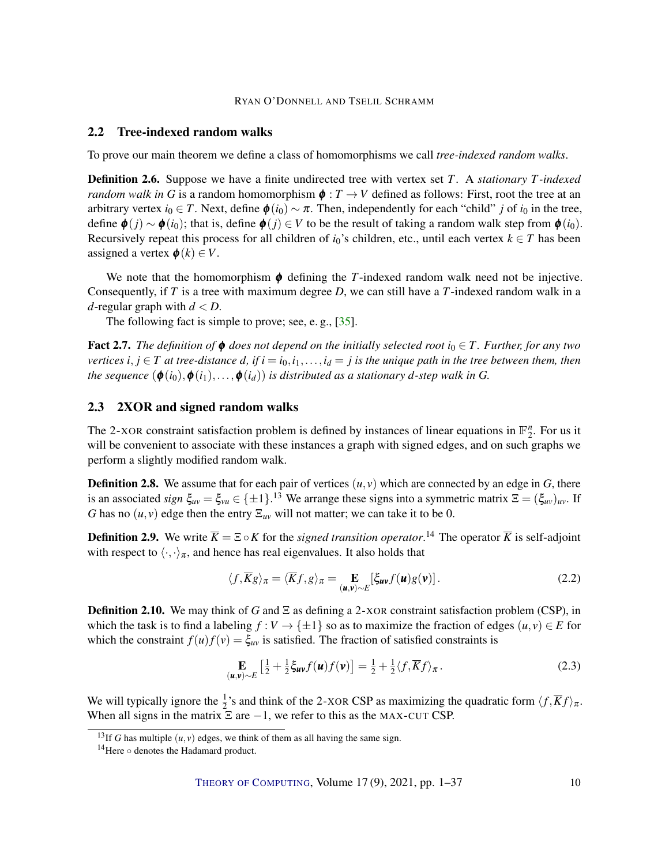# <span id="page-9-3"></span>2.2 Tree-indexed random walks

To prove our main theorem we define a class of homomorphisms we call *tree-indexed random walks*.

<span id="page-9-1"></span>Definition 2.6. Suppose we have a finite undirected tree with vertex set *T*. A *stationary T-indexed random walk in G* is a random homomorphism  $\phi: T \to V$  defined as follows: First, root the tree at an arbitrary vertex  $i_0 \in T$ . Next, define  $\phi(i_0) \sim \pi$ . Then, independently for each "child" *j* of  $i_0$  in the tree, define  $\phi(j) \sim \phi(i_0)$ ; that is, define  $\phi(j) \in V$  to be the result of taking a random walk step from  $\phi(i_0)$ . Recursively repeat this process for all children of  $i_0$ 's children, etc., until each vertex  $k \in T$  has been assigned a vertex  $\phi(k) \in V$ .

We note that the homomorphism  $\phi$  defining the *T*-indexed random walk need not be injective. Consequently, if *T* is a tree with maximum degree *D*, we can still have a *T*-indexed random walk in a *d*-regular graph with  $d < D$ .

The following fact is simple to prove; see, e.g., [\[35\]](#page-34-10).

**Fact 2.7.** *The definition of*  $\phi$  *does not depend on the initially selected root*  $i_0 \in T$ *. Further, for any two vertices*  $i, j \in T$  *at tree-distance d, if*  $i = i_0, i_1, \ldots, i_d = j$  *is the unique path in the tree between them, then the sequence*  $(\phi(i_0), \phi(i_1), \ldots, \phi(i_d))$  *is distributed as a stationary d-step walk in G.* 

## 2.3 2XOR and signed random walks

The 2-XOR constraint satisfaction problem is defined by instances of linear equations in  $\mathbb{F}_2^n$ . For us it will be convenient to associate with these instances a graph with signed edges, and on such graphs we perform a slightly modified random walk.

**Definition 2.8.** We assume that for each pair of vertices  $(u, v)$  which are connected by an edge in  $G$ , there is an associated *sign*  $\xi_{uv} = \xi_{vu} \in \{\pm 1\}$ .<sup>13</sup> We arrange these signs into a symmetric matrix  $\Xi = (\xi_{uv})_{uv}$ . If *G* has no  $(u, v)$  edge then the entry  $\Xi_{uv}$  will not matter; we can take it to be 0.

**Definition 2.9.** We write  $\overline{K} = \Xi \circ K$  for the *signed transition operator*.<sup>14</sup> The operator  $\overline{K}$  is self-adjoint with respect to  $\langle \cdot, \cdot \rangle_{\pi}$ , and hence has real eigenvalues. It also holds that

<span id="page-9-0"></span>
$$
\langle f, \overline{K}g \rangle_{\pi} = \langle \overline{K}f, g \rangle_{\pi} = \mathop{\mathbf{E}}_{(\mathbf{u}, \mathbf{v}) \sim E} [\xi_{\mathbf{u}\mathbf{v}} f(\mathbf{u}) g(\mathbf{v})]. \tag{2.2}
$$

Definition 2.10. We may think of *G* and Ξ as defining a 2-XOR constraint satisfaction problem (CSP), in which the task is to find a labeling  $f : V \to \{\pm 1\}$  so as to maximize the fraction of edges  $(u, v) \in E$  for which the constraint  $f(u)f(v) = \xi_{uv}$  is satisfied. The fraction of satisfied constraints is

<span id="page-9-2"></span>
$$
\mathbf{E}_{(\mathbf{u},\mathbf{v})\sim E} \left[ \frac{1}{2} + \frac{1}{2} \xi_{\mathbf{u}\mathbf{v}} f(\mathbf{u}) f(\mathbf{v}) \right] = \frac{1}{2} + \frac{1}{2} \langle f, \overline{K} f \rangle_{\pi}.
$$
 (2.3)

We will typically ignore the  $\frac{1}{2}$ 's and think of the 2-XOR CSP as maximizing the quadratic form  $\langle f, \overline{K}f \rangle_{\pi}$ . When all signs in the matrix  $\Xi$  are  $-1$ , we refer to this as the MAX-CUT CSP.

<sup>&</sup>lt;sup>13</sup>If *G* has multiple  $(u, v)$  edges, we think of them as all having the same sign.

<sup>14</sup>Here ◦ denotes the Hadamard product.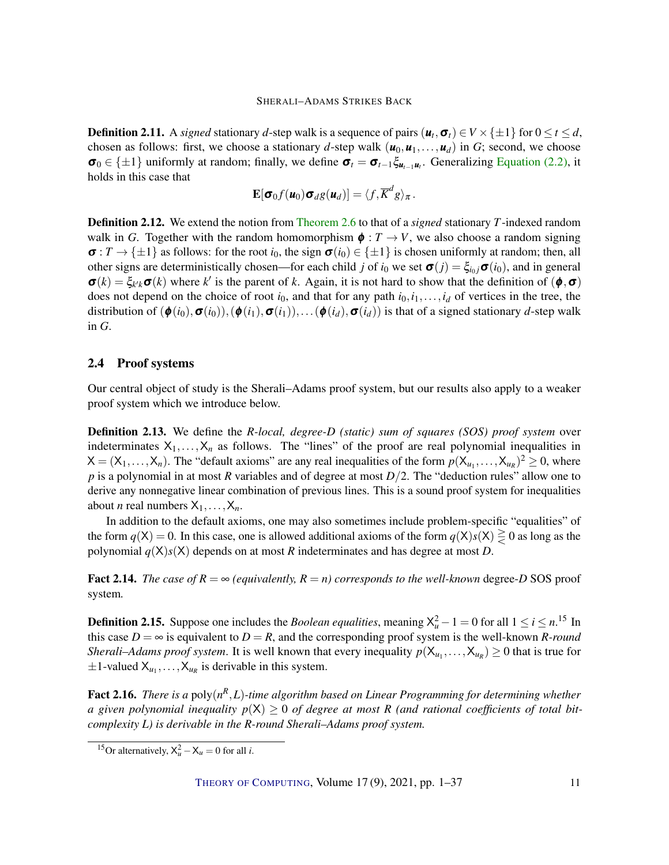<span id="page-10-1"></span>**Definition 2.11.** A *signed* stationary *d*-step walk is a sequence of pairs  $(u_t, \sigma_t) \in V \times \{\pm 1\}$  for  $0 \le t \le d$ , chosen as follows: first, we choose a stationary *d*-step walk  $(\mathbf{u}_0, \mathbf{u}_1, \dots, \mathbf{u}_d)$  in *G*; second, we choose  $\sigma_0 \in \{\pm 1\}$  uniformly at random; finally, we define  $\sigma_t = \sigma_{t-1} \xi_{u_{t-1}u_t}$ . Generalizing [Equation \(2.2\),](#page-9-0) it holds in this case that

$$
\mathbf{E}[\boldsymbol{\sigma}_0 f(\boldsymbol{u}_0) \boldsymbol{\sigma}_d g(\boldsymbol{u}_d)] = \langle f, \overline{K}^d g \rangle_{\pi}.
$$

<span id="page-10-2"></span>Definition 2.12. We extend the notion from [Theorem 2.6](#page-9-1) to that of a *signed* stationary *T*-indexed random walk in *G*. Together with the random homomorphism  $\phi : T \to V$ , we also choose a random signing  $\sigma: T \to \{\pm 1\}$  as follows: for the root *i*<sub>0</sub>, the sign  $\sigma(i_0) \in \{\pm 1\}$  is chosen uniformly at random; then, all other signs are deterministically chosen—for each child *j* of  $i_0$  we set  $\sigma(j) = \xi_{i_0j}\sigma(i_0)$ , and in general  $\sigma(k) = \xi_{k'k}\sigma(k)$  where k' is the parent of k. Again, it is not hard to show that the definition of  $(\phi, \sigma)$ does not depend on the choice of root  $i_0$ , and that for any path  $i_0, i_1, \ldots, i_d$  of vertices in the tree, the distribution of  $(\phi(i_0), \sigma(i_0)), (\phi(i_1), \sigma(i_1)), \ldots (\phi(i_d), \sigma(i_d))$  is that of a signed stationary *d*-step walk in *G*.

## <span id="page-10-0"></span>2.4 Proof systems

Our central object of study is the Sherali–Adams proof system, but our results also apply to a weaker proof system which we introduce below.

Definition 2.13. We define the *R-local, degree-D (static) sum of squares (SOS) proof system* over indeterminates  $X_1, \ldots, X_n$  as follows. The "lines" of the proof are real polynomial inequalities in  $X = (X_1, \ldots, X_n)$ . The "default axioms" are any real inequalities of the form  $p(X_{u_1}, \ldots, X_{u_R})^2 \ge 0$ , where *p* is a polynomial in at most *R* variables and of degree at most *D*/2. The "deduction rules" allow one to derive any nonnegative linear combination of previous lines. This is a sound proof system for inequalities about *n* real numbers  $X_1, \ldots, X_n$ .

In addition to the default axioms, one may also sometimes include problem-specific "equalities" of the form  $q(X) = 0$ . In this case, one is allowed additional axioms of the form  $q(X)s(X) \ge 0$  as long as the polynomial  $q(X)$ <sub>s</sub> $(X)$  depends on at most *R* indeterminates and has degree at most *D*.

**Fact 2.14.** *The case of*  $R = \infty$  *(equivalently,*  $R = n$ *) corresponds to the well-known* degree-*D* SOS proof system*.*

**Definition 2.15.** Suppose one includes the *Boolean equalities*, meaning  $X_u^2 - 1 = 0$  for all  $1 \le i \le n$ .<sup>15</sup> In this case  $D = \infty$  is equivalent to  $D = R$ , and the corresponding proof system is the well-known *R-round Sherali–Adams proof system.* It is well known that every inequality  $p(X_{u_1},...,X_{u_R}) \ge 0$  that is true for  $\pm 1$ -valued  $X_{u_1}, \ldots, X_{u_R}$  is derivable in this system.

Fact 2.16. *There is a* poly( $n^R$ , *L*)-time algorithm based on Linear Programming for determining whether *a* given polynomial inequality  $p(X) \geq 0$  of degree at most R (and rational coefficients of total bit*complexity L) is derivable in the R-round Sherali–Adams proof system.*

<sup>&</sup>lt;sup>15</sup>Or alternatively,  $X_u^2 - X_u = 0$  for all *i*.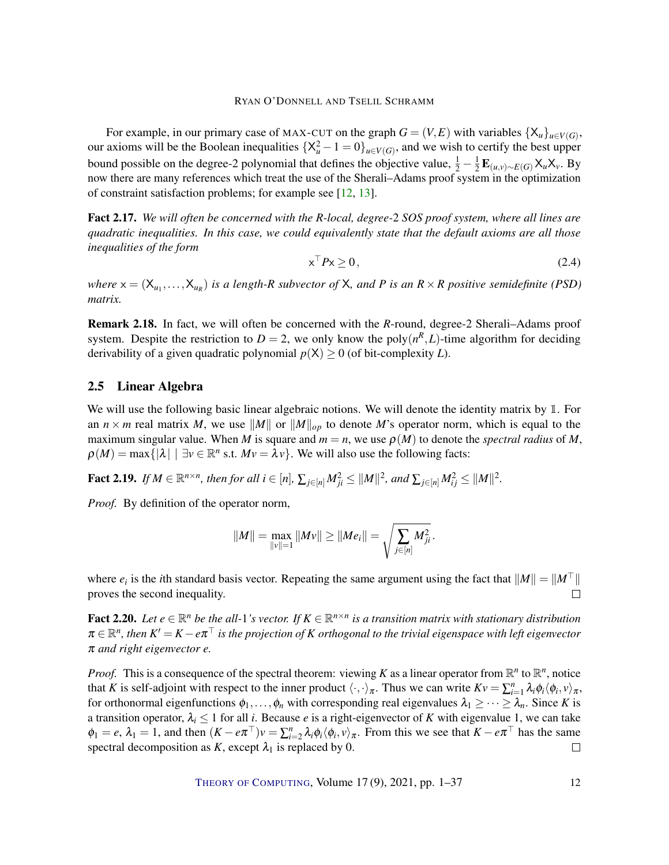<span id="page-11-2"></span>For example, in our primary case of MAX-CUT on the graph  $G = (V, E)$  with variables  $\{X_u\}_{u \in V(G)}$ , our axioms will be the Boolean inequalities  $\{X_u^2 - 1 = 0\}_{u \in V(G)}$ , and we wish to certify the best upper bound possible on the degree-2 polynomial that defines the objective value,  $\frac{1}{2} - \frac{1}{2}$ 2 E(*u*,*v*)∼*E*(*G*)X*u*X*v*. By now there are many references which treat the use of the Sherali–Adams proof system in the optimization of constraint satisfaction problems; for example see [\[12,](#page-33-1) [13\]](#page-33-3).

Fact 2.17. *We will often be concerned with the R-local, degree-*2 *SOS proof system, where all lines are quadratic inequalities. In this case, we could equivalently state that the default axioms are all those inequalities of the form*

<span id="page-11-0"></span>
$$
\mathbf{x}^{\top} P \mathbf{x} \ge 0,\tag{2.4}
$$

where  $x = (X_{u_1},...,X_{u_R})$  *is a length-R subvector of* X, and P *is an*  $R \times R$  positive semidefinite (PSD) *matrix.*

Remark 2.18. In fact, we will often be concerned with the *R*-round, degree-2 Sherali–Adams proof system. Despite the restriction to  $D = 2$ , we only know the poly $(n^R, L)$ -time algorithm for deciding derivability of a given quadratic polynomial  $p(X) \ge 0$  (of bit-complexity *L*).

## 2.5 Linear Algebra

We will use the following basic linear algebraic notions. We will denote the identity matrix by 1. For an  $n \times m$  real matrix *M*, we use  $\|M\|$  or  $\|M\|_{op}$  to denote *M*'s operator norm, which is equal to the maximum singular value. When *M* is square and  $m = n$ , we use  $\rho(M)$  to denote the *spectral radius* of *M*,  $\rho(M) = \max\{|\lambda| \mid \exists v \in \mathbb{R}^n \text{ s.t. } Mv = \lambda v\}.$  We will also use the following facts:

**Fact 2.19.** *If*  $M \in \mathbb{R}^{n \times n}$ , then for all  $i \in [n]$ ,  $\sum_{j \in [n]} M_{ji}^2 \le ||M||^2$ , and  $\sum_{j \in [n]} M_{ij}^2 \le ||M||^2$ .

*Proof.* By definition of the operator norm,

$$
||M|| = \max_{||v||=1} ||Mv|| \ge ||Me_i|| = \sqrt{\sum_{j \in [n]} M_{ji}^2}.
$$

where  $e_i$  is the *i*th standard basis vector. Repeating the same argument using the fact that  $||M|| = ||M^{\top}||$ proves the second inequality.  $\Box$ 

<span id="page-11-1"></span>**Fact 2.20.** Let  $e \in \mathbb{R}^n$  be the all-1's vector. If  $K \in \mathbb{R}^{n \times n}$  is a transition matrix with stationary distribution  $\pi\in\R^n$ , then  $K'=K-e\pi^\top$  is the projection of  $K$  orthogonal to the trivial eigenspace with left eigenvector π *and right eigenvector e.*

*Proof.* This is a consequence of the spectral theorem: viewing *K* as a linear operator from  $\mathbb{R}^n$  to  $\mathbb{R}^n$ , notice that *K* is self-adjoint with respect to the inner product  $\langle \cdot, \cdot \rangle_{\pi}$ . Thus we can write  $Kv = \sum_{i=1}^{n} \lambda_i \phi_i \langle \phi_i, v \rangle_{\pi}$ , for orthonormal eigenfunctions  $\phi_1, \ldots, \phi_n$  with corresponding real eigenvalues  $\lambda_1 \geq \cdots \geq \lambda_n$ . Since *K* is a transition operator,  $\lambda_i \leq 1$  for all *i*. Because *e* is a right-eigenvector of *K* with eigenvalue 1, we can take  $\phi_1 = e$ ,  $\lambda_1 = 1$ , and then  $(K - e\pi^{\top})v = \sum_{i=2}^n \lambda_i \phi_i \langle \phi_i, v \rangle_{\pi}$ . From this we see that  $K - e\pi^{\top}$  has the same spectral decomposition as  $K$ , except  $\lambda_1$  is replaced by 0.  $\Box$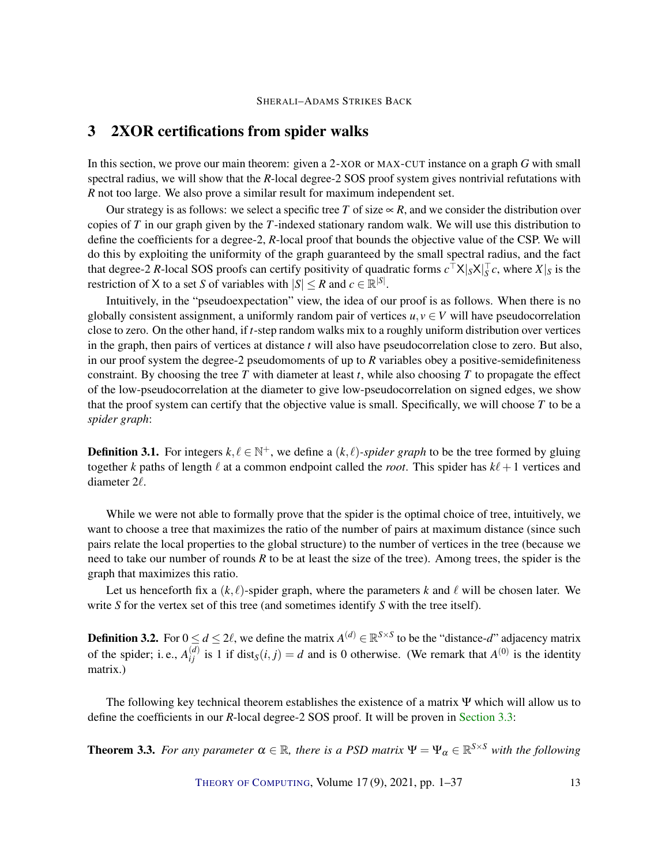# <span id="page-12-0"></span>3 2XOR certifications from spider walks

In this section, we prove our main theorem: given a 2-XOR or MAX-CUT instance on a graph *G* with small spectral radius, we will show that the *R*-local degree-2 SOS proof system gives nontrivial refutations with *R* not too large. We also prove a similar result for maximum independent set.

Our strategy is as follows: we select a specific tree *T* of size  $\propto$  *R*, and we consider the distribution over copies of *T* in our graph given by the *T*-indexed stationary random walk. We will use this distribution to define the coefficients for a degree-2, *R*-local proof that bounds the objective value of the CSP. We will do this by exploiting the uniformity of the graph guaranteed by the small spectral radius, and the fact that degree-2 *R*-local SOS proofs can certify positivity of quadratic forms  $c^{\top}X|_S X|_S^{\top}c$ , where  $X|_S$  is the restriction of *X* to a set *S* of variables with  $|S| \le R$  and  $c \in \mathbb{R}^{|S|}$ .

Intuitively, in the "pseudoexpectation" view, the idea of our proof is as follows. When there is no globally consistent assignment, a uniformly random pair of vertices  $u, v \in V$  will have pseudocorrelation close to zero. On the other hand, if *t*-step random walks mix to a roughly uniform distribution over vertices in the graph, then pairs of vertices at distance *t* will also have pseudocorrelation close to zero. But also, in our proof system the degree-2 pseudomoments of up to *R* variables obey a positive-semidefiniteness constraint. By choosing the tree *T* with diameter at least *t*, while also choosing *T* to propagate the effect of the low-pseudocorrelation at the diameter to give low-pseudocorrelation on signed edges, we show that the proof system can certify that the objective value is small. Specifically, we will choose *T* to be a *spider graph*:

**Definition 3.1.** For integers  $k, \ell \in \mathbb{N}^+$ , we define a  $(k, \ell)$ *-spider graph* to be the tree formed by gluing together *k* paths of length  $\ell$  at a common endpoint called the *root*. This spider has  $k\ell + 1$  vertices and diameter  $2\ell$ .

While we were not able to formally prove that the spider is the optimal choice of tree, intuitively, we want to choose a tree that maximizes the ratio of the number of pairs at maximum distance (since such pairs relate the local properties to the global structure) to the number of vertices in the tree (because we need to take our number of rounds *R* to be at least the size of the tree). Among trees, the spider is the graph that maximizes this ratio.

Let us henceforth fix a  $(k, \ell)$ -spider graph, where the parameters k and  $\ell$  will be chosen later. We write *S* for the vertex set of this tree (and sometimes identify *S* with the tree itself).

<span id="page-12-1"></span>**Definition 3.2.** For  $0 \le d \le 2\ell$ , we define the matrix  $A^{(d)} \in \mathbb{R}^{S \times S}$  to be the "distance-*d*" adjacency matrix of the spider; i.e.,  $A_{ij}^{(d)}$  is 1 if dist<sub>*S*</sub>(*i*, *j*) = *d* and is 0 otherwise. (We remark that  $A^{(0)}$  is the identity matrix.)

The following key technical theorem establishes the existence of a matrix Ψ which will allow us to define the coefficients in our *R*-local degree-2 SOS proof. It will be proven in [Section 3.3:](#page-18-0)

<span id="page-12-2"></span>**Theorem 3.3.** *For any parameter*  $\alpha \in \mathbb{R}$ , *there is a PSD matrix*  $\Psi = \Psi_{\alpha} \in \mathbb{R}^{S \times S}$  *with the following* 

THEORY OF C[OMPUTING](http://dx.doi.org/10.4086/toc), Volume 17(9), 2021, pp. 1–37 13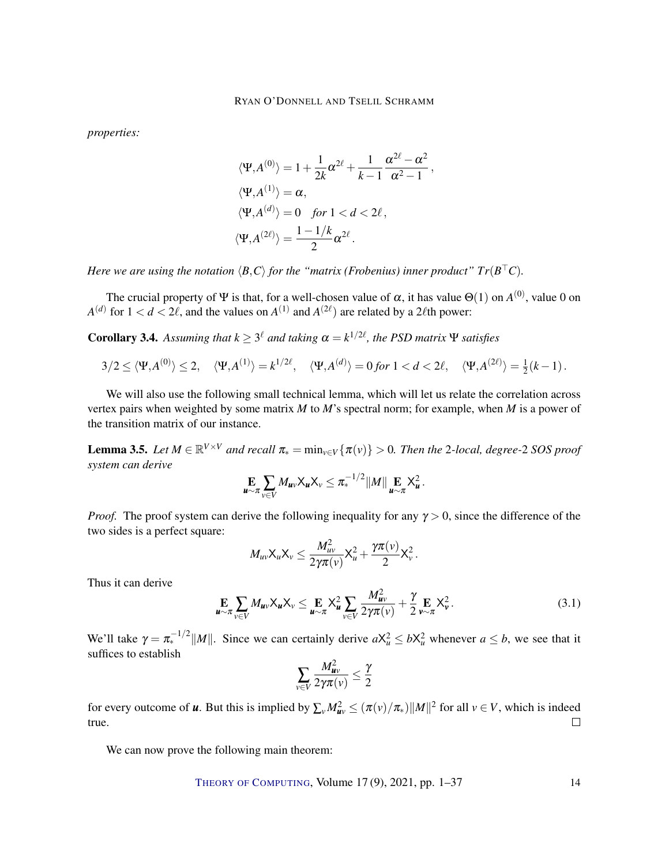*properties:*

$$
\langle \Psi, A^{(0)} \rangle = 1 + \frac{1}{2k} \alpha^{2\ell} + \frac{1}{k-1} \frac{\alpha^{2\ell} - \alpha^2}{\alpha^2 - 1},
$$
  

$$
\langle \Psi, A^{(1)} \rangle = \alpha,
$$
  

$$
\langle \Psi, A^{(d)} \rangle = 0 \quad \text{for } 1 < d < 2\ell,
$$
  

$$
\langle \Psi, A^{(2\ell)} \rangle = \frac{1 - 1/k}{2} \alpha^{2\ell}.
$$

*Here we are using the notation*  $\langle B, C \rangle$  *for the "matrix (Frobenius) inner product"*  $Tr(B^\top C)$ *.* 

The crucial property of  $\Psi$  is that, for a well-chosen value of  $\alpha$ , it has value  $\Theta(1)$  on  $A^{(0)}$ , value 0 on  $A^{(d)}$  for  $1 < d < 2\ell$ , and the values on  $A^{(1)}$  and  $A^{(2\ell)}$  are related by a 2 $\ell$ th power:

<span id="page-13-0"></span>**Corollary 3.4.** Assuming that  $k \geq 3^{\ell}$  and taking  $\alpha = k^{1/2\ell}$ , the PSD matrix  $\Psi$  satisfies

$$
3/2 \le \langle \Psi, A^{(0)} \rangle \le 2, \quad \langle \Psi, A^{(1)} \rangle = k^{1/2\ell}, \quad \langle \Psi, A^{(d)} \rangle = 0 \text{ for } 1 < d < 2\ell, \quad \langle \Psi, A^{(2\ell)} \rangle = \frac{1}{2}(k-1).
$$

We will also use the following small technical lemma, which will let us relate the correlation across vertex pairs when weighted by some matrix *M* to *M*'s spectral norm; for example, when *M* is a power of the transition matrix of our instance.

<span id="page-13-1"></span>**Lemma 3.5.** Let  $M \in \mathbb{R}^{V \times V}$  and recall  $\pi_* = \min_{v \in V} {\{\pi(v)\}} > 0$ . Then the 2-local, degree-2 SOS proof *system can derive*

$$
\mathop{\mathbf{E}}\limits_{\mathbf{u}\sim\pi}\sum_{v\in V}M_{\mathbf{u}v}\mathsf{X}_{\mathbf{u}}\mathsf{X}_{v}\leq \pi_{*}^{-1/2}||M||\mathop{\mathbf{E}}\limits_{\mathbf{u}\sim\pi}\mathsf{X}_{\mathbf{u}}^{2}.
$$

*Proof.* The proof system can derive the following inequality for any  $\gamma > 0$ , since the difference of the two sides is a perfect square:

$$
M_{uv}\mathsf{X}_u\mathsf{X}_v\leq \frac{M_{uv}^2}{2\gamma\pi(v)}\mathsf{X}_u^2+\frac{\gamma\pi(v)}{2}\mathsf{X}_v^2.
$$

Thus it can derive

$$
\mathop{\mathbf{E}}\limits_{\mathbf{u}\sim\pi}\sum_{v\in V}M_{\mathbf{u}v}\mathsf{X}_{\mathbf{u}}\mathsf{X}_{v}\leq \mathop{\mathbf{E}}\limits_{\mathbf{u}\sim\pi}\mathsf{X}_{\mathbf{u}}^{2}\sum_{v\in V}\frac{M_{\mathbf{u}v}^{2}}{2\gamma\pi(v)}+\frac{\gamma}{2}\mathop{\mathbf{E}}\limits_{\mathbf{v}\sim\pi}\mathsf{X}_{\mathbf{v}}^{2}.
$$
 (3.1)

We'll take  $\gamma = \pi_*^{-1/2} ||M||$ . Since we can certainly derive  $a \times_a^2 \leq b \times_a^2$  whenever  $a \leq b$ , we see that it suffices to establish

$$
\sum_{v \in V} \frac{M_{uv}^2}{2 \gamma \pi(v)} \le \frac{\gamma}{2}
$$

for every outcome of *u*. But this is implied by  $\sum_{\nu} M_{uv}^2 \le (\pi(\nu)/\pi_*) ||M||^2$  for all  $\nu \in V$ , which is indeed  $\Box$ true.

We can now prove the following main theorem: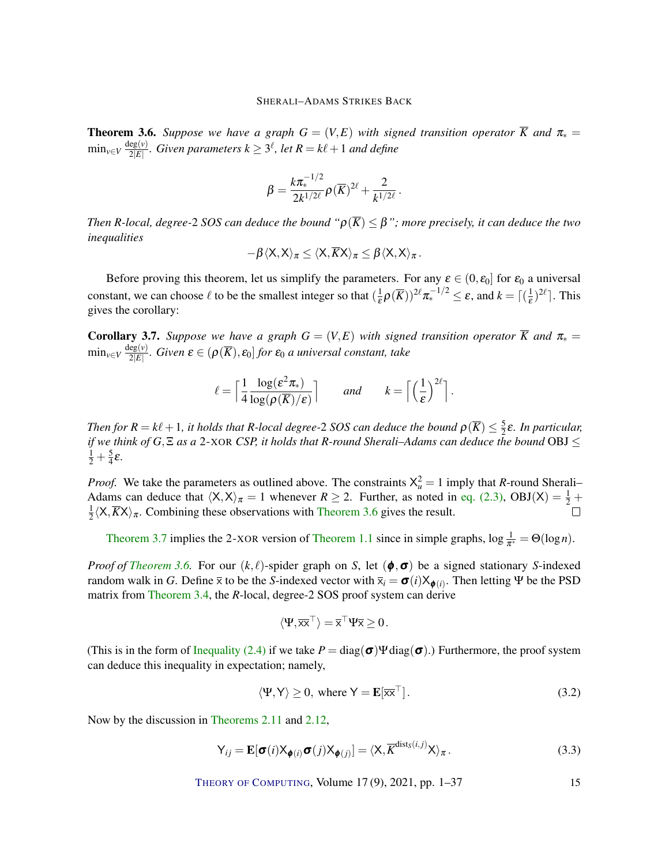<span id="page-14-0"></span>**Theorem 3.6.** *Suppose we have a graph*  $G = (V, E)$  *with signed transition operator*  $\overline{K}$  *and*  $\pi_* =$  $\min_{v \in V} \frac{\deg(v)}{2|E|}$  $\frac{\deg(v)}{2|E|}$ . Given parameters  $k \geq 3^{\ell}$ , let  $R = k\ell + 1$  and define

$$
\beta = \frac{k\pi_*^{-1/2}}{2k^{1/2\ell}} \rho(\overline{K})^{2\ell} + \frac{2}{k^{1/2\ell}}.
$$

*Then R-local, degree-2 SOS can deduce the bound* " $\rho(\overline{K}) \leq \beta$ "; *more precisely, it can deduce the two inequalities*

$$
-\beta \langle X,X\rangle_\pi \leq \langle X,\overline{K}X\rangle_\pi \leq \beta \langle X,X\rangle_\pi.
$$

Before proving this theorem, let us simplify the parameters. For any  $\varepsilon \in (0, \varepsilon_0]$  for  $\varepsilon_0$  a universal constant, we can choose  $\ell$  to be the smallest integer so that  $(\frac{1}{\epsilon})$  $\frac{1}{\varepsilon}\rho(\overline{K}))^{2\ell}\pi_*^{-1/2} \leq \varepsilon$ , and  $k = \lceil(\frac{1}{\varepsilon})\rceil$  $(\frac{1}{\varepsilon})^{2\ell}$ . This gives the corollary:

<span id="page-14-1"></span>**Corollary 3.7.** *Suppose we have a graph*  $G = (V, E)$  *with signed transition operator*  $\overline{K}$  *and*  $\pi_* =$  $\min_{v \in V} \frac{\deg(v)}{2|E|}$ 2|*E*| *. Given* ε ∈ (ρ(*K*), ε0] *for* ε<sup>0</sup> *a universal constant, take*

$$
\ell = \left\lceil \frac{1}{4} \frac{\log(\varepsilon^2 \pi_*)}{\log(\rho(\overline{K})/\varepsilon)} \right\rceil \quad \text{and} \quad k = \left\lceil \left(\frac{1}{\varepsilon}\right)^{2\ell} \right\rceil.
$$

*Then for*  $R = k\ell + 1$ , it holds that R-local degree-2 SOS can deduce the bound  $\rho(\overline{K}) \leq \frac{5}{2}$ 2 ε*. In particular, if we think of G*,Ξ *as a* 2-XOR *CSP, it holds that R-round Sherali–Adams can deduce the bound* OBJ ≤  $rac{1}{2} + \frac{5}{4}$  $\frac{5}{4}$  $\varepsilon$ .

*Proof.* We take the parameters as outlined above. The constraints  $X_u^2 = 1$  imply that *R*-round Sherali– Adams can deduce that  $\langle X, X \rangle_{\pi} = 1$  whenever  $R \ge 2$ . Further, as noted in [eq. \(2.3\),](#page-9-2) OBJ(X) =  $\frac{1}{2}$  + 1  $\frac{1}{2}\langle X,\overline{K}X\rangle_{\pi}$ . Combining these observations with [Theorem 3.6](#page-14-0) gives the result.

[Theorem 3.7](#page-14-1) implies the 2-XOR version of [Theorem 1.1](#page-3-0) since in simple graphs,  $\log \frac{1}{\pi^*} = \Theta(\log n)$ .

*Proof of [Theorem 3.6.](#page-14-0)* For our  $(k, \ell)$ -spider graph on *S*, let  $(\phi, \sigma)$  be a signed stationary *S*-indexed random walk in *G*. Define  $\bar{x}$  to be the *S*-indexed vector with  $\bar{x}_i = \sigma(i)X_{\phi(i)}$ . Then letting Ψ be the PSD matrix from [Theorem 3.4,](#page-13-0) the *R*-local, degree-2 SOS proof system can derive

$$
\langle \Psi, \overline{\mathsf{x} \mathsf{x}}^\top \rangle = \overline{\mathsf{x}}^\top \Psi \overline{\mathsf{x}} \geq 0 \, .
$$

(This is in the form of [Inequality \(2.4\)](#page-11-0) if we take  $P = \text{diag}(\boldsymbol{\sigma}) \Psi \text{diag}(\boldsymbol{\sigma})$ .) Furthermore, the proof system can deduce this inequality in expectation; namely,

<span id="page-14-2"></span>
$$
\langle \Psi, \mathsf{Y} \rangle \ge 0, \text{ where } \mathsf{Y} = \mathbf{E}[\overline{\mathsf{x}\mathsf{x}}^{\top}]. \tag{3.2}
$$

Now by the discussion in [Theorems 2.11](#page-10-1) and [2.12,](#page-10-2)

<span id="page-14-3"></span>
$$
Y_{ij} = \mathbf{E}[\boldsymbol{\sigma}(i)X_{\boldsymbol{\phi}(i)}\boldsymbol{\sigma}(j)X_{\boldsymbol{\phi}(j)}] = \langle X, \overline{K}^{\text{dist}_{S}(i,j)}X \rangle_{\pi}.
$$
\n(3.3)

THEORY OF C[OMPUTING](http://dx.doi.org/10.4086/toc), Volume 17(9), 2021, pp. 1–37 15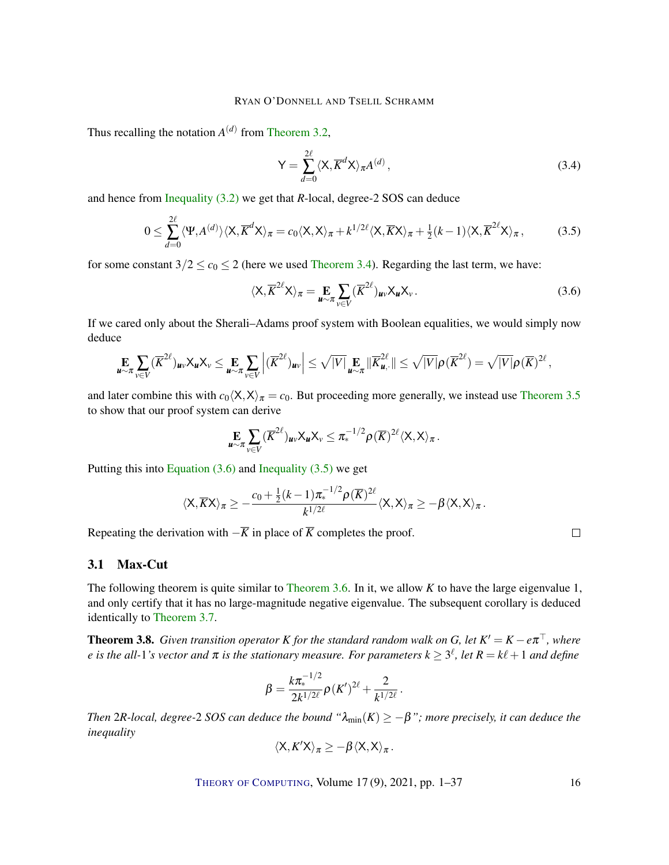Thus recalling the notation  $A<sup>(d)</sup>$  from [Theorem 3.2,](#page-12-1)

<span id="page-15-3"></span>
$$
Y = \sum_{d=0}^{2\ell} \langle X, \overline{K}^d X \rangle_{\pi} A^{(d)}, \qquad (3.4)
$$

and hence from [Inequality \(3.2\)](#page-14-2) we get that *R*-local, degree-2 SOS can deduce

<span id="page-15-1"></span>
$$
0 \leq \sum_{d=0}^{2\ell} \langle \Psi, A^{(d)} \rangle \langle X, \overline{K}^d X \rangle_{\pi} = c_0 \langle X, X \rangle_{\pi} + k^{1/2\ell} \langle X, \overline{K} X \rangle_{\pi} + \frac{1}{2} (k-1) \langle X, \overline{K}^{2\ell} X \rangle_{\pi},
$$
(3.5)

for some constant  $3/2 \le c_0 \le 2$  (here we used [Theorem 3.4\)](#page-13-0). Regarding the last term, we have:

<span id="page-15-0"></span>
$$
\langle X, \overline{K}^{2\ell} X \rangle_{\pi} = \mathop{\mathbf{E}}_{\mathbf{u} \sim \pi} \sum_{v \in V} (\overline{K}^{2\ell})_{\mathbf{u}v} X_{\mathbf{u}} X_{v}.
$$
 (3.6)

If we cared only about the Sherali–Adams proof system with Boolean equalities, we would simply now deduce

$$
\mathop{\mathbf{E}}\limits_{\mathbf{u}\sim\pi}\sum_{v\in V}(\overline{K}^{2\ell})_{\mathbf{u}v}\mathsf{X}_{\mathbf{u}}\mathsf{X}_{v}\leq \mathop{\mathbf{E}}\limits_{\mathbf{u}\sim\pi}\sum_{v\in V}\left|(\overline{K}^{2\ell})_{\mathbf{u}v}\right|\leq \sqrt{|V|}\mathop{\mathbf{E}}\limits_{\mathbf{u}\sim\pi}\|\overline{K}^{2\ell}_{\mathbf{u},\cdot}\|\leq \sqrt{|V|}\rho(\overline{K}^{2\ell})=\sqrt{|V|}\rho(\overline{K})^{2\ell},
$$

and later combine this with  $c_0\langle X,X\rangle_\pi = c_0$ . But proceeding more generally, we instead use [Theorem 3.5](#page-13-1) to show that our proof system can derive

$$
\mathop{\mathbf{E}}_{\boldsymbol{u}\sim\pi}\sum_{v\in V}(\overline{K}^{2\ell})_{\boldsymbol{u}v}\mathsf{X}_{\boldsymbol{u}}\mathsf{X}_{v}\leq \pi_{*}^{-1/2}\rho(\overline{K})^{2\ell}\langle \mathsf{X},\mathsf{X}\rangle_{\pi}.
$$

Putting this into Equation  $(3.6)$  and Inequality  $(3.5)$  we get

$$
\langle X, \overline{K}X \rangle_{\pi} \geq -\frac{c_0 + \frac{1}{2}(k-1)\pi_*^{-1/2}\rho(\overline{K})^{2\ell}}{k^{1/2\ell}} \langle X, X \rangle_{\pi} \geq -\beta \langle X, X \rangle_{\pi}.
$$

Repeating the derivation with  $-\overline{K}$  in place of  $\overline{K}$  completes the proof.

# 3.1 Max-Cut

The following theorem is quite similar to [Theorem 3.6.](#page-14-0) In it, we allow *K* to have the large eigenvalue 1, and only certify that it has no large-magnitude negative eigenvalue. The subsequent corollary is deduced identically to [Theorem 3.7.](#page-14-1)

<span id="page-15-2"></span>**Theorem 3.8.** Given transition operator K for the standard random walk on G, let  $K' = K - e\pi^{\top}$ , where  $e$  is the all-1's vector and  $\pi$  is the stationary measure. For parameters  $k \geq 3^\ell$ , let  $R = k\ell + 1$  and define

$$
\beta = \frac{k\pi_*^{-1/2}}{2k^{1/2\ell}}\rho(K')^{2\ell} + \frac{2}{k^{1/2\ell}}.
$$

*Then* 2*R-local, degree-2 SOS can deduce the bound* " $\lambda_{min}(K) \ge -\beta$ "; *more precisely, it can deduce the inequality*

$$
\langle X, K'X\rangle_\pi \geq -\beta \langle X, X\rangle_\pi.
$$

THEORY OF C[OMPUTING](http://dx.doi.org/10.4086/toc), Volume 17 (9), 2021, pp. 1–37 16

 $\Box$ 

|   | v<br>i<br>٧ |
|---|-------------|
| ٠ | ۰.<br>۰.    |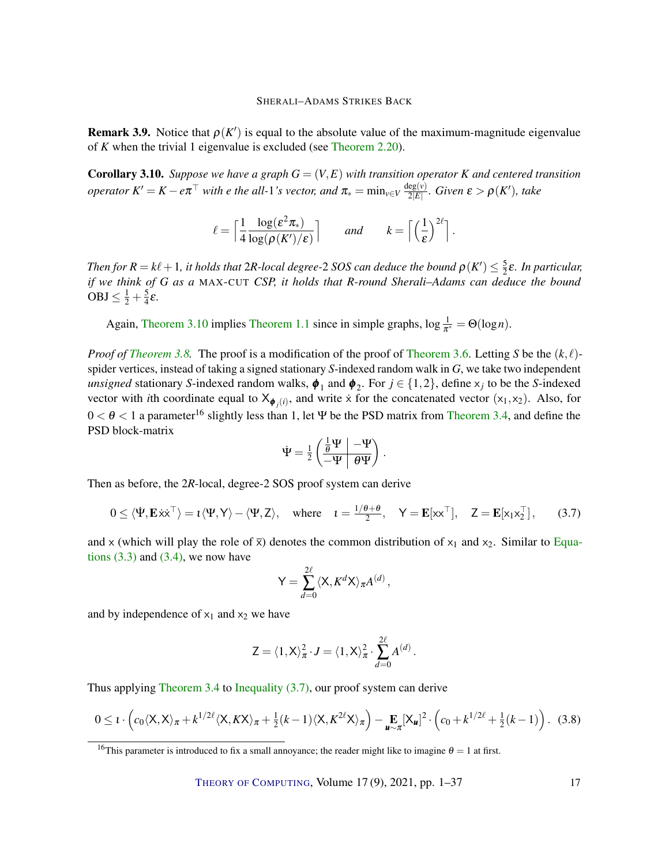**Remark 3.9.** Notice that  $\rho(K')$  is equal to the absolute value of the maximum-magnitude eigenvalue of *K* when the trivial 1 eigenvalue is excluded (see [Theorem 2.20\)](#page-11-1).

<span id="page-16-0"></span>**Corollary 3.10.** *Suppose we have a graph*  $G = (V, E)$  *with transition operator K and centered transition operator*  $K' = K - e\pi^{\top}$  *with e the all-1's vector, and*  $\pi_* = \min_{v \in V} \frac{\deg(v)}{2|E|}$ 2|*E*| *. Given* ε > ρ(*K* 0 )*, take*

$$
\ell = \left\lceil \frac{1}{4} \frac{\log(\varepsilon^2 \pi_*)}{\log(\rho(K')/\varepsilon)} \right\rceil \qquad \text{and} \qquad k = \left\lceil \left(\frac{1}{\varepsilon}\right)^{2\ell} \right\rceil
$$

.

*Then for*  $R = k\ell + 1$ , it holds that  $2R$ -local degree- $2$  SOS can deduce the bound  $\rho(K') \leq \frac{5}{2}$ 2 ε*. In particular, if we think of G as a* MAX-CUT *CSP, it holds that R-round Sherali–Adams can deduce the bound*  $OBJ \leq \frac{1}{2} + \frac{5}{4}$  $\frac{5}{4}\varepsilon$ .

Again, [Theorem 3.10](#page-16-0) implies [Theorem 1.1](#page-3-0) since in simple graphs,  $\log \frac{1}{\pi^*} = \Theta(\log n)$ .

*Proof of [Theorem 3.8.](#page-15-2)* The proof is a modification of the proof of [Theorem 3.6.](#page-14-0) Letting *S* be the  $(k, \ell)$ spider vertices, instead of taking a signed stationary *S*-indexed random walk in *G*, we take two independent *unsigned* stationary *S*-indexed random walks,  $\phi_1$  and  $\phi_2$ . For  $j \in \{1, 2\}$ , define  $x_j$  to be the *S*-indexed vector with *i*th coordinate equal to  $X_{\phi_j(i)}$ , and write x for the concatenated vector  $(x_1, x_2)$ . Also, for  $0 < \theta < 1$  a parameter<sup>16</sup> slightly less than 1, let Ψ be the PSD matrix from [Theorem 3.4,](#page-13-0) and define the PSD block-matrix

$$
\dot{\Psi} = \tfrac{1}{2} \left( \begin{array}{c|c} \frac{1}{\theta} \Psi & -\Psi \\ \hline -\Psi & \theta \Psi \end{array} \right) \, .
$$

Then as before, the 2*R*-local, degree-2 SOS proof system can derive

<span id="page-16-1"></span>
$$
0 \le \langle \dot{\Psi}, \mathbf{E} \dot{\mathbf{x}} \dot{\mathbf{x}}^{\top} \rangle = \iota \langle \Psi, \mathbf{Y} \rangle - \langle \Psi, \mathbf{Z} \rangle, \quad \text{where} \quad \iota = \frac{1/\theta + \theta}{2}, \quad \mathbf{Y} = \mathbf{E}[\mathbf{x} \mathbf{x}^{\top}], \quad \mathbf{Z} = \mathbf{E}[\mathbf{x}_1 \mathbf{x}_2^{\top}], \tag{3.7}
$$

and x (which will play the role of  $\bar{x}$ ) denotes the common distribution of  $x_1$  and  $x_2$ . Similar to [Equa](#page-14-3)tions  $(3.3)$  and  $(3.4)$ , we now have

$$
Y = \sum_{d=0}^{2\ell} \langle X, K^d X \rangle_{\pi} A^{(d)},
$$

and by independence of  $x_1$  and  $x_2$  we have

$$
Z = \langle 1, X \rangle_{\pi}^2 \cdot J = \langle 1, X \rangle_{\pi}^2 \cdot \sum_{d=0}^{2\ell} A^{(d)}.
$$

Thus applying [Theorem 3.4](#page-13-0) to [Inequality \(3.7\),](#page-16-1) our proof system can derive

<span id="page-16-2"></span>
$$
0 \leq t \cdot \left(c_0 \langle \mathsf{X}, \mathsf{X} \rangle_\pi + k^{1/2\ell} \langle \mathsf{X}, K\mathsf{X} \rangle_\pi + \frac{1}{2}(k-1) \langle \mathsf{X}, K^{2\ell} \mathsf{X} \rangle_\pi\right) - \underset{\mathbf{u} \sim \pi}{\mathbf{E}} [\mathsf{X}_{\mathbf{u}}]^2 \cdot \left(c_0 + k^{1/2\ell} + \frac{1}{2}(k-1)\right). \tag{3.8}
$$

THEORY OF C[OMPUTING](http://dx.doi.org/10.4086/toc), Volume 17(9), 2021, pp. 1–37 17

<sup>&</sup>lt;sup>16</sup>This parameter is introduced to fix a small annoyance; the reader might like to imagine  $\theta = 1$  at first.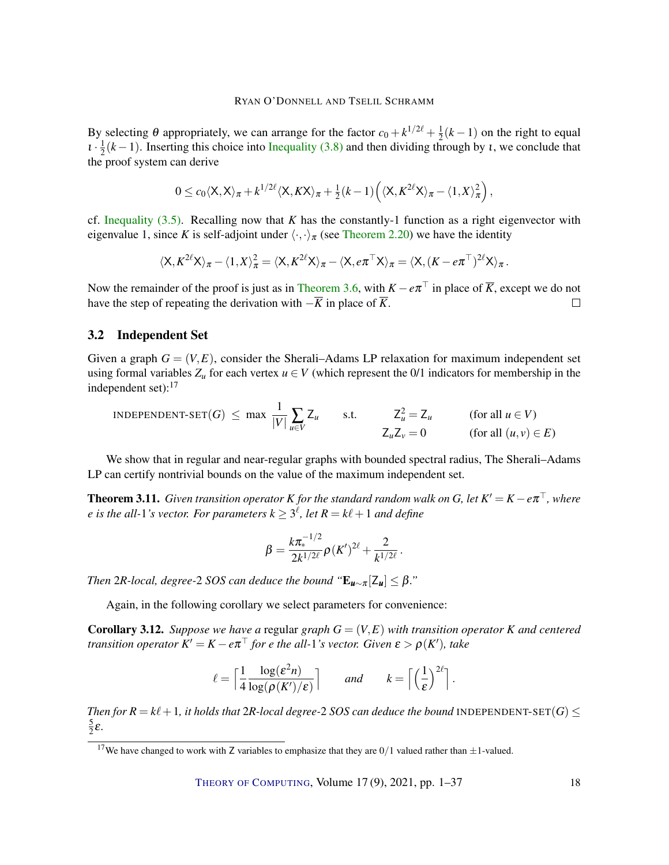By selecting  $\theta$  appropriately, we can arrange for the factor  $c_0 + k^{1/2\ell} + \frac{1}{2}$  $\frac{1}{2}(k-1)$  on the right to equal  $i\cdot\frac{1}{2}$  $\frac{1}{2}(k-1)$ . Inserting this choice into [Inequality \(3.8\)](#page-16-2) and then dividing through by *t*, we conclude that the proof system can derive

$$
0 \leq c_0 \langle X, X \rangle_{\pi} + k^{1/2\ell} \langle X, KX \rangle_{\pi} + \frac{1}{2} (k-1) \left( \langle X, K^{2\ell} X \rangle_{\pi} - \langle X, X \rangle_{\pi}^2 \right),
$$

cf. Inequality  $(3.5)$ . Recalling now that *K* has the constantly-1 function as a right eigenvector with eigenvalue 1, since *K* is self-adjoint under  $\langle \cdot, \cdot \rangle_{\pi}$  (see [Theorem 2.20\)](#page-11-1) we have the identity

$$
\langle X, K^{2\ell}X \rangle_{\pi} - \langle 1, X \rangle_{\pi}^2 = \langle X, K^{2\ell}X \rangle_{\pi} - \langle X, e\pi^{\top}X \rangle_{\pi} = \langle X, (K - e\pi^{\top})^{2\ell}X \rangle_{\pi}.
$$

Now the remainder of the proof is just as in [Theorem 3.6,](#page-14-0) with  $K - e\pi^{\top}$  in place of  $\overline{K}$ , except we do not have the step of repeating the derivation with  $-\overline{K}$  in place of  $\overline{K}$ .  $\Box$ 

#### 3.2 Independent Set

Given a graph  $G = (V, E)$ , consider the Sherali–Adams LP relaxation for maximum independent set using formal variables  $Z_u$  for each vertex  $u \in V$  (which represent the 0/1 indicators for membership in the independent set): $17$ 

INDEPENDENT-SET(G) 
$$
\leq \max \frac{1}{|V|} \sum_{u \in V} Z_u
$$

\ns.t.

\n
$$
Z_u^2 = Z_u
$$
\n(for all  $u \in V$ )

\n
$$
Z_u Z_v = 0
$$
\n(for all  $(u, v) \in E$ )

We show that in regular and near-regular graphs with bounded spectral radius, The Sherali–Adams LP can certify nontrivial bounds on the value of the maximum independent set.

<span id="page-17-0"></span>**Theorem 3.11.** Given transition operator K for the standard random walk on G, let  $K' = K - e\pi^{\top}$ , where  $e$  is the all-1's vector. For parameters  $k \geq 3^{\ell}$ , let  $R = k\ell + 1$  and define

$$
\beta = \frac{k\pi_*^{-1/2}}{2k^{1/2\ell}}\rho(K')^{2\ell} + \frac{2}{k^{1/2\ell}}.
$$

*Then* 2*R-local, degree-2 SOS can deduce the bound "* $E_{\boldsymbol{\mu} \sim \pi}[Z_{\boldsymbol{\mu}}] \leq \beta$ ."

Again, in the following corollary we select parameters for convenience:

**Corollary 3.12.** *Suppose we have a regular graph*  $G = (V, E)$  *with transition operator*  $K$  *and centered transition operator*  $K' = K - e\pi^\top$  *for e the all-1's vector. Given*  $\varepsilon > \rho(K')$ *, take* 

$$
\ell = \left\lceil \frac{1}{4} \frac{\log(\mathcal{E}^2 n)}{\log(\rho(K')/\mathcal{E})} \right\rceil \quad \text{and} \quad k = \left\lceil \left(\frac{1}{\mathcal{E}}\right)^{2\ell} \right\rceil
$$

.

*Then for*  $R = k\ell + 1$ , *it holds that* 2*R-local degree-2 SOS can deduce the bound* INDEPENDENT-SET(*G*) < 5  $\frac{5}{2}\varepsilon$ .

<sup>&</sup>lt;sup>17</sup>We have changed to work with Z variables to emphasize that they are  $0/1$  valued rather than  $\pm 1$ -valued.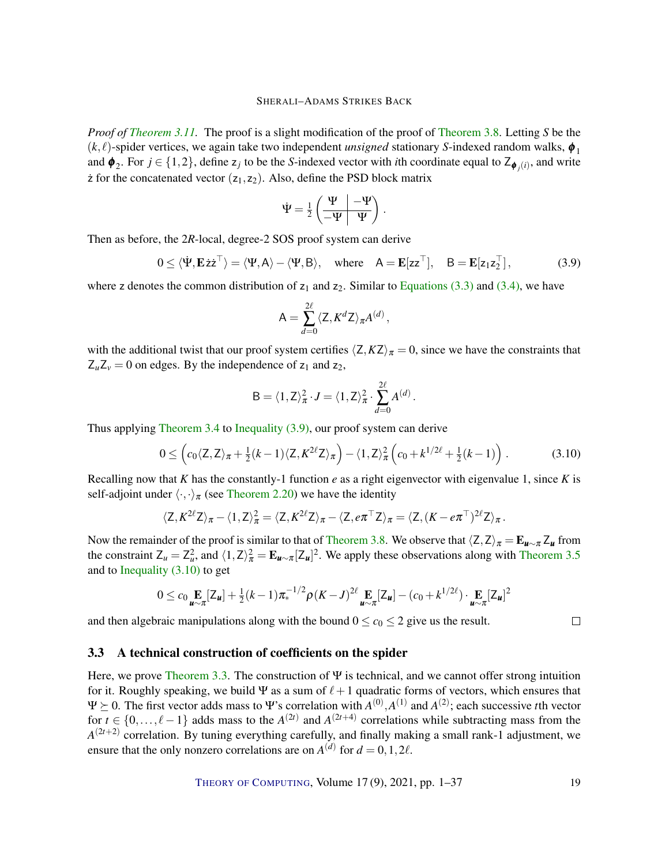*Proof of [Theorem 3.11.](#page-17-0)* The proof is a slight modification of the proof of [Theorem 3.8.](#page-15-2) Letting *S* be the  $(k, l)$ -spider vertices, we again take two independent *unsigned* stationary *S*-indexed random walks,  $\phi_1$ and  $\phi_2$ . For  $j \in \{1,2\}$ , define  $z_j$  to be the *S*-indexed vector with *i*th coordinate equal to  $Z_{\phi_j(i)}$ , and write  $\dot{z}$  for the concatenated vector  $(z_1, z_2)$ . Also, define the PSD block matrix

$$
\dot{\Psi} = \frac{1}{2} \left( \frac{\Psi}{-\Psi} \left| \frac{-\Psi}{\Psi} \right| \right).
$$

Then as before, the 2*R*-local, degree-2 SOS proof system can derive

<span id="page-18-1"></span>
$$
0 \le \langle \dot{\Psi}, \mathbf{E} \dot{z} \dot{z}^{\top} \rangle = \langle \Psi, A \rangle - \langle \Psi, B \rangle, \quad \text{where} \quad A = \mathbf{E} [z z^{\top}], \quad B = \mathbf{E} [z_1 z_2^{\top}], \tag{3.9}
$$

where z denotes the common distribution of  $z_1$  and  $z_2$ . Similar to [Equations \(3.3\)](#page-14-3) and [\(3.4\),](#page-15-3) we have

$$
A = \sum_{d=0}^{2\ell} \langle Z, K^d Z \rangle_{\pi} A^{(d)},
$$

with the additional twist that our proof system certifies  $\langle Z, KZ \rangle_{\pi} = 0$ , since we have the constraints that  $Z_u Z_v = 0$  on edges. By the independence of  $z_1$  and  $z_2$ ,

$$
\mathsf{B} = \langle 1, \mathsf{Z} \rangle_{\pi}^2 \cdot \mathsf{J} = \langle 1, \mathsf{Z} \rangle_{\pi}^2 \cdot \sum_{d=0}^{2\ell} A^{(d)}.
$$

Thus applying [Theorem 3.4](#page-13-0) to [Inequality \(3.9\),](#page-18-1) our proof system can derive

$$
0 \leq \left(c_0 \langle Z, Z \rangle_{\pi} + \frac{1}{2}(k-1) \langle Z, K^{2\ell} Z \rangle_{\pi}\right) - \langle 1, Z \rangle_{\pi}^2 \left(c_0 + k^{1/2\ell} + \frac{1}{2}(k-1)\right). \tag{3.10}
$$

Recalling now that *K* has the constantly-1 function *e* as a right eigenvector with eigenvalue 1, since *K* is self-adjoint under  $\langle \cdot, \cdot \rangle_{\pi}$  (see [Theorem 2.20\)](#page-11-1) we have the identity

$$
\langle Z, K^{2\ell} Z \rangle_{\pi} - \langle 1, Z \rangle_{\pi}^2 = \langle Z, K^{2\ell} Z \rangle_{\pi} - \langle Z, e \pi^{\top} Z \rangle_{\pi} = \langle Z, (K - e \pi^{\top})^{2\ell} Z \rangle_{\pi}.
$$

Now the remainder of the proof is similar to that of [Theorem 3.8.](#page-15-2) We observe that  $\langle Z,Z\rangle_{\pi} = E_{u \sim \pi} Z_u$  from the constraint  $Z_u = Z_u^2$ , and  $\langle 1, Z \rangle_\pi^2 = \mathbf{E}_{u \sim \pi} [Z_u]^2$ . We apply these observations along with [Theorem 3.5](#page-13-1) and to [Inequality \(3.10\)](#page-18-2) to get

$$
0 \leq c_0 \mathop{\mathbf{E}}_{\mathbf{u} \sim \pi} [\mathsf{Z}_{\mathbf{u}}] + \frac{1}{2} (k-1) \pi_*^{-1/2} \rho (K - J)^{2\ell} \mathop{\mathbf{E}}_{\mathbf{u} \sim \pi} [\mathsf{Z}_{\mathbf{u}}] - (c_0 + k^{1/2\ell}) \cdot \mathop{\mathbf{E}}_{\mathbf{u} \sim \pi} [\mathsf{Z}_{\mathbf{u}}]^2
$$

and then algebraic manipulations along with the bound  $0 \le c_0 \le 2$  give us the result.

#### <span id="page-18-0"></span>3.3 A technical construction of coefficients on the spider

Here, we prove [Theorem 3.3.](#page-12-2) The construction of  $\Psi$  is technical, and we cannot offer strong intuition for it. Roughly speaking, we build  $\Psi$  as a sum of  $\ell+1$  quadratic forms of vectors, which ensures that  $\Psi \succeq 0$ . The first vector adds mass to  $\Psi$ 's correlation with  $A^{(0)}, A^{(1)}$  and  $A^{(2)}$ ; each successive *t*th vector for  $t \in \{0, \ldots, \ell - 1\}$  adds mass to the  $A^{(2t)}$  and  $A^{(2t+4)}$  correlations while subtracting mass from the  $A^{(2t+2)}$  correlation. By tuning everything carefully, and finally making a small rank-1 adjustment, we ensure that the only nonzero correlations are on  $A^{(d)}$  for  $d = 0, 1, 2\ell$ .

THEORY OF C[OMPUTING](http://dx.doi.org/10.4086/toc), Volume 17 (9), 2021, pp. 1–37 19

<span id="page-18-2"></span> $\Box$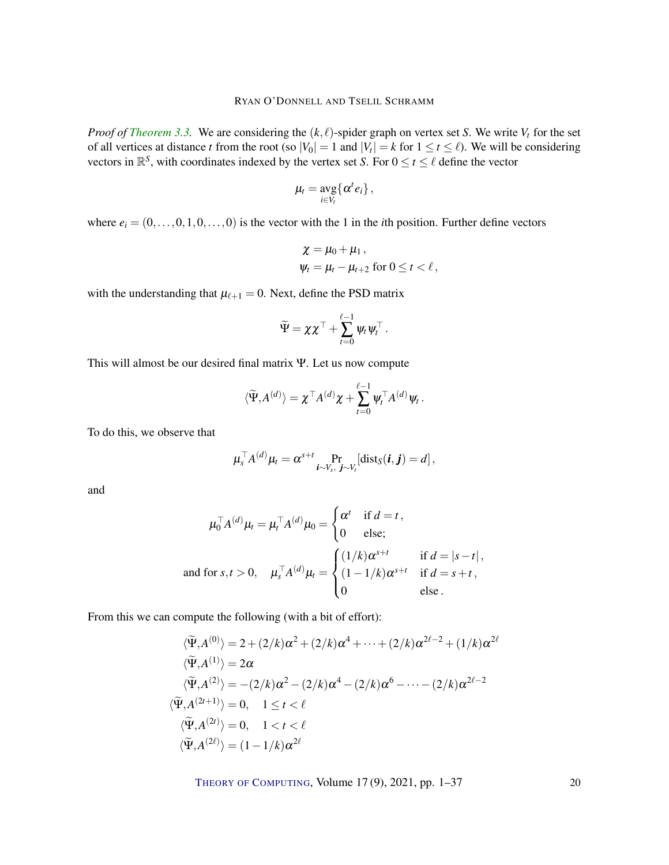*Proof of [Theorem 3.3.](#page-12-2)* We are considering the  $(k, \ell)$ -spider graph on vertex set *S*. We write  $V_t$  for the set of all vertices at distance *t* from the root (so  $|V_0| = 1$  and  $|V_t| = k$  for  $1 \le t \le \ell$ ). We will be considering vectors in  $\mathbb{R}^S$ , with coordinates indexed by the vertex set *S*. For  $0 \le t \le \ell$  define the vector

$$
\mu_t = \arg_{i \in V_t} \{\alpha^t e_i\},\,
$$

where  $e_i = (0, \ldots, 0, 1, 0, \ldots, 0)$  is the vector with the 1 in the *i*th position. Further define vectors

$$
\begin{aligned} \chi &= \mu_0 + \mu_1 \,, \\ \psi_t &= \mu_t - \mu_{t+2} \text{ for } 0 \le t < \ell \,, \end{aligned}
$$

with the understanding that  $\mu_{\ell+1} = 0$ . Next, define the PSD matrix

$$
\widetilde{\Psi} = \chi \chi^\top + \sum_{t=0}^{\ell-1} \psi_t \psi_t^\top.
$$

This will almost be our desired final matrix Ψ. Let us now compute

$$
\langle \widetilde{\Psi}, A^{(d)} \rangle = \chi^\top A^{(d)} \chi + \sum_{t=0}^{\ell-1} \psi_t^\top A^{(d)} \psi_t.
$$

To do this, we observe that

$$
\mu_s^{\top} A^{(d)} \mu_t = \alpha^{s+t} \Pr_{\boldsymbol{i} \sim V_s, \ \boldsymbol{j} \sim V_t} [\text{dist}_S(\boldsymbol{i}, \boldsymbol{j}) = d],
$$

and

$$
\mu_0^{\top} A^{(d)} \mu_t = \mu_t^{\top} A^{(d)} \mu_0 = \begin{cases} \alpha^t & \text{if } d = t, \\ 0 & \text{else}; \end{cases}
$$
  
and for  $s, t > 0$ ,  $\mu_s^{\top} A^{(d)} \mu_t = \begin{cases} (1/k) \alpha^{s+t} & \text{if } d = |s - t|, \\ (1 - 1/k) \alpha^{s+t} & \text{if } d = s + t, \\ 0 & \text{else}. \end{cases}$ 

From this we can compute the following (with a bit of effort):

$$
\langle \widetilde{\Psi}, A^{(0)} \rangle = 2 + (2/k)\alpha^2 + (2/k)\alpha^4 + \dots + (2/k)\alpha^{2\ell - 2} + (1/k)\alpha^{2\ell}
$$
  
\n
$$
\langle \widetilde{\Psi}, A^{(1)} \rangle = 2\alpha
$$
  
\n
$$
\langle \widetilde{\Psi}, A^{(2)} \rangle = -(2/k)\alpha^2 - (2/k)\alpha^4 - (2/k)\alpha^6 - \dots - (2/k)\alpha^{2\ell - 2}
$$
  
\n
$$
\langle \widetilde{\Psi}, A^{(2t+1)} \rangle = 0, \quad 1 \le t < \ell
$$
  
\n
$$
\langle \widetilde{\Psi}, A^{(2t)} \rangle = 0, \quad 1 < t < \ell
$$
  
\n
$$
\langle \widetilde{\Psi}, A^{(2\ell)} \rangle = (1 - 1/k)\alpha^{2\ell}
$$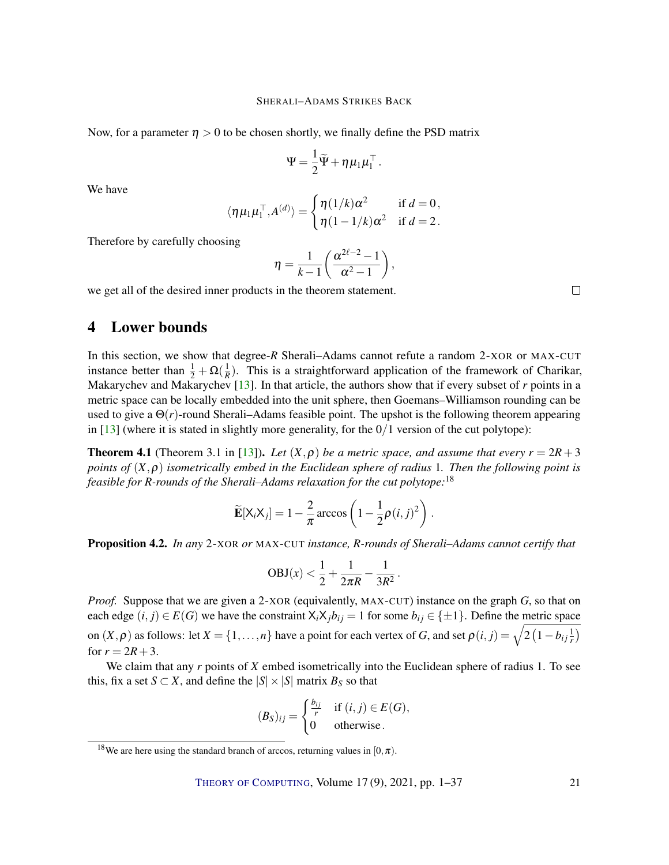<span id="page-20-3"></span>Now, for a parameter  $\eta > 0$  to be chosen shortly, we finally define the PSD matrix

$$
\Psi = \frac{1}{2}\widetilde{\Psi} + \eta \mu_1 \mu_1^\top.
$$

We have

$$
\langle \eta \mu_1 \mu_1^{\top}, A^{(d)} \rangle = \begin{cases} \eta(1/k)\alpha^2 & \text{if } d = 0, \\ \eta(1-1/k)\alpha^2 & \text{if } d = 2. \end{cases}
$$

Therefore by carefully choosing

$$
\eta = \frac{1}{k-1} \left( \frac{\alpha^{2\ell-2} - 1}{\alpha^2 - 1} \right),
$$

we get all of the desired inner products in the theorem statement.

# <span id="page-20-1"></span>4 Lower bounds

In this section, we show that degree-*R* Sherali–Adams cannot refute a random 2-XOR or MAX-CUT instance better than  $\frac{1}{2} + \Omega(\frac{1}{R})$ . This is a straightforward application of the framework of Charikar, Makarychev and Makarychev [\[13\]](#page-33-3). In that article, the authors show that if every subset of *r* points in a metric space can be locally embedded into the unit sphere, then Goemans–Williamson rounding can be used to give a  $\Theta(r)$ -round Sherali–Adams feasible point. The upshot is the following theorem appearing in  $[13]$  (where it is stated in slightly more generality, for the  $0/1$  version of the cut polytope):

<span id="page-20-2"></span>**Theorem 4.1** (Theorem 3.1 in [\[13\]](#page-33-3)). Let  $(X, \rho)$  be a metric space, and assume that every  $r = 2R + 3$ *points of* (*X*,ρ) *isometrically embed in the Euclidean sphere of radius* 1*. Then the following point is feasible for R-rounds of the Sherali–Adams relaxation for the cut polytope:*<sup>18</sup>

$$
\widetilde{\mathbf{E}}[\mathsf{X}_{i}\mathsf{X}_{j}] = 1 - \frac{2}{\pi}\arccos\left(1 - \frac{1}{2}\rho(i,j)^{2}\right).
$$

<span id="page-20-0"></span>Proposition 4.2. *In any* 2-XOR *or* MAX-CUT *instance, R-rounds of Sherali–Adams cannot certify that*

$$
OBJ(x) < \frac{1}{2} + \frac{1}{2\pi R} - \frac{1}{3R^2}.
$$

*Proof.* Suppose that we are given a 2-XOR (equivalently, MAX-CUT) instance on the graph *G*, so that on each edge  $(i, j) \in E(G)$  we have the constraint  $X_i X_j b_{ij} = 1$  for some  $b_{ij} \in \{\pm 1\}$ . Define the metric space on  $(X, \rho)$  as follows: let  $X = \{1, \ldots, n\}$  have a point for each vertex of *G*, and set  $\rho(i, j) = \sqrt{2(1 - b_{ij} \frac{1}{r})}$ for  $r = 2R + 3$ .

We claim that any *r* points of *X* embed isometrically into the Euclidean sphere of radius 1. To see this, fix a set *S*  $\subset$  *X*, and define the  $|S| \times |S|$  matrix  $B_S$  so that

$$
(B_S)_{ij} = \begin{cases} \frac{b_{ij}}{r} & \text{if } (i,j) \in E(G), \\ 0 & \text{otherwise.} \end{cases}
$$

 $\Box$ 

<sup>&</sup>lt;sup>18</sup>We are here using the standard branch of arccos, returning values in  $[0, \pi)$ .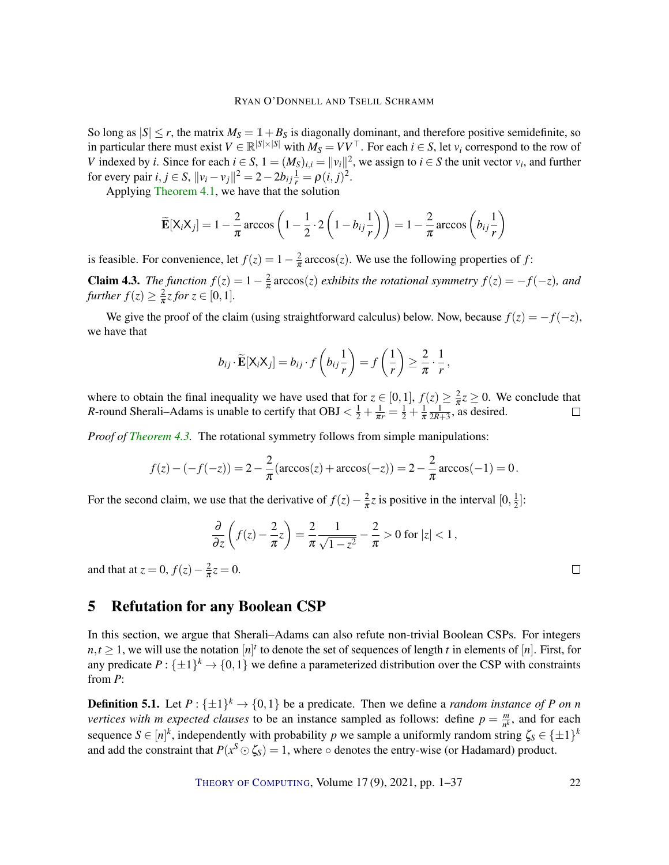So long as  $|S| \le r$ , the matrix  $M_S = \mathbb{1} + B_S$  is diagonally dominant, and therefore positive semidefinite, so in particular there must exist  $V \in \mathbb{R}^{|S| \times |S|}$  with  $M_S = V V^\top$ . For each  $i \in S$ , let  $v_i$  correspond to the row of *V* indexed by *i*. Since for each  $i \in S$ ,  $1 = (M_S)_{i,i} = ||v_i||^2$ , we assign to  $i \in S$  the unit vector  $v_i$ , and further for every pair  $i, j \in S$ ,  $||v_i - v_j||^2 = 2 - 2b_{ij} \frac{1}{r} = \rho(i, j)^2$ .

Applying [Theorem 4.1,](#page-20-2) we have that the solution

$$
\widetilde{\mathbf{E}}[\mathsf{X}_{i}\mathsf{X}_{j}] = 1 - \frac{2}{\pi}\arccos\left(1 - \frac{1}{2}\cdot 2\left(1 - b_{ij}\frac{1}{r}\right)\right) = 1 - \frac{2}{\pi}\arccos\left(b_{ij}\frac{1}{r}\right)
$$

is feasible. For convenience, let  $f(z) = 1 - \frac{2}{\pi}$  $\frac{2}{\pi}$  arccos(*z*). We use the following properties of *f*:

<span id="page-21-1"></span>**Claim 4.3.** *The function*  $f(z) = 1 - \frac{2}{\pi}$  $\frac{2}{\pi}$  arccos(*z*) *exhibits the rotational symmetry*  $f(z) = -f(-z)$ *, and further*  $f(z) \geq \frac{2}{\pi}$  $\frac{2}{\pi}z$  for  $z \in [0,1]$ .

We give the proof of the claim (using straightforward calculus) below. Now, because  $f(z) = -f(-z)$ , we have that

$$
b_{ij} \cdot \widetilde{\mathbf{E}}[\mathsf{X}_i \mathsf{X}_j] = b_{ij} \cdot f\left(b_{ij} \frac{1}{r}\right) = f\left(\frac{1}{r}\right) \geq \frac{2}{\pi} \cdot \frac{1}{r},
$$

where to obtain the final inequality we have used that for  $z \in [0,1]$ ,  $f(z) \geq \frac{2}{\pi}$  $\frac{2}{\pi}z \geq 0$ . We conclude that *R*-round Sherali–Adams is unable to certify that OBJ  $\langle \frac{1}{2} + \frac{1}{\pi r} = \frac{1}{2} + \frac{1}{\pi}$ π  $\frac{1}{2R+3}$ , as desired.

*Proof of [Theorem 4.3.](#page-21-1)* The rotational symmetry follows from simple manipulations:

$$
f(z) - (-f(-z)) = 2 - \frac{2}{\pi}(\arccos(z) + \arccos(-z)) = 2 - \frac{2}{\pi}\arccos(-1) = 0.
$$

For the second claim, we use that the derivative of  $f(z) - \frac{2}{\pi}$  $\frac{2}{\pi}z$  is positive in the interval  $[0, \frac{1}{2}]$  $\frac{1}{2}$ :

$$
\frac{\partial}{\partial z}\left(f(z)-\frac{2}{\pi}z\right)=\frac{2}{\pi}\frac{1}{\sqrt{1-z^2}}-\frac{2}{\pi}>0 \text{ for } |z|<1,
$$

and that at  $z = 0$ ,  $f(z) - \frac{2}{\pi}$  $\frac{2}{\pi}z = 0.$ 

# <span id="page-21-0"></span>5 Refutation for any Boolean CSP

In this section, we argue that Sherali–Adams can also refute non-trivial Boolean CSPs. For integers  $n, t \geq 1$ , we will use the notation  $[n]^t$  to denote the set of sequences of length *t* in elements of  $[n]$ . First, for any predicate  $P: \{\pm 1\}^k \to \{0,1\}$  we define a parameterized distribution over the CSP with constraints from *P*:

**Definition 5.1.** Let  $P: \{\pm 1\}^k \to \{0, 1\}$  be a predicate. Then we define a *random instance of P* on *n vertices with m expected clauses* to be an instance sampled as follows: define  $p = \frac{m}{n^k}$  $\frac{m}{n^k}$ , and for each sequence  $S \in [n]^k$ , independently with probability *p* we sample a uniformly random string  $\zeta_S \in \{\pm 1\}^k$ and add the constraint that  $P(x^S \odot \zeta_S) = 1$ , where  $\circ$  denotes the entry-wise (or Hadamard) product.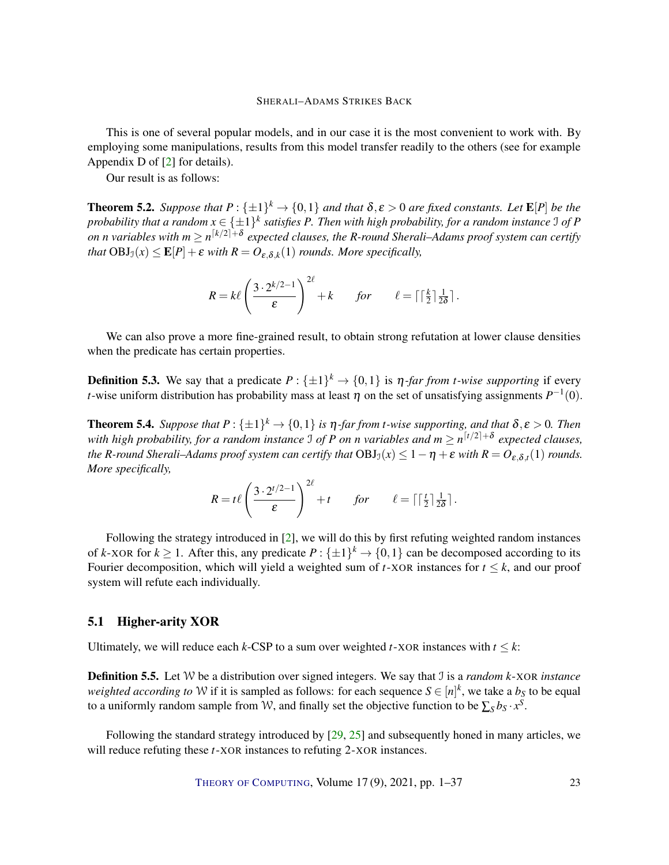<span id="page-22-2"></span>This is one of several popular models, and in our case it is the most convenient to work with. By employing some manipulations, results from this model transfer readily to the others (see for example Appendix D of [\[2\]](#page-32-4) for details).

Our result is as follows:

<span id="page-22-0"></span>**Theorem 5.2.** Suppose that  $P: \{\pm 1\}^k \to \{0,1\}$  and that  $\delta, \varepsilon > 0$  are fixed constants. Let  $\mathbf{E}[P]$  be the probability that a random  $x \in \{\pm 1\}^k$  satisfies P. Then with high probability, for a random instance I of P  $o$ n  $n$  variables with  $m \geq n^{\lceil k/2 \rceil + \delta}$  expected clauses, the R-round Sherali–Adams proof system can certify *that*  $\text{OBJ}_\mathfrak{I}(x) \leq \mathbf{E}[P] + \varepsilon$  *with*  $R = O_{\varepsilon, \delta, k}(1)$  *rounds. More specifically,* 

$$
R = k\ell \left(\frac{3 \cdot 2^{k/2 - 1}}{\varepsilon}\right)^{2\ell} + k \quad \text{for} \quad \ell = \lceil \lceil \frac{k}{2} \rceil \frac{1}{2\delta} \rceil.
$$

We can also prove a more fine-grained result, to obtain strong refutation at lower clause densities when the predicate has certain properties.

**Definition 5.3.** We say that a predicate  $P: \{\pm 1\}^k \to \{0,1\}$  is  $\eta$ -far from *t-wise supporting* if every *t*-wise uniform distribution has probability mass at least  $\eta$  on the set of unsatisfying assignments  $P^{-1}(0)$ .

<span id="page-22-1"></span>**Theorem 5.4.** Suppose that  $P: \{\pm 1\}^k \to \{0,1\}$  is  $\eta$ -far from *t*-wise supporting, and that  $\delta, \varepsilon > 0$ . Then with high probability, for a random instance  $\Im$  of P on n variables and  $m \ge n^{\lceil t/2 \rceil + \delta}$  expected clauses, *the R-round Sherali–Adams proof system can certify that*  $OBJ_{\mathcal{I}}(x) \leq 1-\eta+\varepsilon$  with  $R=O_{\varepsilon,\delta,t}(1)$  rounds. *More specifically,*

$$
R = t\ell \left(\frac{3 \cdot 2^{t/2-1}}{\varepsilon}\right)^{2\ell} + t \quad \text{for} \quad \ell = \lceil \lceil \frac{t}{2} \rceil \frac{1}{2\delta} \rceil.
$$

Following the strategy introduced in [\[2\]](#page-32-4), we will do this by first refuting weighted random instances of *k*-XOR for  $k \ge 1$ . After this, any predicate  $P: \{\pm 1\}^k \to \{0,1\}$  can be decomposed according to its Fourier decomposition, which will yield a weighted sum of  $t$ -XOR instances for  $t \leq k$ , and our proof system will refute each individually.

# 5.1 Higher-arity XOR

Ultimately, we will reduce each  $k$ -CSP to a sum over weighted  $t$ -XOR instances with  $t \leq k$ :

Definition 5.5. Let W be a distribution over signed integers. We say that I is a *random k*-XOR *instance* weighted according to W if it is sampled as follows: for each sequence  $S \in [n]^k$ , we take a  $b_S$  to be equal to a uniformly random sample from W, and finally set the objective function to be  $\sum_{S} b_S \cdot x^S$ .

Following the standard strategy introduced by [\[29,](#page-34-11) [25\]](#page-34-12) and subsequently honed in many articles, we will reduce refuting these *t*-XOR instances to refuting 2-XOR instances.

THEORY OF C[OMPUTING](http://dx.doi.org/10.4086/toc), Volume 17 (9), 2021, pp. 1–37 23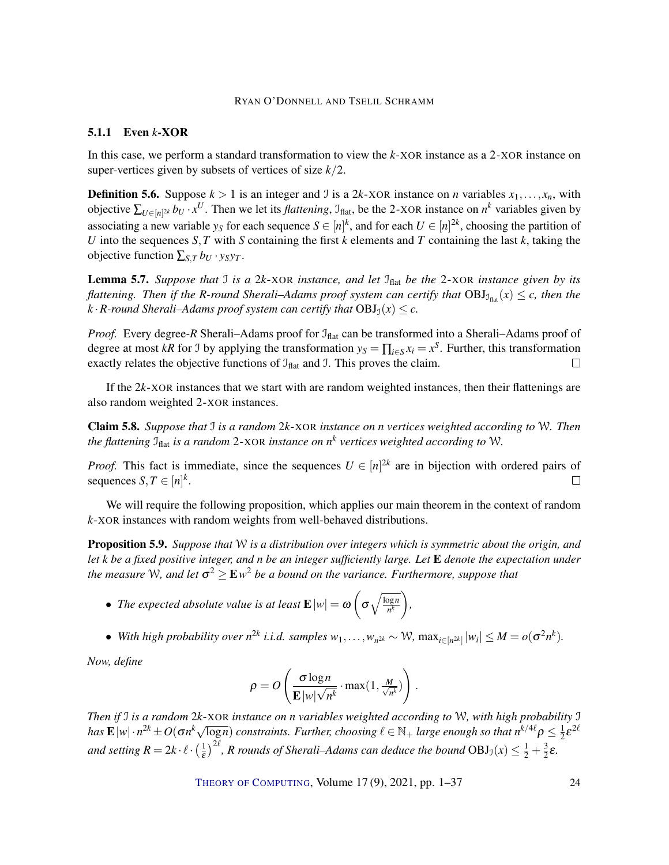#### 5.1.1 Even *k*-XOR

In this case, we perform a standard transformation to view the *k*-XOR instance as a 2-XOR instance on super-vertices given by subsets of vertices of size *k*/2.

**Definition 5.6.** Suppose  $k > 1$  is an integer and J is a 2*k*-XOR instance on *n* variables  $x_1, \ldots, x_n$ , with objective  $\sum_{U \in [n]^{\text{2k}}} b_U \cdot x^U$ . Then we let its *flattening*,  $\mathcal{I}_{\text{flat}}$ , be the 2-XOR instance on  $n^k$  variables given by associating a new variable  $y_S$  for each sequence  $S \in [n]^k$ , and for each  $U \in [n]^{2k}$ , choosing the partition of *U* into the sequences *S*, *T* with *S* containing the first *k* elements and *T* containing the last *k*, taking the objective function  $\sum_{S,T} b_U \cdot y_S y_T$ .

<span id="page-23-1"></span>Lemma 5.7. *Suppose that J is a* 2*k*-XOR *instance, and let*  $J<sub>flat</sub>$  *be the* 2-XOR *instance given by its flattening. Then if the R-round Sherali–Adams proof system can certify that*  $OBJ_{J_{\text{flat}}}(x) \leq c$ , then the  $k \cdot R$ -round Sherali–Adams proof system can certify that  $OBI<sub>J</sub>(x) \leq c$ .

*Proof.* Every degree-*R* Sherali–Adams proof for  $\mathcal{I}_{flat}$  can be transformed into a Sherali–Adams proof of degree at most *kR* for J by applying the transformation  $y_s = \prod_{i \in S} x_i = x^S$ . Further, this transformation exactly relates the objective functions of  $J<sub>flat</sub>$  and J. This proves the claim.  $\Box$ 

If the 2*k*-XOR instances that we start with are random weighted instances, then their flattenings are also random weighted 2-XOR instances.

Claim 5.8. *Suppose that* I *is a random* 2*k*-XOR *instance on n vertices weighted according to* W*. Then the flattening* Iflat *is a random* 2-XOR *instance on n<sup>k</sup> vertices weighted according to* W*.*

*Proof.* This fact is immediate, since the sequences  $U \in [n]^{2k}$  are in bijection with ordered pairs of sequences  $S, T \in [n]^k$ .  $\Box$ 

We will require the following proposition, which applies our main theorem in the context of random *k*-XOR instances with random weights from well-behaved distributions.

<span id="page-23-0"></span>Proposition 5.9. *Suppose that* W *is a distribution over integers which is symmetric about the origin, and let k be a fixed positive integer, and n be an integer sufficiently large. Let* E *denote the expectation under* the measure W, and let  $\sigma^2$   $\ge$   ${\rm E}$   $w^2$  be a bound on the variance. Furthermore, suppose that

- *The expected absolute value is at least*  $\mathbf{E} |w| = \boldsymbol{\omega}$   $\left( \begin{array}{c} 0 \end{array} \right)$  $\sigma \sqrt{\frac{\log n}{n^k}}$ *n k ,*
- $\bullet$  *With high probability over*  $n^{2k}$  *<i>i.i.d. samples*  $w_1, \ldots, w_{n^{2k}} \sim \mathcal{W}$ ,  $\max_{i \in [n^{2k}]} |w_i| \leq M = o(\sigma^2 n^k)$ .

*Now, define*

$$
\rho = O\left(\frac{\sigma \log n}{\mathbf{E} |w| \sqrt{n^k}} \cdot \max(1, \frac{M}{\sqrt{n^k}})\right).
$$

*Then if* I *is a random* 2*k*-XOR *instance on n variables weighted according to* W*, with high probability* I *has*  $\mathbf{E}$  |w|· $n^{2k} \pm O(\sigma n^k \sqrt{\log n})$  *constraints. Further, choosing*  $\ell \in \mathbb{N}_+$  *large enough so that*  $n^{k/4\ell} \rho \leq \frac{1}{2}$  $\frac{1}{2} \varepsilon^{2\ell}$ *and setting*  $R = 2k \cdot \ell \cdot \left(\frac{1}{\epsilon}\right)$  $\frac{1}{\epsilon}$ )<sup>2l</sup>, R rounds of Sherali–Adams can deduce the bound OBJ<sub>3</sub>(x)  $\leq \frac{1}{2} + \frac{3}{2}$  $\frac{3}{2}\varepsilon$ .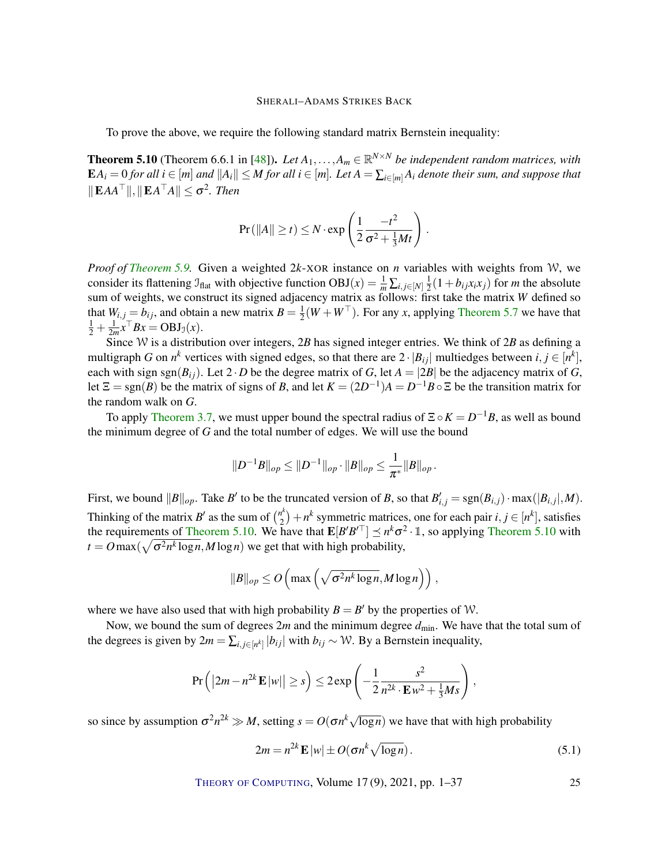<span id="page-24-1"></span>To prove the above, we require the following standard matrix Bernstein inequality:

<span id="page-24-0"></span>**Theorem 5.10** (Theorem 6.6.1 in [\[48\]](#page-35-12)). Let  $A_1, \ldots, A_m \in \mathbb{R}^{N \times N}$  be independent random matrices, with  $\mathbf{E} A_i = 0$  for all  $i \in [m]$  and  $||A_i|| \leq M$  for all  $i \in [m]$ . Let  $A = \sum_{i \in [m]} A_i$  denote their sum, and suppose that  $\|\mathbf{E}AA^{\top}\|, \|\mathbf{E}A^{\top}A\| \leq \sigma^2$ . Then

$$
\Pr\left(\|A\| \ge t\right) \le N \cdot \exp\left(\frac{1}{2} \frac{-t^2}{\sigma^2 + \frac{1}{3}Mt}\right)
$$

.

*Proof of [Theorem 5.9.](#page-23-0)* Given a weighted 2*k*-XOR instance on *n* variables with weights from W, we consider its flattening  $\mathcal{I}_{\text{flat}}$  with objective function  $\text{OBJ}(x) = \frac{1}{m} \sum_{i,j \in [N]} \frac{1}{2}$  $\frac{1}{2}(1+b_{ij}x_ix_j)$  for *m* the absolute sum of weights, we construct its signed adjacency matrix as follows: first take the matrix *W* defined so that  $W_{i,j} = b_{ij}$ , and obtain a new matrix  $B = \frac{1}{2}$  $\frac{1}{2}(W+W^{\top})$ . For any *x*, applying [Theorem 5.7](#page-23-1) we have that  $\frac{1}{2} + \frac{1}{2m}x^{\top}Bx = \text{OBJ}_\mathfrak{I}(x).$ 

Since W is a distribution over integers, 2*B* has signed integer entries. We think of 2*B* as defining a multigraph *G* on  $n^k$  vertices with signed edges, so that there are  $2 \cdot |B_{ij}|$  multiedges between  $i, j \in [n^k]$ , each with sign sgn( $B_{ij}$ ). Let 2 · *D* be the degree matrix of *G*, let  $A = |2B|$  be the adjacency matrix of *G*, let  $\Xi = \text{sgn}(B)$  be the matrix of signs of *B*, and let  $K = (2D^{-1})A = D^{-1}B \circ \Xi$  be the transition matrix for the random walk on *G*.

To apply [Theorem 3.7,](#page-14-1) we must upper bound the spectral radius of  $\Xi \circ K = D^{-1}B$ , as well as bound the minimum degree of *G* and the total number of edges. We will use the bound

$$
||D^{-1}B||_{op} \leq ||D^{-1}||_{op} \cdot ||B||_{op} \leq \frac{1}{\pi^*}||B||_{op}.
$$

First, we bound  $\|B\|_{op}$ . Take *B'* to be the truncated version of *B*, so that  $B'_{i,j} = \text{sgn}(B_{i,j}) \cdot \max(|B_{i,j}|, M)$ . Thinking of the matrix  $B'$  as the sum of  $\binom{n^k}{2}$  $\binom{n^k}{2} + n^k$  symmetric matrices, one for each pair  $i, j \in [n^k]$ , satisfies the requirements of [Theorem 5.10.](#page-24-0) We have that  $\mathbf{E}[B'B^{\prime\top}] \preceq n^k\sigma^2 \cdot \mathbb{1}$ , so applying [Theorem 5.10](#page-24-0) with  $t = O \max(\sqrt{\sigma^2 n^k \log n}, M \log n)$  we get that with high probability,

$$
||B||_{op} \le O\left(\max\left(\sqrt{\sigma^2 n^k \log n}, M \log n\right)\right),\,
$$

where we have also used that with high probability  $B = B'$  by the properties of W.

Now, we bound the sum of degrees 2*m* and the minimum degree  $d_{\text{min}}$ . We have that the total sum of the degrees is given by  $2m = \sum_{i,j \in [n^k]} |b_{ij}|$  with  $b_{ij} \sim W$ . By a Bernstein inequality,

$$
\Pr\left(\left|2m - n^{2k}\mathbf{E}\left|w\right|\right| \geq s\right) \leq 2\exp\left(-\frac{1}{2}\frac{s^2}{n^{2k}\cdot\mathbf{E}\,w^2 + \frac{1}{3}Ms}\right),
$$

so since by assumption  $\sigma^2 n^{2k} \gg M$ , setting  $s = O(\sigma n^k \sqrt{\log n})$  we have that with high probability

$$
2m = n^{2k} \mathbf{E} |w| \pm O(\sigma n^k \sqrt{\log n}). \tag{5.1}
$$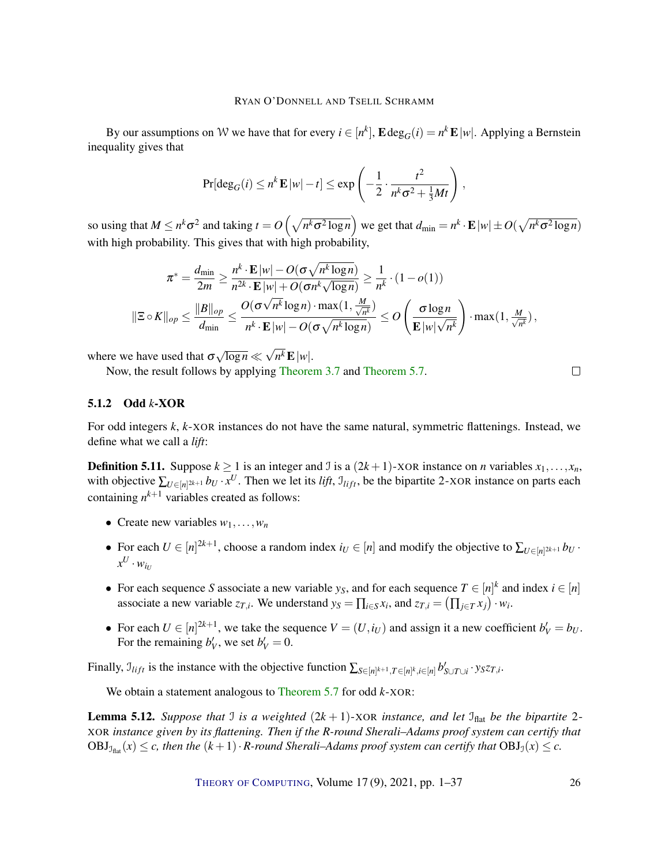By our assumptions on W we have that for every  $i \in [n^k]$ ,  $\mathbf{E} \deg_G(i) = n^k \mathbf{E} |w|$ . Applying a Bernstein inequality gives that

$$
\Pr[\deg_G(i) \le n^k \mathbf{E} |w| - t] \le \exp\left(-\frac{1}{2} \cdot \frac{t^2}{n^k \sigma^2 + \frac{1}{3}Mt}\right),\,
$$

so using that  $M \le n^k \sigma^2$  and taking  $t = O\left(\sqrt{n^k \sigma^2 \log n}\right)$  we get that  $d_{\min} = n^k \cdot \mathbf{E} |w| \pm O\left(\sqrt{n^k \sigma^2 \log n}\right)$ with high probability. This gives that with high probability,

$$
\pi^* = \frac{d_{\min}}{2m} \ge \frac{n^k \cdot \mathbf{E} |w| - O(\sigma \sqrt{n^k \log n})}{n^{2k} \cdot \mathbf{E} |w| + O(\sigma n^k \sqrt{\log n})} \ge \frac{1}{n^k} \cdot (1 - o(1))
$$

$$
\|\Xi \circ K\|_{op} \le \frac{\|B\|_{op}}{d_{\min}} \le \frac{O(\sigma \sqrt{n^k} \log n) \cdot \max(1, \frac{M}{\sqrt{n^k}})}{n^k \cdot \mathbf{E} |w| - O(\sigma \sqrt{n^k \log n})} \le O\left(\frac{\sigma \log n}{\mathbf{E} |w| \sqrt{n^k}}\right) \cdot \max(1, \frac{M}{\sqrt{n^k}}),
$$

where we have used that  $\sigma$ √  $\overline{\log n} \ll$ √  $n^k \mathbf{E} |w|$ .

Now, the result follows by applying [Theorem 3.7](#page-14-1) and [Theorem 5.7.](#page-23-1)

## 5.1.2 Odd *k*-XOR

For odd integers *k*, *k*-XOR instances do not have the same natural, symmetric flattenings. Instead, we define what we call a *lift*:

**Definition 5.11.** Suppose  $k \ge 1$  is an integer and J is a  $(2k+1)$ -XOR instance on *n* variables  $x_1, \ldots, x_n$ , with objective  $\sum_{U \in [n]^{2k+1}} b_U \cdot x^U$ . Then we let its *lift*,  $\mathcal{I}_{lift}$ , be the bipartite 2-XOR instance on parts each containing  $n^{k+1}$  variables created as follows:

- Create new variables  $w_1, \ldots, w_n$
- For each  $U \in [n]^{2k+1}$ , choose a random index  $i_U \in [n]$  and modify the objective to  $\sum_{U \in [n]^{2k+1}} b_U$ .  $x^U \cdot w_{i_U}$
- For each sequence *S* associate a new variable  $y_S$ , and for each sequence  $T \in [n]^k$  and index  $i \in [n]$ associate a new variable  $z_{T,i}$ . We understand  $y_S = \prod_{i \in S} x_i$ , and  $z_{T,i} = (\prod_{j \in T} x_j) \cdot w_i$ .
- For each  $U \in [n]^{2k+1}$ , we take the sequence  $V = (U, i_U)$  and assign it a new coefficient  $b'_V = b_U$ . For the remaining  $b'_V$ , we set  $b'_V = 0$ .

Finally,  $\mathcal{I}_{lift}$  is the instance with the objective function  $\sum_{S \in [n]^{k+1}, T \in [n]^k, i \in [n]} b'_{S \cup T \cup i} \cdot y_S z_{T,i}$ .

We obtain a statement analogous to [Theorem 5.7](#page-23-1) for odd *k*-XOR:

<span id="page-25-0"></span>**Lemma 5.12.** *Suppose that* J *is a weighted*  $(2k+1)$ -XOR *instance, and let*  $\mathcal{I}_{\text{flat}}$  *be the bipartite* 2-XOR *instance given by its flattening. Then if the R-round Sherali–Adams proof system can certify that*  $OBJ_{\mathcal{I}_{\text{flat}}}(x) \leq c$ , then the  $(k+1) \cdot R$ -round Sherali–Adams proof system can certify that  $OBJ_0(x) \leq c$ .

THEORY OF C[OMPUTING](http://dx.doi.org/10.4086/toc), Volume 17 (9), 2021, pp. 1–37 26

 $\Box$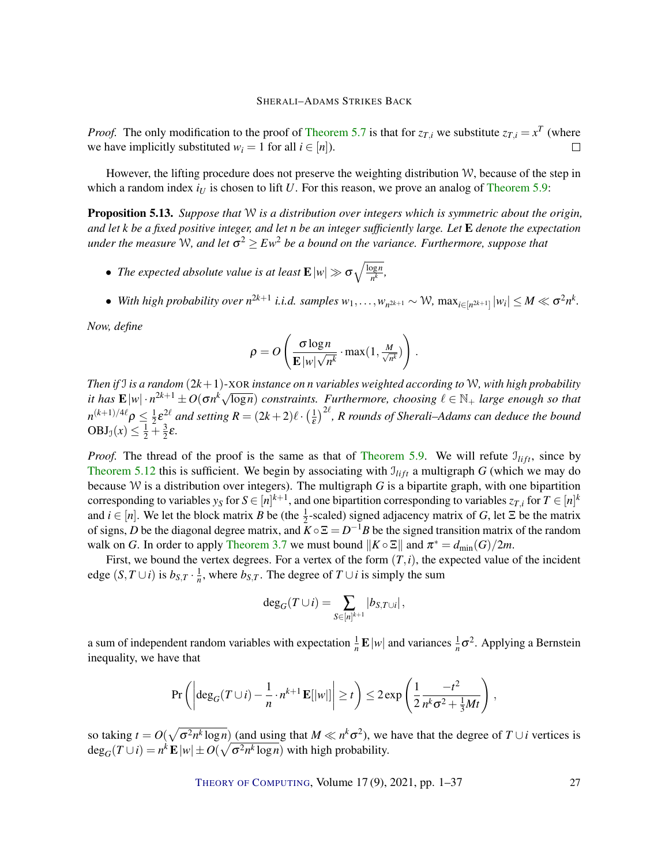*Proof.* The only modification to the proof of [Theorem 5.7](#page-23-1) is that for  $z_{T,i}$  we substitute  $z_{T,i} = x^T$  (where we have implicitly substituted  $w_i = 1$  for all  $i \in [n]$ ).  $\Box$ 

However, the lifting procedure does not preserve the weighting distribution W, because of the step in which a random index  $i_U$  is chosen to lift  $U$ . For this reason, we prove an analog of [Theorem 5.9:](#page-23-0)

<span id="page-26-0"></span>Proposition 5.13. *Suppose that* W *is a distribution over integers which is symmetric about the origin, and let k be a fixed positive integer, and let n be an integer sufficiently large. Let* E *denote the expectation* under the measure W, and let  $\sigma^2 \geq E w^2$  be a bound on the variance. Furthermore, suppose that

- The expected absolute value is at least  $\mathbf{E}|w| \gg \sigma \sqrt{\frac{\log n}{n^k}}$  $\frac{\log n}{n^k}$ ,
- $\bullet$  With high probability over  $n^{2k+1}$  *i.i.d.* samples  $w_1, \ldots, w_{n^{2k+1}} \sim \mathcal{W}$ ,  $\max_{i \in [n^{2k+1]} } |w_i| \leq M \ll \sigma^2 n^k$ .

*Now, define*

$$
\rho = O\left(\frac{\sigma \log n}{\mathbf{E} |w| \sqrt{n^k}} \cdot \max(1, \frac{M}{\sqrt{n^k}})\right).
$$

*Then if* I *is a random* (2*k*+1)-XOR *instance on n variables weighted according to* W*, with high probability i i*en *y j is a random*  $(2k+1)$ -XOK *instance on n variables weighted according to vv, with nigh probability it has*  $\mathbf{E}|w| \cdot n^{2k+1} \pm O(\sigma n^k \sqrt{\log n})$  constraints. Furthermore, choosing  $\ell \in \mathbb{N}_+$  large enou  $n^{(k+1)/4\ell}\rho \leq \frac{1}{2}$  $\frac{1}{2} \varepsilon^{2\ell}$  and setting  $R = (2k+2)\ell \cdot (\frac{1}{\varepsilon})$  $\frac{1}{\epsilon}$ )<sup>2 $\ell$ </sup>, R rounds of Sherali–Adams can deduce the bound  $OBJ_1(x) \leq \frac{1}{2} + \frac{3}{2}$  $\frac{3}{2}\varepsilon$ .

*Proof.* The thread of the proof is the same as that of [Theorem 5.9.](#page-23-0) We will refute  $\mathcal{I}_{lift}$ , since by [Theorem 5.12](#page-25-0) this is sufficient. We begin by associating with  $I_{lift}$  a multigraph *G* (which we may do because W is a distribution over integers). The multigraph *G* is a bipartite graph, with one bipartition corresponding to variables  $y_S$  for  $S\in [n]^{k+1}$ , and one bipartition corresponding to variables  $z_{T,i}$  for  $T\in [n]^k$ and  $i \in [n]$ . We let the block matrix *B* be (the  $\frac{1}{2}$ -scaled) signed adjacency matrix of *G*, let  $\Xi$  be the matrix of signs, *D* be the diagonal degree matrix, and  $K \circ \Xi = D^{-1}B$  be the signed transition matrix of the random walk on *G*. In order to apply [Theorem 3.7](#page-14-1) we must bound  $||K \circ \Xi||$  and  $\pi^* = d_{\min}(G)/2m$ .

First, we bound the vertex degrees. For a vertex of the form  $(T, i)$ , the expected value of the incident edge  $(S, T \cup i)$  is  $b_{S,T} \cdot \frac{1}{n}$ , where  $b_{S,T}$ . The degree of  $T \cup i$  is simply the sum

$$
\deg_G(T \cup i) = \sum_{S \in [n]^{k+1}} |b_{S,T \cup i}|,
$$

a sum of independent random variables with expectation  $\frac{1}{n} \mathbf{E} |w|$  and variances  $\frac{1}{n} \sigma^2$ . Applying a Bernstein inequality, we have that

$$
\Pr\left(\left|\deg_G(T\cup i)-\frac{1}{n}\cdot n^{k+1}\mathbf{E}[|w|]\right|\geq t\right)\leq 2\exp\left(\frac{1}{2}\frac{-t^2}{n^k\sigma^2+\frac{1}{3}Mt}\right),
$$

so taking  $t = O(\sqrt{\sigma^2 n^k \log n})$  (and using that  $M \ll n^k \sigma^2$ ), we have that the degree of  $T \cup i$  vertices is  $\deg_G(T \cup i) = n^k \mathbf{E} |w| \pm O(\sqrt{\sigma^2 n^k \log n})$  with high probability.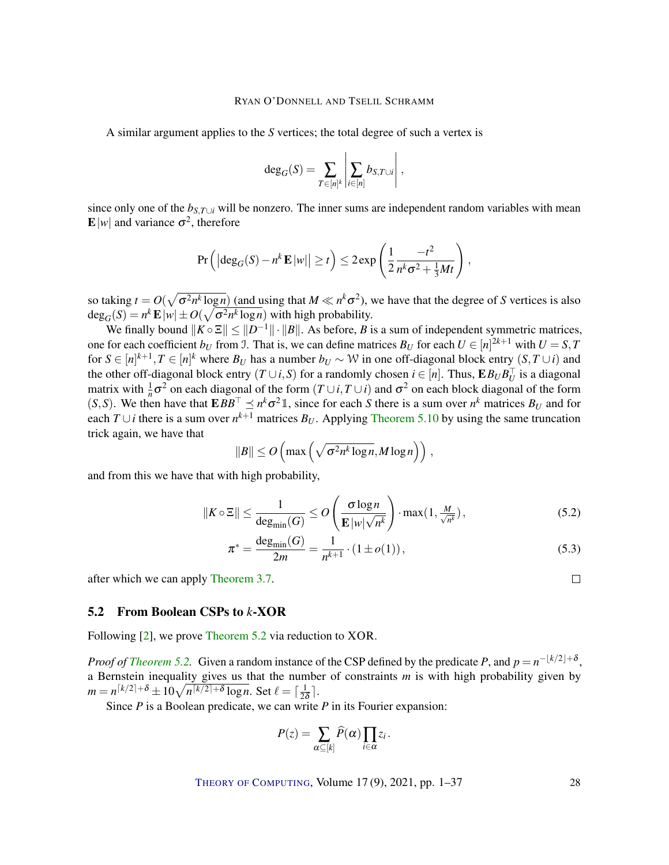<span id="page-27-0"></span>A similar argument applies to the *S* vertices; the total degree of such a vertex is

$$
\deg_G(S) = \sum_{T \in [n]^k} \left| \sum_{i \in [n]} b_{S,T \cup i} \right|,
$$

since only one of the *bS*,*T*∪*<sup>i</sup>* will be nonzero. The inner sums are independent random variables with mean  $\mathbf{E}[w]$  and variance  $\sigma^2$ , therefore

$$
\Pr\left(\left|\deg_G(S)-n^k\,\mathbf{E}\,|w|\right|\geq t\right)\leq 2\exp\left(\frac{1}{2}\frac{-t^2}{n^k\sigma^2+\frac{1}{3}Mt}\right),
$$

so taking  $t = O(\sqrt{\sigma^2 n^k \log n})$  (and using that  $M \ll n^k \sigma^2$ ), we have that the degree of *S* vertices is also  $deg_G(S) = n^k \mathbf{E} |w| \pm O(\sqrt{\sigma^2 n^k \log n})$  with high probability.

We finally bound  $||K \circ \Xi|| \le ||D^{-1}|| \cdot ||B||$ . As before, *B* is a sum of independent symmetric matrices, one for each coefficient  $b_U$  from J. That is, we can define matrices  $B_U$  for each  $U \in [n]^{2k+1}$  with  $U = S, T$ for  $S \in [n]^{k+1}, T \in [n]^k$  where  $B_U$  has a number  $b_U \sim W$  in one off-diagonal block entry  $(S, T \cup i)$  and the other off-diagonal block entry  $(T \cup i, S)$  for a randomly chosen  $i \in [n]$ . Thus,  $\mathbf{E} B_U B_U^{\top}$  is a diagonal matrix with  $\frac{1}{n}\sigma^2$  on each diagonal of the form  $(T \cup i, T \cup i)$  and  $\sigma^2$  on each block diagonal of the form  $(S, S)$ . We then have that  $EBB^{\top} \leq n^k \sigma^2 \mathbb{1}$ , since for each *S* there is a sum over  $n^k$  matrices  $B_U$  and for each *T* ∪*i* there is a sum over  $n^{k+1}$  matrices  $B_U$ . Applying [Theorem 5.10](#page-24-0) by using the same truncation trick again, we have that

$$
||B|| \le O\left(\max\left(\sqrt{\sigma^2 n^k \log n}, M \log n\right)\right),\,
$$

and from this we have that with high probability,

$$
||K \circ \Xi|| \le \frac{1}{\deg_{\min}(G)} \le O\left(\frac{\sigma \log n}{\mathbf{E} |w| \sqrt{n^k}}\right) \cdot \max(1, \frac{M}{\sqrt{n^k}}),\tag{5.2}
$$

$$
\pi^* = \frac{\deg_{\min}(G)}{2m} = \frac{1}{n^{k+1}} \cdot (1 \pm o(1)),\tag{5.3}
$$

after which we can apply [Theorem 3.7.](#page-14-1)

# 5.2 From Boolean CSPs to *k*-XOR

Following [\[2\]](#page-32-4), we prove [Theorem 5.2](#page-22-0) via reduction to XOR.

*Proof of [Theorem 5.2.](#page-22-0)* Given a random instance of the CSP defined by the predicate *P*, and  $p = n^{-\lfloor k/2 \rfloor + \delta}$ , a Bernstein inequality gives us that the number of constraints *m* is with high probability given by  $m = n^{[k/2]+ \delta} \pm 10 \sqrt{n^{[k/2]+ \delta} \log n}$ . Set  $\ell = \lceil \frac{1}{2^{k}} \rceil$  $rac{1}{2\delta}$ .

Since *P* is a Boolean predicate, we can write *P* in its Fourier expansion:

$$
P(z) = \sum_{\alpha \subseteq [k]} \widehat{P}(\alpha) \prod_{i \in \alpha} z_i \,.
$$

THEORY OF C[OMPUTING](http://dx.doi.org/10.4086/toc), Volume 17 (9), 2021, pp. 1–37 28

 $\Box$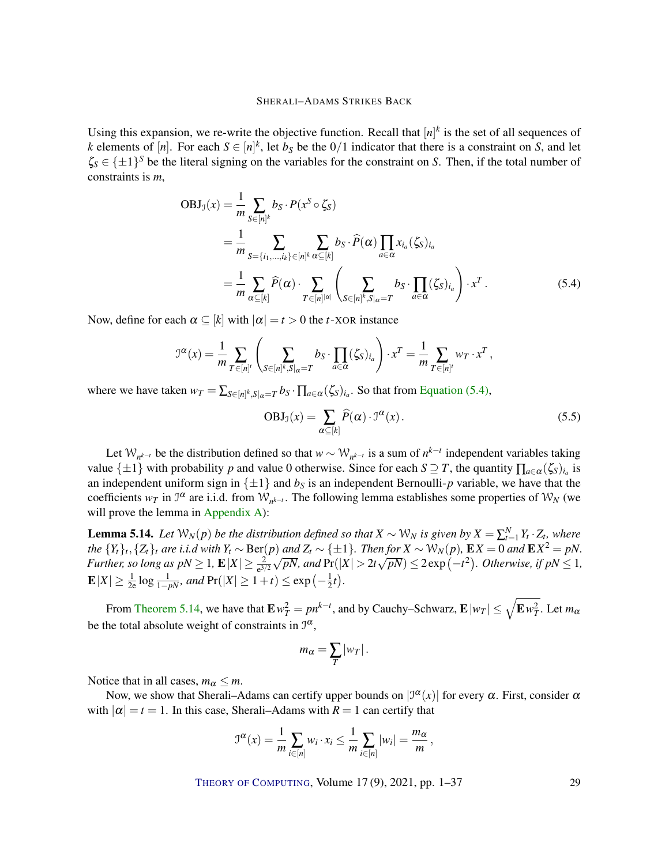Using this expansion, we re-write the objective function. Recall that  $[n]^k$  is the set of all sequences of *k* elements of [*n*]. For each  $S \in [n]^k$ , let *b<sub>S</sub>* be the 0/1 indicator that there is a constraint on *S*, and let  $\zeta_s \in \{\pm 1\}^S$  be the literal signing on the variables for the constraint on *S*. Then, if the total number of constraints is *m*,

$$
OBJ_{\mathcal{I}}(x) = \frac{1}{m} \sum_{S \in [n]^k} b_S \cdot P(x^S \circ \zeta_S)
$$
  
= 
$$
\frac{1}{m} \sum_{S = \{i_1, \dots, i_k\} \in [n]^k} \sum_{\alpha \subseteq [k]} b_S \cdot \widehat{P}(\alpha) \prod_{a \in \alpha} x_{i_a}(\zeta_S)_{i_a}
$$
  
= 
$$
\frac{1}{m} \sum_{\alpha \subseteq [k]} \widehat{P}(\alpha) \cdot \sum_{T \in [n]^{|a|}} \left( \sum_{S \in [n]^k, S|_{\alpha} = T} b_S \cdot \prod_{a \in \alpha} (\zeta_S)_{i_a} \right) \cdot x^T.
$$
 (5.4)

Now, define for each  $\alpha \subseteq [k]$  with  $|\alpha| = t > 0$  the *t*-XOR instance

$$
\mathcal{I}^{\alpha}(x) = \frac{1}{m} \sum_{T \in [n]^l} \left( \sum_{S \in [n]^k, S \mid \alpha = T} b_S \cdot \prod_{a \in \alpha} (\zeta_S)_{i_a} \right) \cdot x^T = \frac{1}{m} \sum_{T \in [n]^l} w_T \cdot x^T,
$$

where we have taken  $w_T = \sum_{S \in [n]^k, S|_{\alpha} = T} b_S \cdot \prod_{a \in \alpha} (\zeta_S)_{i_a}$ . So that from [Equation \(5.4\),](#page-28-0)

<span id="page-28-2"></span><span id="page-28-0"></span>
$$
OBJ_{\mathcal{I}}(x) = \sum_{\alpha \subseteq [k]} \widehat{P}(\alpha) \cdot \mathcal{I}^{\alpha}(x).
$$
 (5.5)

Let  $W_{n^{k-t}}$  be the distribution defined so that  $w \sim W_{n^{k-t}}$  is a sum of  $n^{k-t}$  independent variables taking value  $\{\pm 1\}$  with probability *p* and value 0 otherwise. Since for each  $S \supseteq T$ , the quantity  $\prod_{a \in \alpha} (\zeta_s)_{i_a}$  is an independent uniform sign in  $\{\pm 1\}$  and  $b<sub>S</sub>$  is an independent Bernoulli-*p* variable, we have that the coefficients  $w_T$  in  $\mathcal{I}^{\alpha}$  are i.i.d. from  $\mathcal{W}_{n^{k-t}}$ . The following lemma establishes some properties of  $\mathcal{W}_N$  (we will prove the lemma in [Appendix A\)](#page-30-0):

<span id="page-28-1"></span>**Lemma 5.14.** Let  $W_N(p)$  be the distribution defined so that  $X \sim W_N$  is given by  $X = \sum_{t=1}^N Y_t \cdot Z_t$ , where the  $\{Y_t\}_t$ ,  $\{Z_t\}_t$  are i.i.d with  $Y_t \sim \text{Ber}(p)$  and  $Z_t \sim \{\pm 1\}$ . Then for  $X \sim \mathcal{W}_N(p)$ ,  $\mathbf{E}X = 0$  and  $\mathbf{E}X^2 = pN$ . *Further, so long as*  $pN \geq 1$ ,  $\mathbf{E}|X| \geq \frac{2}{e^{3/2}}\sqrt{pN}$ , and  $Pr(|X| > 2t\sqrt{pN}) \leq 2\exp(-t^2)$ . Otherwise, if  $pN \leq 1$ ,  $\mathbf{E}|X|\geq \frac{1}{2\mathrm{e}}\log\frac{1}{1-pN}$ , and  $\Pr(|X|\geq 1+t)\leq \exp\left(-\frac{1}{2}\right)$  $(\frac{1}{2}t).$ 

From [Theorem 5.14,](#page-28-1) we have that  $\mathbf{E} w_T^2 = p n^{k-t}$ , and by Cauchy–Schwarz,  $\mathbf{E} |w_T| \leq \sqrt{\mathbf{E} w_T^2}$ . Let  $m_\alpha$ be the total absolute weight of constraints in  $\mathcal{I}^{\alpha}$ ,

$$
m_{\alpha}=\sum_{T}|w_{T}|.
$$

Notice that in all cases,  $m_\alpha \leq m$ .

Now, we show that Sherali–Adams can certify upper bounds on  $|\mathcal{I}^{\alpha}(x)|$  for every  $\alpha$ . First, consider  $\alpha$ with  $|\alpha| = t = 1$ . In this case, Sherali–Adams with  $R = 1$  can certify that

$$
\mathfrak{I}^{\alpha}(x) = \frac{1}{m} \sum_{i \in [n]} w_i \cdot x_i \leq \frac{1}{m} \sum_{i \in [n]} |w_i| = \frac{m_{\alpha}}{m},
$$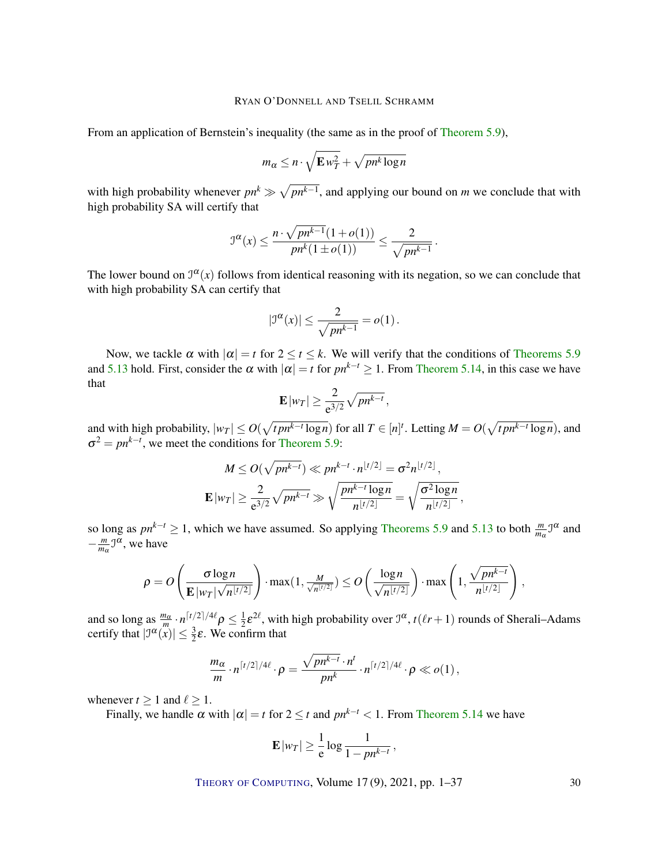From an application of Bernstein's inequality (the same as in the proof of [Theorem 5.9\)](#page-23-0),

$$
m_{\alpha} \leq n \cdot \sqrt{\mathbf{E} w_T^2} + \sqrt{pn^k \log n}
$$

with high probability whenever  $pn^k \gg \sqrt{pn^{k-1}}$ , and applying our bound on *m* we conclude that with high probability SA will certify that

$$
\mathcal{I}^{\alpha}(x) \le \frac{n \cdot \sqrt{p n^{k-1}} (1 + o(1))}{p n^k (1 \pm o(1))} \le \frac{2}{\sqrt{p n^{k-1}}}.
$$

The lower bound on  $\mathcal{I}^{\alpha}(x)$  follows from identical reasoning with its negation, so we can conclude that with high probability SA can certify that

$$
|\mathfrak{I}^{\alpha}(x)| \leq \frac{2}{\sqrt{pn^{k-1}}} = o(1).
$$

Now, we tackle  $\alpha$  with  $|\alpha| = t$  for  $2 \le t \le k$ . We will verify that the conditions of [Theorems 5.9](#page-23-0) and [5.13](#page-26-0) hold. First, consider the  $\alpha$  with  $|\alpha| = t$  for  $pn^{k-t} \ge 1$ . From [Theorem 5.14,](#page-28-1) in this case we have that

$$
\mathbf{E}|w_T| \geq \frac{2}{e^{3/2}}\sqrt{pn^{k-t}},
$$

and with high probability,  $|w_T| \leq O(\sqrt{t p n^{k-t} \log n})$  for all  $T \in [n]^t$ . Letting  $M = O(\sqrt{t p n^{k-t} \log n})$ , and  $\sigma^2 = pn^{k-t}$ , we meet the conditions for [Theorem 5.9:](#page-23-0)

$$
M \le O(\sqrt{pn^{k-t}}) \ll pn^{k-t} \cdot n^{\lfloor t/2 \rfloor} = \sigma^2 n^{\lfloor t/2 \rfloor},
$$
  

$$
\mathbf{E}|w_T| \ge \frac{2}{e^{3/2}} \sqrt{pn^{k-t}} \gg \sqrt{\frac{pn^{k-t} \log n}{n^{\lfloor t/2 \rfloor}}} = \sqrt{\frac{\sigma^2 \log n}{n^{\lfloor t/2 \rfloor}}}
$$

,

so long as  $pn^{k-t} \ge 1$ , which we have assumed. So applying [Theorems 5.9](#page-23-0) and [5.13](#page-26-0) to both  $\frac{m}{m\alpha} \mathcal{J}^{\alpha}$  and − *m*  $\frac{m}{m_\alpha}$ <sup> $\mathcal{I}^{\alpha}$ , we have</sup>

$$
\rho = O\left(\frac{\sigma \log n}{\mathbf{E} \left|w_T\right| \sqrt{n^{\lfloor t/2 \rfloor}}}\right) \cdot \max(1, \frac{M}{\sqrt{n^{\lfloor t/2 \rfloor}}}) \le O\left(\frac{\log n}{\sqrt{n^{\lfloor t/2 \rfloor}}}\right) \cdot \max\left(1, \frac{\sqrt{pn^{k-t}}}{n^{\lfloor t/2 \rfloor}}\right),
$$

and so long as  $\frac{m_{\alpha}}{m} \cdot n^{\lceil t/2 \rceil/4\ell} \rho \leq \frac{1}{2}$  $\frac{1}{2}\varepsilon^{2\ell}$ , with high probability over  $\mathfrak{I}^{\alpha}$ ,  $t(\ell r + 1)$  rounds of Sherali–Adams certify that  $|\mathcal{I}^{\alpha}(x)| \leq \frac{3}{2}\varepsilon$ . We confirm that

$$
\frac{m_{\alpha}}{m} \cdot n^{\lceil t/2 \rceil/4\ell} \cdot \rho = \frac{\sqrt{pn^{k-t}} \cdot n^t}{pn^k} \cdot n^{\lceil t/2 \rceil/4\ell} \cdot \rho \ll o(1),
$$

whenever  $t > 1$  and  $\ell > 1$ .

Finally, we handle  $\alpha$  with  $|\alpha| = t$  for  $2 \le t$  and  $pn^{k-t} < 1$ . From [Theorem 5.14](#page-28-1) we have

$$
\mathbf{E}|w_T| \geq \frac{1}{e} \log \frac{1}{1 - p n^{k-t}},
$$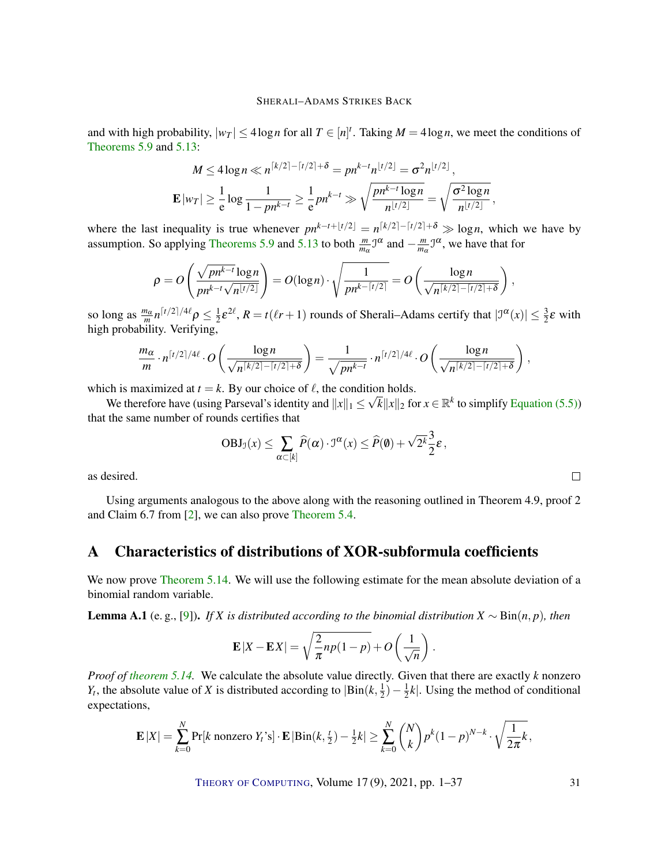<span id="page-30-2"></span>and with high probability,  $|w_T| \leq 4 \log n$  for all  $T \in [n]^t$ . Taking  $M = 4 \log n$ , we meet the conditions of [Theorems 5.9](#page-23-0) and [5.13:](#page-26-0)

$$
M \le 4\log n \ll n^{\lceil k/2 \rceil - \lceil t/2 \rceil + \delta} = pn^{k-t} n^{\lfloor t/2 \rfloor} = \sigma^2 n^{\lfloor t/2 \rfloor},
$$
  

$$
\mathbf{E}|w_T| \ge \frac{1}{e} \log \frac{1}{1 - pn^{k-t}} \ge \frac{1}{e} pn^{k-t} \gg \sqrt{\frac{pn^{k-t} \log n}{n^{\lfloor t/2 \rfloor}}} = \sqrt{\frac{\sigma^2 \log n}{n^{\lfloor t/2 \rfloor}}}
$$

,

where the last inequality is true whenever  $pn^{k-t+\lfloor t/2\rfloor} = n^{\lceil k/2\rceil - \lceil t/2\rceil + \delta} \gg \log n$ , which we have by assumption. So applying [Theorems 5.9](#page-23-0) and [5.13](#page-26-0) to both  $\frac{m}{m_{\alpha}} \mathcal{I}^{\alpha}$  and  $-\frac{m}{m_{\alpha}}$  $\frac{m}{m_\alpha}$   $\mathfrak{I}^\alpha$ , we have that for

$$
\rho = O\left(\frac{\sqrt{pn^{k-t}}\log n}{pn^{k-t}\sqrt{n^{\lfloor t/2\rfloor}}}\right) = O(\log n) \cdot \sqrt{\frac{1}{pn^{k-\lceil t/2\rceil}}} = O\left(\frac{\log n}{\sqrt{n^{\lceil k/2\rceil - \lceil t/2\rceil + \delta}}}\right),
$$

so long as  $\frac{m_{\alpha}}{m}n^{\lceil t/2 \rceil/4\ell} \rho \leq \frac{1}{2}$  $\frac{1}{2}\varepsilon^{2\ell}$ ,  $R = t(\ell r + 1)$  rounds of Sherali–Adams certify that  $|\mathcal{I}^{\alpha}(x)| \leq \frac{3}{2}\varepsilon$  with high probability. Verifying,

$$
\frac{m_{\alpha}}{m} \cdot n^{\lceil t/2 \rceil/4\ell} \cdot O\left(\frac{\log n}{\sqrt{n^{\lceil k/2 \rceil - \lceil t/2 \rceil + \delta}}}\right) = \frac{1}{\sqrt{pn^{k-t}}} \cdot n^{\lceil t/2 \rceil/4\ell} \cdot O\left(\frac{\log n}{\sqrt{n^{\lceil k/2 \rceil - \lceil t/2 \rceil + \delta}}}\right),
$$

which is maximized at  $t = k$ . By our choice of  $\ell$ , the condition holds.

We therefore have (using Parseval's identity and  $||x||_1 \le \sqrt{k} ||x||_2$  for  $x \in \mathbb{R}^k$  to simplify [Equation \(5.5\)\)](#page-28-2) that the same number of rounds certifies that

$$
OBJ_{\mathcal{J}}(x) \leq \sum_{\alpha \subset [k]} \widehat{P}(\alpha) \cdot \mathfrak{I}^{\alpha}(x) \leq \widehat{P}(\emptyset) + \sqrt{2^k} \frac{3}{2} \varepsilon,
$$

as desired.

Using arguments analogous to the above along with the reasoning outlined in Theorem 4.9, proof 2 and Claim 6.7 from [\[2\]](#page-32-4), we can also prove [Theorem 5.4.](#page-22-1)

# <span id="page-30-0"></span>A Characteristics of distributions of XOR-subformula coefficients

We now prove [Theorem 5.14.](#page-28-1) We will use the following estimate for the mean absolute deviation of a binomial random variable.

<span id="page-30-1"></span>Lemma A.1 (e. g., [\[9\]](#page-32-9)). *If X is distributed according to the binomial distribution X* ∼ Bin(*n*, *p*)*, then*

$$
\mathbf{E}|X - \mathbf{E}X| = \sqrt{\frac{2}{\pi}np(1-p)} + O\left(\frac{1}{\sqrt{n}}\right).
$$

*Proof of [theorem 5.14.](#page-28-1)* We calculate the absolute value directly. Given that there are exactly *k* nonzero *Y*<sub>*t*</sub>, the absolute value of *X* is distributed according to  $|Bin(k, \frac{1}{2})|$  $(\frac{1}{2}) - \frac{1}{2}$  $\frac{1}{2}k$ . Using the method of conditional expectations,

$$
\mathbf{E}|X| = \sum_{k=0}^{N} \Pr[k \text{ nonzero } Y_t \text{'s}] \cdot \mathbf{E} |\text{Bin}(k, \frac{t}{2}) - \frac{1}{2}k| \ge \sum_{k=0}^{N} {N \choose k} p^k (1-p)^{N-k} \cdot \sqrt{\frac{1}{2\pi}k},
$$

THEORY OF C[OMPUTING](http://dx.doi.org/10.4086/toc), Volume 17 (9), 2021, pp. 1–37 31

 $\Box$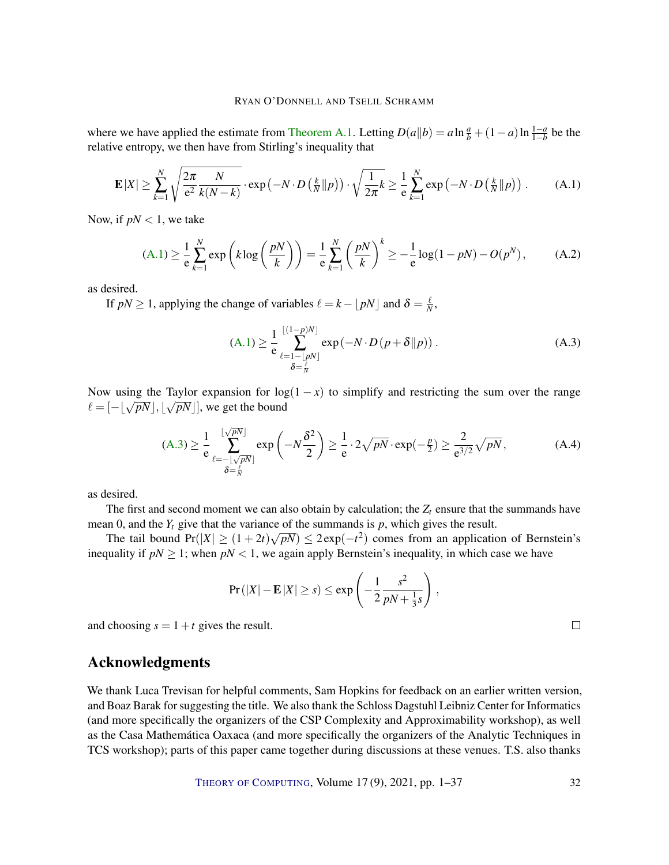where we have applied the estimate from [Theorem A.1.](#page-30-1) Letting  $D(a||b) = a \ln \frac{a}{b} + (1-a) \ln \frac{1-a}{1-b}$  be the relative entropy, we then have from Stirling's inequality that

$$
\mathbf{E}|X| \geq \sum_{k=1}^{N} \sqrt{\frac{2\pi}{e^2} \frac{N}{k(N-k)}} \cdot \exp\left(-N \cdot D\left(\frac{k}{N} \| p\right)\right) \cdot \sqrt{\frac{1}{2\pi} k} \geq \frac{1}{e} \sum_{k=1}^{N} \exp\left(-N \cdot D\left(\frac{k}{N} \| p\right)\right). \tag{A.1}
$$

Now, if  $pN < 1$ , we take

$$
(A.1) \ge \frac{1}{e} \sum_{k=1}^{N} exp\left(k \log\left(\frac{pN}{k}\right)\right) = \frac{1}{e} \sum_{k=1}^{N} \left(\frac{pN}{k}\right)^{k} \ge -\frac{1}{e} log(1 - pN) - O(p^N), \quad (A.2)
$$

as desired.

If  $pN \ge 1$ , applying the change of variables  $\ell = k - \lfloor pN \rfloor$  and  $\delta = \frac{\ell}{N}$  $\frac{\ell}{N}$ ,

<span id="page-31-1"></span><span id="page-31-0"></span>
$$
\text{(A.1)} \ge \frac{1}{e} \sum_{\ell=1-\lfloor pN \rfloor}^{\lfloor (1-p)N \rfloor} \exp(-N \cdot D\left(p+\delta \| p\right)).\tag{A.3}
$$

Now using the Taylor expansion for  $\log(1-x)$  to simplify and restricting the sum over the range From using the Taylor expansion for log<br> $\ell = [-\sqrt{pN}], \sqrt{pN}$ , we get the bound

$$
\text{(A.3)} \ge \frac{1}{e} \sum_{\ell=-\lfloor\sqrt{p}N\rfloor}^{\lfloor\sqrt{p}N\rfloor} \exp\left(-N\frac{\delta^2}{2}\right) \ge \frac{1}{e} \cdot 2\sqrt{p}N \cdot \exp(-\frac{p}{2}) \ge \frac{2}{e^{3/2}}\sqrt{p}N, \tag{A.4}
$$

as desired.

The first and second moment we can also obtain by calculation; the  $Z_t$  ensure that the summands have mean 0, and the  $Y_t$  give that the variance of the summands is  $p$ , which gives the result.

The tail bound  $Pr(|X| \ge (1+2t)\sqrt{pN}) \le 2exp(-t^2)$  comes from an application of Bernstein's inequality if  $pN \geq 1$ ; when  $pN < 1$ , we again apply Bernstein's inequality, in which case we have

$$
\Pr(|X| - \mathbf{E}|X| \geq s) \leq \exp\left(-\frac{1}{2}\frac{s^2}{pN + \frac{1}{3}s}\right),
$$

and choosing  $s = 1 + t$  gives the result.

# Acknowledgments

We thank Luca Trevisan for helpful comments, Sam Hopkins for feedback on an earlier written version, and Boaz Barak for suggesting the title. We also thank the Schloss Dagstuhl Leibniz Center for Informatics (and more specifically the organizers of the CSP Complexity and Approximability workshop), as well as the Casa Mathemática Oaxaca (and more specifically the organizers of the Analytic Techniques in TCS workshop); parts of this paper came together during discussions at these venues. T.S. also thanks

THEORY OF C[OMPUTING](http://dx.doi.org/10.4086/toc), Volume 17(9), 2021, pp. 1–37 32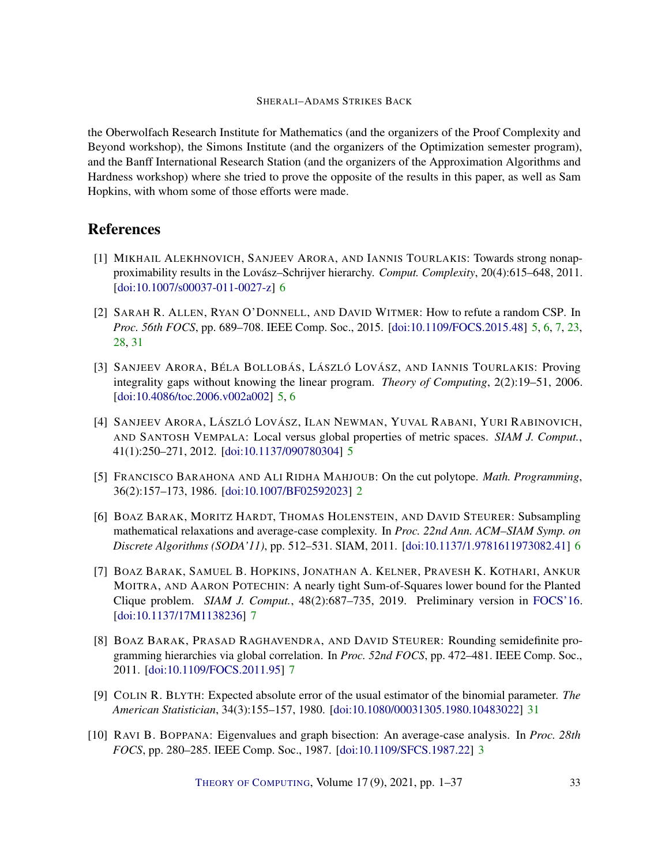the Oberwolfach Research Institute for Mathematics (and the organizers of the Proof Complexity and Beyond workshop), the Simons Institute (and the organizers of the Optimization semester program), and the Banff International Research Station (and the organizers of the Approximation Algorithms and Hardness workshop) where she tried to prove the opposite of the results in this paper, as well as Sam Hopkins, with whom some of those efforts were made.

# **References**

- <span id="page-32-6"></span>[1] MIKHAIL ALEKHNOVICH, SANJEEV ARORA, AND IANNIS TOURLAKIS: Towards strong nonapproximability results in the Lovász–Schrijver hierarchy. *Comput. Complexity*, 20(4):615–648, 2011. [\[doi:10.1007/s00037-011-0027-z\]](http://dx.doi.org/10.1007/s00037-011-0027-z) [6](#page-5-0)
- <span id="page-32-4"></span>[2] SARAH R. ALLEN, RYAN O'DONNELL, AND DAVID WITMER: How to refute a random CSP. In *Proc. 56th FOCS*, pp. 689–708. IEEE Comp. Soc., 2015. [\[doi:10.1109/FOCS.2015.48\]](http://dx.doi.org/10.1109/FOCS.2015.48) [5,](#page-4-0) [6,](#page-5-0) [7,](#page-6-0) [23,](#page-22-2) [28,](#page-27-0) [31](#page-30-2)
- <span id="page-32-2"></span>[3] SANJEEV ARORA, BÉLA BOLLOBÁS, LÁSZLÓ LOVÁSZ, AND IANNIS TOURLAKIS: Proving integrality gaps without knowing the linear program. *Theory of Computing*, 2(2):19–51, 2006. [\[doi:10.4086/toc.2006.v002a002\]](http://dx.doi.org/10.4086/toc.2006.v002a002) [5,](#page-4-0) [6](#page-5-0)
- <span id="page-32-3"></span>[4] SANJEEV ARORA, LÁSZLÓ LOVÁSZ, ILAN NEWMAN, YUVAL RABANI, YURI RABINOVICH, AND SANTOSH VEMPALA: Local versus global properties of metric spaces. *SIAM J. Comput.*, 41(1):250–271, 2012. [\[doi:10.1137/090780304\]](http://dx.doi.org/10.1137/090780304) [5](#page-4-0)
- <span id="page-32-0"></span>[5] FRANCISCO BARAHONA AND ALI RIDHA MAHJOUB: On the cut polytope. *Math. Programming*, 36(2):157–173, 1986. [\[doi:10.1007/BF02592023\]](http://dx.doi.org/10.1007/BF02592023) [2](#page-1-0)
- <span id="page-32-5"></span>[6] BOAZ BARAK, MORITZ HARDT, THOMAS HOLENSTEIN, AND DAVID STEURER: Subsampling mathematical relaxations and average-case complexity. In *Proc. 22nd Ann. ACM–SIAM Symp. on Discrete Algorithms (SODA'11)*, pp. 512–531. SIAM, 2011. [\[doi:10.1137/1.9781611973082.41\]](http://dx.doi.org/10.1137/1.9781611973082.41) [6](#page-5-0)
- <span id="page-32-8"></span>[7] BOAZ BARAK, SAMUEL B. HOPKINS, JONATHAN A. KELNER, PRAVESH K. KOTHARI, ANKUR MOITRA, AND AARON POTECHIN: A nearly tight Sum-of-Squares lower bound for the Planted Clique problem. *SIAM J. Comput.*, 48(2):687–735, 2019. Preliminary version in [FOCS'16.](10.1109/FOCS.2016.53) [\[doi:10.1137/17M1138236\]](http://dx.doi.org/10.1137/17M1138236) [7](#page-6-0)
- <span id="page-32-7"></span>[8] BOAZ BARAK, PRASAD RAGHAVENDRA, AND DAVID STEURER: Rounding semidefinite programming hierarchies via global correlation. In *Proc. 52nd FOCS*, pp. 472–481. IEEE Comp. Soc., 2011. [\[doi:10.1109/FOCS.2011.95\]](http://dx.doi.org/10.1109/FOCS.2011.95) [7](#page-6-0)
- <span id="page-32-9"></span>[9] COLIN R. BLYTH: Expected absolute error of the usual estimator of the binomial parameter. *The American Statistician*, 34(3):155–157, 1980. [\[doi:10.1080/00031305.1980.10483022\]](http://dx.doi.org/10.1080/00031305.1980.10483022) [31](#page-30-2)
- <span id="page-32-1"></span>[10] RAVI B. BOPPANA: Eigenvalues and graph bisection: An average-case analysis. In *Proc. 28th FOCS*, pp. 280–285. IEEE Comp. Soc., 1987. [\[doi:10.1109/SFCS.1987.22\]](http://dx.doi.org/10.1109/SFCS.1987.22) [3](#page-2-2)

THEORY OF C[OMPUTING](http://dx.doi.org/10.4086/toc), Volume 17(9), 2021, pp. 1–37 33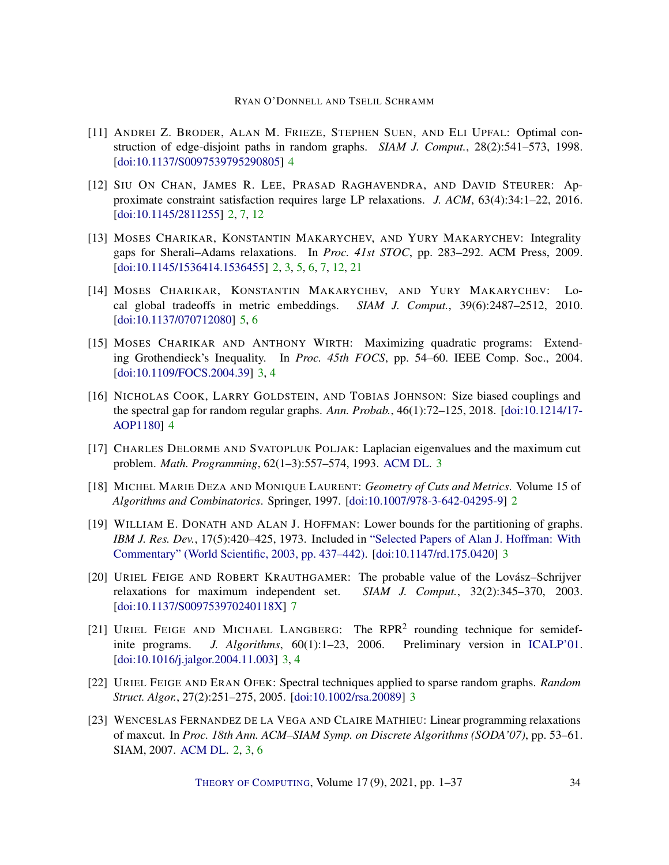- <span id="page-33-9"></span>[11] ANDREI Z. BRODER, ALAN M. FRIEZE, STEPHEN SUEN, AND ELI UPFAL: Optimal construction of edge-disjoint paths in random graphs. *SIAM J. Comput.*, 28(2):541–573, 1998. [\[doi:10.1137/S0097539795290805\]](http://dx.doi.org/10.1137/S0097539795290805) [4](#page-3-1)
- <span id="page-33-1"></span>[12] SIU ON CHAN, JAMES R. LEE, PRASAD RAGHAVENDRA, AND DAVID STEURER: Approximate constraint satisfaction requires large LP relaxations. *J. ACM*, 63(4):34:1–22, 2016. [\[doi:10.1145/2811255\]](http://dx.doi.org/10.1145/2811255) [2,](#page-1-0) [7,](#page-6-0) [12](#page-11-2)
- <span id="page-33-3"></span>[13] MOSES CHARIKAR, KONSTANTIN MAKARYCHEV, AND YURY MAKARYCHEV: Integrality gaps for Sherali–Adams relaxations. In *Proc. 41st STOC*, pp. 283–292. ACM Press, 2009. [\[doi:10.1145/1536414.1536455\]](http://dx.doi.org/10.1145/1536414.1536455) [2,](#page-1-0) [3,](#page-2-2) [5,](#page-4-0) [6,](#page-5-0) [7,](#page-6-0) [12,](#page-11-2) [21](#page-20-3)
- <span id="page-33-11"></span>[14] MOSES CHARIKAR, KONSTANTIN MAKARYCHEV, AND YURY MAKARYCHEV: Local global tradeoffs in metric embeddings. *SIAM J. Comput.*, 39(6):2487–2512, 2010. [\[doi:10.1137/070712080\]](http://dx.doi.org/10.1137/070712080) [5,](#page-4-0) [6](#page-5-0)
- <span id="page-33-8"></span>[15] MOSES CHARIKAR AND ANTHONY WIRTH: Maximizing quadratic programs: Extending Grothendieck's Inequality. In *Proc. 45th FOCS*, pp. 54–60. IEEE Comp. Soc., 2004. [\[doi:10.1109/FOCS.2004.39\]](http://dx.doi.org/10.1109/FOCS.2004.39) [3,](#page-2-2) [4](#page-3-1)
- <span id="page-33-10"></span>[16] NICHOLAS COOK, LARRY GOLDSTEIN, AND TOBIAS JOHNSON: Size biased couplings and the spectral gap for random regular graphs. *Ann. Probab.*, 46(1):72–125, 2018. [\[doi:10.1214/17-](http://dx.doi.org/10.1214/17-AOP1180) [AOP1180\]](http://dx.doi.org/10.1214/17-AOP1180) [4](#page-3-1)
- <span id="page-33-6"></span>[17] CHARLES DELORME AND SVATOPLUK POLJAK: Laplacian eigenvalues and the maximum cut problem. *Math. Programming*, 62(1–3):557–574, 1993. [ACM DL.](https://dl.acm.org/doi/10.5555/3113606.3113867) [3](#page-2-2)
- <span id="page-33-0"></span>[18] MICHEL MARIE DEZA AND MONIQUE LAURENT: *Geometry of Cuts and Metrics*. Volume 15 of *Algorithms and Combinatorics*. Springer, 1997. [\[doi:10.1007/978-3-642-04295-9\]](http://dx.doi.org/10.1007/978-3-642-04295-9) [2](#page-1-0)
- <span id="page-33-4"></span>[19] WILLIAM E. DONATH AND ALAN J. HOFFMAN: Lower bounds for the partitioning of graphs. *IBM J. Res. Dev.*, 17(5):420–425, 1973. Included in ["Selected Papers of Alan J. Hoffman: With](https://doi.org/10.1142/4326) [Commentary" \(World Scientific, 2003, pp. 437–442\).](https://doi.org/10.1142/4326) [\[doi:10.1147/rd.175.0420\]](http://dx.doi.org/10.1147/rd.175.0420) [3](#page-2-2)
- <span id="page-33-12"></span>[20] URIEL FEIGE AND ROBERT KRAUTHGAMER: The probable value of the Lovász–Schrijver relaxations for maximum independent set. *SIAM J. Comput.*, 32(2):345–370, 2003. [\[doi:10.1137/S009753970240118X\]](http://dx.doi.org/10.1137/S009753970240118X) [7](#page-6-0)
- <span id="page-33-7"></span>[21] URIEL FEIGE AND MICHAEL LANGBERG: The RPR<sup>2</sup> rounding technique for semidefinite programs. *J. Algorithms*, 60(1):1–23, 2006. Preliminary version in [ICALP'01.](https://dl.acm.org/doi/10.5555/646254.684106) [\[doi:10.1016/j.jalgor.2004.11.003\]](http://dx.doi.org/10.1016/j.jalgor.2004.11.003) [3,](#page-2-2) [4](#page-3-1)
- <span id="page-33-5"></span>[22] URIEL FEIGE AND ERAN OFEK: Spectral techniques applied to sparse random graphs. *Random Struct. Algor.*, 27(2):251–275, 2005. [\[doi:10.1002/rsa.20089\]](http://dx.doi.org/10.1002/rsa.20089) [3](#page-2-2)
- <span id="page-33-2"></span>[23] WENCESLAS FERNANDEZ DE LA VEGA AND CLAIRE MATHIEU: Linear programming relaxations of maxcut. In *Proc. 18th Ann. ACM–SIAM Symp. on Discrete Algorithms (SODA'07)*, pp. 53–61. SIAM, 2007. [ACM DL.](http://dl.acm.org/citation.cfm?id=1283383.1283390) [2,](#page-1-0) [3,](#page-2-2) [6](#page-5-0)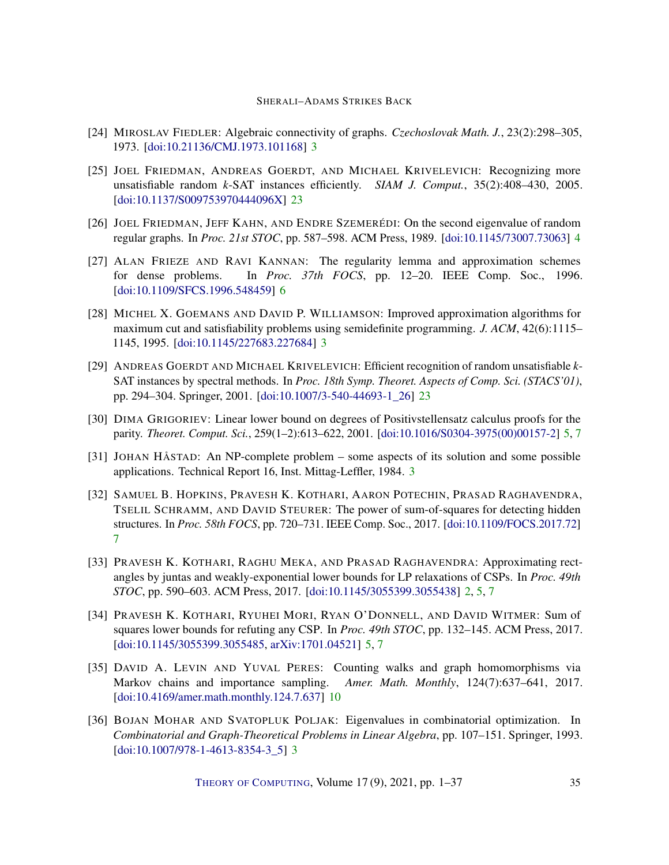- <span id="page-34-1"></span>[24] MIROSLAV FIEDLER: Algebraic connectivity of graphs. *Czechoslovak Math. J.*, 23(2):298–305, 1973. [\[doi:10.21136/CMJ.1973.101168\]](http://dx.doi.org/10.21136/CMJ.1973.101168) [3](#page-2-2)
- <span id="page-34-12"></span>[25] JOEL FRIEDMAN, ANDREAS GOERDT, AND MICHAEL KRIVELEVICH: Recognizing more unsatisfiable random *k*-SAT instances efficiently. *SIAM J. Comput.*, 35(2):408–430, 2005. [\[doi:10.1137/S009753970444096X\]](http://dx.doi.org/10.1137/S009753970444096X) [23](#page-22-2)
- <span id="page-34-5"></span>[26] JOEL FRIEDMAN, JEFF KAHN, AND ENDRE SZEMERÉDI: On the second eigenvalue of random regular graphs. In *Proc. 21st STOC*, pp. 587–598. ACM Press, 1989. [\[doi:10.1145/73007.73063\]](http://dx.doi.org/10.1145/73007.73063) [4](#page-3-1)
- <span id="page-34-8"></span>[27] ALAN FRIEZE AND RAVI KANNAN: The regularity lemma and approximation schemes for dense problems. In *Proc. 37th FOCS*, pp. 12–20. IEEE Comp. Soc., 1996. [\[doi:10.1109/SFCS.1996.548459\]](http://dx.doi.org/10.1109/SFCS.1996.548459) [6](#page-5-0)
- <span id="page-34-4"></span>[28] MICHEL X. GOEMANS AND DAVID P. WILLIAMSON: Improved approximation algorithms for maximum cut and satisfiability problems using semidefinite programming. *J. ACM*, 42(6):1115– 1145, 1995. [\[doi:10.1145/227683.227684\]](http://dx.doi.org/10.1145/227683.227684) [3](#page-2-2)
- <span id="page-34-11"></span>[29] ANDREAS GOERDT AND MICHAEL KRIVELEVICH: Efficient recognition of random unsatisfiable *k*-SAT instances by spectral methods. In *Proc. 18th Symp. Theoret. Aspects of Comp. Sci. (STACS'01)*, pp. 294–304. Springer, 2001. [\[doi:10.1007/3-540-44693-1\\_26\]](http://dx.doi.org/10.1007/3-540-44693-1_26) [23](#page-22-2)
- <span id="page-34-6"></span>[30] DIMA GRIGORIEV: Linear lower bound on degrees of Positivstellensatz calculus proofs for the parity. *Theoret. Comput. Sci.*, 259(1–2):613–622, 2001. [\[doi:10.1016/S0304-3975\(00\)00157-2\]](http://dx.doi.org/10.1016/S0304-3975(00)00157-2) [5,](#page-4-0) [7](#page-6-0)
- <span id="page-34-3"></span>[31] JOHAN HÅSTAD: An NP-complete problem – some aspects of its solution and some possible applications. Technical Report 16, Inst. Mittag-Leffler, 1984. [3](#page-2-2)
- <span id="page-34-9"></span>[32] SAMUEL B. HOPKINS, PRAVESH K. KOTHARI, AARON POTECHIN, PRASAD RAGHAVENDRA, TSELIL SCHRAMM, AND DAVID STEURER: The power of sum-of-squares for detecting hidden structures. In *Proc. 58th FOCS*, pp. 720–731. IEEE Comp. Soc., 2017. [\[doi:10.1109/FOCS.2017.72\]](http://dx.doi.org/10.1109/FOCS.2017.72) [7](#page-6-0)
- <span id="page-34-0"></span>[33] PRAVESH K. KOTHARI, RAGHU MEKA, AND PRASAD RAGHAVENDRA: Approximating rectangles by juntas and weakly-exponential lower bounds for LP relaxations of CSPs. In *Proc. 49th STOC*, pp. 590–603. ACM Press, 2017. [\[doi:10.1145/3055399.3055438\]](http://dx.doi.org/10.1145/3055399.3055438) [2,](#page-1-0) [5,](#page-4-0) [7](#page-6-0)
- <span id="page-34-7"></span>[34] PRAVESH K. KOTHARI, RYUHEI MORI, RYAN O'DONNELL, AND DAVID WITMER: Sum of squares lower bounds for refuting any CSP. In *Proc. 49th STOC*, pp. 132–145. ACM Press, 2017. [\[doi:10.1145/3055399.3055485,](http://dx.doi.org/10.1145/3055399.3055485) [arXiv:1701.04521\]](http://arxiv.org/abs/1701.04521) [5,](#page-4-0) [7](#page-6-0)
- <span id="page-34-10"></span>[35] DAVID A. LEVIN AND YUVAL PERES: Counting walks and graph homomorphisms via Markov chains and importance sampling. *Amer. Math. Monthly*, 124(7):637–641, 2017. [\[doi:10.4169/amer.math.monthly.124.7.637\]](http://dx.doi.org/10.4169/amer.math.monthly.124.7.637) [10](#page-9-3)
- <span id="page-34-2"></span>[36] BOJAN MOHAR AND SVATOPLUK POLJAK: Eigenvalues in combinatorial optimization. In *Combinatorial and Graph-Theoretical Problems in Linear Algebra*, pp. 107–151. Springer, 1993. [\[doi:10.1007/978-1-4613-8354-3\\_5\]](http://dx.doi.org/10.1007/978-1-4613-8354-3_5) [3](#page-2-2)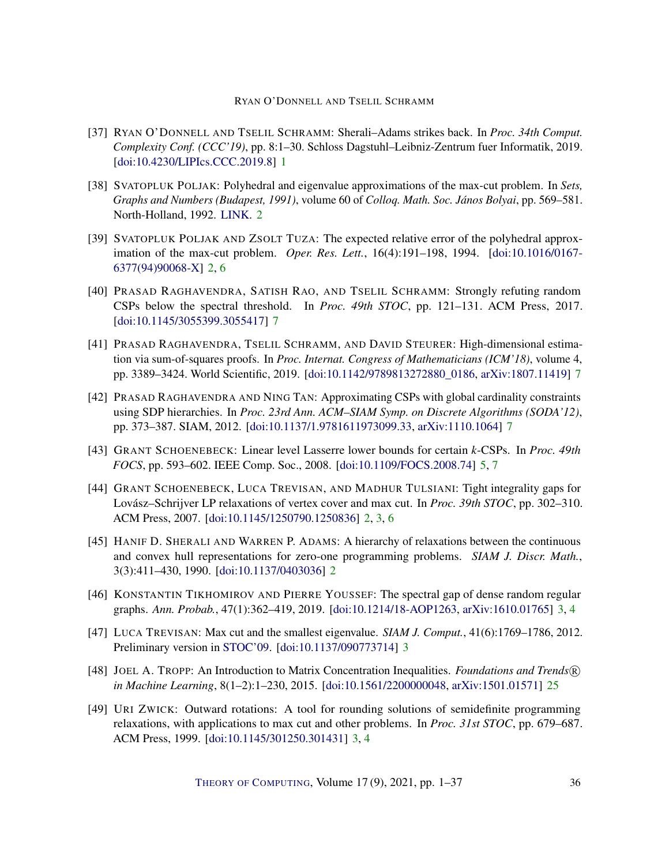- <span id="page-35-0"></span>[37] RYAN O'DONNELL AND TSELIL SCHRAMM: Sherali–Adams strikes back. In *Proc. 34th Comput. Complexity Conf. (CCC'19)*, pp. 8:1–30. Schloss Dagstuhl–Leibniz-Zentrum fuer Informatik, 2019. [\[doi:10.4230/LIPIcs.CCC.2019.8\]](http://dx.doi.org/10.4230/LIPIcs.CCC.2019.8) [1](#page-0-0)
- <span id="page-35-1"></span>[38] SVATOPLUK POLJAK: Polyhedral and eigenvalue approximations of the max-cut problem. In *Sets, Graphs and Numbers (Budapest, 1991)*, volume 60 of *Colloq. Math. Soc. János Bolyai*, pp. 569–581. North-Holland, 1992. [LINK.](https://korandi.org/docs/misc/setsgraphsnumbers/setsgraphsnumbers40.pdf) [2](#page-1-0)
- <span id="page-35-2"></span>[39] SVATOPLUK POLJAK AND ZSOLT TUZA: The expected relative error of the polyhedral approximation of the max-cut problem. *Oper. Res. Lett.*, 16(4):191–198, 1994. [\[doi:10.1016/0167-](http://dx.doi.org/10.1016/0167-6377(94)90068-X) [6377\(94\)90068-X\]](http://dx.doi.org/10.1016/0167-6377(94)90068-X) [2,](#page-1-0) [6](#page-5-0)
- <span id="page-35-10"></span>[40] PRASAD RAGHAVENDRA, SATISH RAO, AND TSELIL SCHRAMM: Strongly refuting random CSPs below the spectral threshold. In *Proc. 49th STOC*, pp. 121–131. ACM Press, 2017. [\[doi:10.1145/3055399.3055417\]](http://dx.doi.org/10.1145/3055399.3055417) [7](#page-6-0)
- <span id="page-35-11"></span>[41] PRASAD RAGHAVENDRA, TSELIL SCHRAMM, AND DAVID STEURER: High-dimensional estimation via sum-of-squares proofs. In *Proc. Internat. Congress of Mathematicians (ICM'18)*, volume 4, pp. 3389–3424. World Scientific, 2019. [\[doi:10.1142/9789813272880\\_0186,](http://dx.doi.org/10.1142/9789813272880_0186) [arXiv:1807.11419\]](http://arxiv.org/abs/1807.11419) [7](#page-6-0)
- <span id="page-35-9"></span>[42] PRASAD RAGHAVENDRA AND NING TAN: Approximating CSPs with global cardinality constraints using SDP hierarchies. In *Proc. 23rd Ann. ACM–SIAM Symp. on Discrete Algorithms (SODA'12)*, pp. 373–387. SIAM, 2012. [\[doi:10.1137/1.9781611973099.33,](http://dx.doi.org/10.1137/1.9781611973099.33) [arXiv:1110.1064\]](http://arxiv.org/abs/1110.1064) [7](#page-6-0)
- <span id="page-35-8"></span>[43] GRANT SCHOENEBECK: Linear level Lasserre lower bounds for certain *k*-CSPs. In *Proc. 49th FOCS*, pp. 593–602. IEEE Comp. Soc., 2008. [\[doi:10.1109/FOCS.2008.74\]](http://dx.doi.org/10.1109/FOCS.2008.74) [5,](#page-4-0) [7](#page-6-0)
- <span id="page-35-4"></span>[44] GRANT SCHOENEBECK, LUCA TREVISAN, AND MADHUR TULSIANI: Tight integrality gaps for Lovász–Schrijver LP relaxations of vertex cover and max cut. In *Proc. 39th STOC*, pp. 302–310. ACM Press, 2007. [\[doi:10.1145/1250790.1250836\]](http://dx.doi.org/10.1145/1250790.1250836) [2,](#page-1-0) [3,](#page-2-2) [6](#page-5-0)
- <span id="page-35-3"></span>[45] HANIF D. SHERALI AND WARREN P. ADAMS: A hierarchy of relaxations between the continuous and convex hull representations for zero-one programming problems. *SIAM J. Discr. Math.*, 3(3):411–430, 1990. [\[doi:10.1137/0403036\]](http://dx.doi.org/10.1137/0403036) [2](#page-1-0)
- <span id="page-35-5"></span>[46] KONSTANTIN TIKHOMIROV AND PIERRE YOUSSEF: The spectral gap of dense random regular graphs. *Ann. Probab.*, 47(1):362–419, 2019. [\[doi:10.1214/18-AOP1263,](http://dx.doi.org/10.1214/18-AOP1263) [arXiv:1610.01765\]](http://arxiv.org/abs/1610.01765) [3,](#page-2-2) [4](#page-3-1)
- <span id="page-35-7"></span>[47] LUCA TREVISAN: Max cut and the smallest eigenvalue. *SIAM J. Comput.*, 41(6):1769–1786, 2012. Preliminary version in [STOC'09.](https://doi.org/10.1145/1536414.1536452) [\[doi:10.1137/090773714\]](http://dx.doi.org/10.1137/090773714) [3](#page-2-2)
- <span id="page-35-12"></span>[48] JOEL A. TROPP: An Introduction to Matrix Concentration Inequalities. *Foundations and Trends* R *in Machine Learning*, 8(1–2):1–230, 2015. [\[doi:10.1561/2200000048,](http://dx.doi.org/10.1561/2200000048) [arXiv:1501.01571\]](http://arxiv.org/abs/1501.01571) [25](#page-24-1)
- <span id="page-35-6"></span>[49] URI ZWICK: Outward rotations: A tool for rounding solutions of semidefinite programming relaxations, with applications to max cut and other problems. In *Proc. 31st STOC*, pp. 679–687. ACM Press, 1999. [\[doi:10.1145/301250.301431\]](http://dx.doi.org/10.1145/301250.301431) [3,](#page-2-2) [4](#page-3-1)